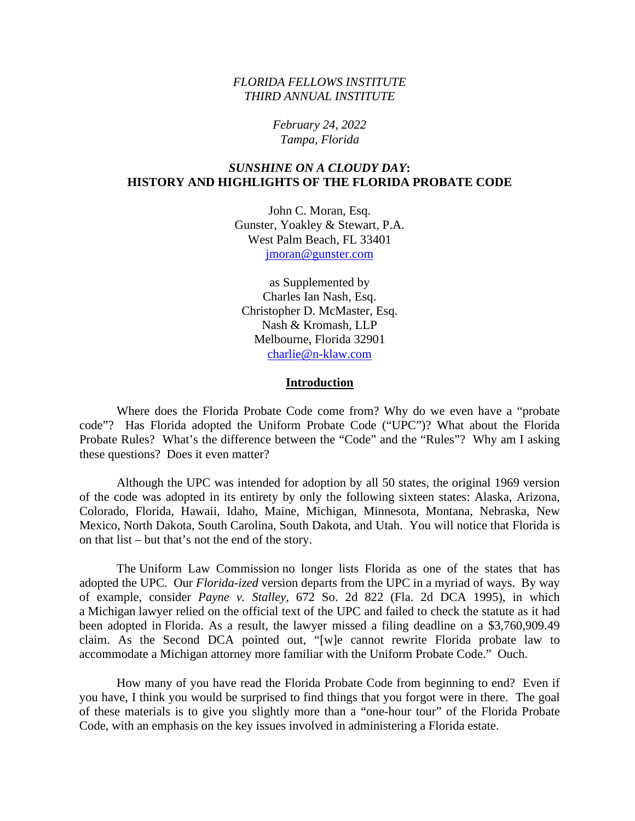## *FLORIDA FELLOWS INSTITUTE THIRD ANNUAL INSTITUTE*

*February 24, 2022 Tampa, Florida*

## *SUNSHINE ON A CLOUDY DAY***: HISTORY AND HIGHLIGHTS OF THE FLORIDA PROBATE CODE**

John C. Moran, Esq. Gunster, Yoakley & Stewart, P.A. West Palm Beach, FL 33401 [jmoran@gunster.com](mailto:jmoran@gunster.com)

as Supplemented by Charles Ian Nash, Esq. Christopher D. McMaster, Esq. Nash & Kromash, LLP Melbourne, Florida 32901 [charlie@n-klaw.com](mailto:charlie@n-klaw.com)

#### **Introduction**

Where does the Florida Probate Code come from? Why do we even have a "probate code"? Has Florida adopted the Uniform Probate Code ("UPC")? What about the Florida Probate Rules? What's the difference between the "Code" and the "Rules"? Why am I asking these questions? Does it even matter?

Although the UPC was intended for adoption by all 50 states, the original 1969 version of the code was adopted in its entirety by only the following sixteen states: [Alaska,](https://en.wikipedia.org/wiki/Alaska) [Arizona,](https://en.wikipedia.org/wiki/Arizona) Colorado, Florida, Hawaii, Idaho, Maine, Michigan, Minnesota, [Montana,](https://en.wikipedia.org/wiki/Montana) [Nebraska,](https://en.wikipedia.org/wiki/Nebraska) [New](https://en.wikipedia.org/wiki/New_Mexico)  [Mexico,](https://en.wikipedia.org/wiki/New_Mexico) [North Dakota,](https://en.wikipedia.org/wiki/North_Dakota) [South Carolina,](https://en.wikipedia.org/wiki/South_Carolina) South Dakota, and Utah. You will notice that Florida is on that list – but that's not the end of the story.

The [Uniform Law Commission](https://en.wikipedia.org/wiki/Uniform_Law_Commission) no longer lists Florida as one of the states that has adopted the UPC. Our *Florida-ized* version departs from the UPC in a myriad of ways. By way of example, consider *Payne v. Stalley*, 672 So. 2d 822 (Fla. 2d DCA 1995), in which a [Michigan](https://en.wikipedia.org/wiki/Michigan) lawyer relied on the official text of the UPC and failed to check the statute as it had been adopted in [Florida.](https://en.wikipedia.org/wiki/Florida) As a result, the lawyer missed a filing deadline on a \$3,760,909.49 claim. As the Second DCA pointed out, "[w]e cannot rewrite Florida probate law to accommodate a Michigan attorney more familiar with the Uniform Probate Code." Ouch.

How many of you have read the Florida Probate Code from beginning to end? Even if you have, I think you would be surprised to find things that you forgot were in there. The goal of these materials is to give you slightly more than a "one-hour tour" of the Florida Probate Code, with an emphasis on the key issues involved in administering a Florida estate.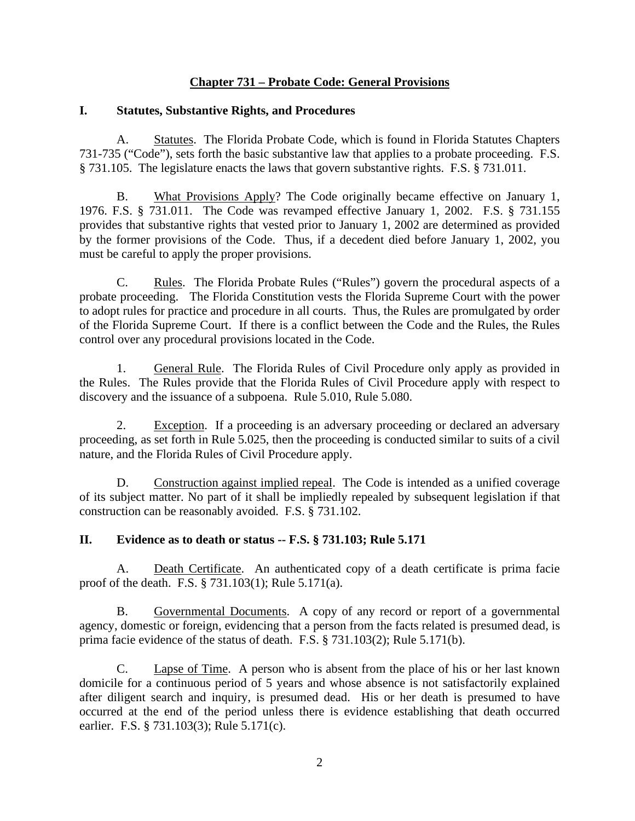# **Chapter 731 – Probate Code: General Provisions**

## **I. Statutes, Substantive Rights, and Procedures**

A. Statutes. The Florida Probate Code, which is found in Florida Statutes Chapters 731-735 ("Code"), sets forth the basic substantive law that applies to a probate proceeding. F.S. § 731.105. The legislature enacts the laws that govern substantive rights. F.S. § 731.011.

B. What Provisions Apply? The Code originally became effective on January 1, 1976. F.S. § 731.011. The Code was revamped effective January 1, 2002. F.S. § 731.155 provides that substantive rights that vested prior to January 1, 2002 are determined as provided by the former provisions of the Code. Thus, if a decedent died before January 1, 2002, you must be careful to apply the proper provisions.

C. Rules. The Florida Probate Rules ("Rules") govern the procedural aspects of a probate proceeding. The Florida Constitution vests the Florida Supreme Court with the power to adopt rules for practice and procedure in all courts. Thus, the Rules are promulgated by order of the Florida Supreme Court. If there is a conflict between the Code and the Rules, the Rules control over any procedural provisions located in the Code.

1. General Rule. The Florida Rules of Civil Procedure only apply as provided in the Rules. The Rules provide that the Florida Rules of Civil Procedure apply with respect to discovery and the issuance of a subpoena. Rule 5.010, Rule 5.080.

2. Exception. If a proceeding is an adversary proceeding or declared an adversary proceeding, as set forth in Rule 5.025, then the proceeding is conducted similar to suits of a civil nature, and the Florida Rules of Civil Procedure apply.

D. Construction against implied repeal. The Code is intended as a unified coverage of its subject matter. No part of it shall be impliedly repealed by subsequent legislation if that construction can be reasonably avoided. F.S. § 731.102.

## **II. Evidence as to death or status -- F.S. § 731.103; Rule 5.171**

A. Death Certificate. An authenticated copy of a death certificate is prima facie proof of the death. F.S. § 731.103(1); Rule 5.171(a).

B. Governmental Documents. A copy of any record or report of a governmental agency, domestic or foreign, evidencing that a person from the facts related is presumed dead, is prima facie evidence of the status of death. F.S. § 731.103(2); Rule 5.171(b).

C. Lapse of Time. A person who is absent from the place of his or her last known domicile for a continuous period of 5 years and whose absence is not satisfactorily explained after diligent search and inquiry, is presumed dead. His or her death is presumed to have occurred at the end of the period unless there is evidence establishing that death occurred earlier. F.S. § 731.103(3); Rule 5.171(c).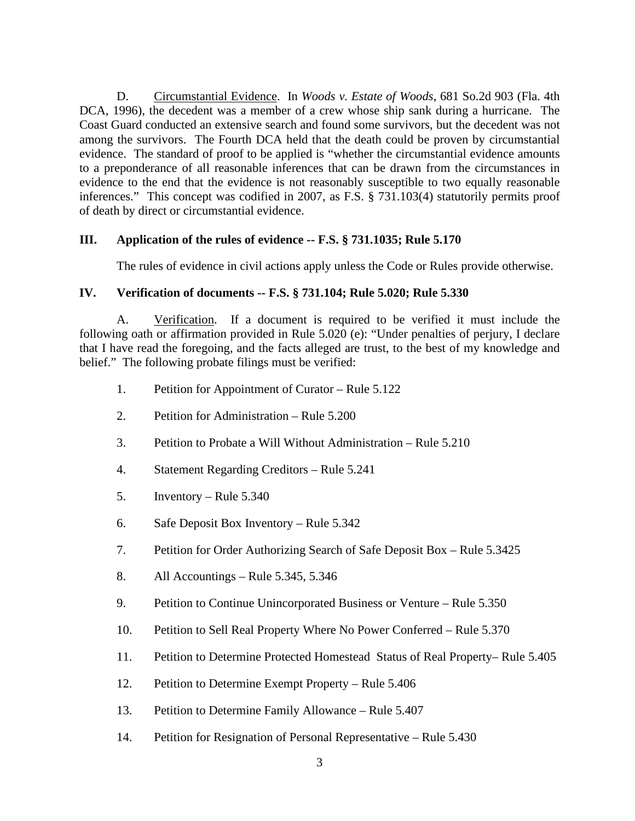D. Circumstantial Evidence. In *Woods v. Estate of Woods*, 681 So.2d 903 (Fla. 4th DCA, 1996), the decedent was a member of a crew whose ship sank during a hurricane. The Coast Guard conducted an extensive search and found some survivors, but the decedent was not among the survivors. The Fourth DCA held that the death could be proven by circumstantial evidence. The standard of proof to be applied is "whether the circumstantial evidence amounts to a preponderance of all reasonable inferences that can be drawn from the circumstances in evidence to the end that the evidence is not reasonably susceptible to two equally reasonable inferences." This concept was codified in 2007, as F.S. § 731.103(4) statutorily permits proof of death by direct or circumstantial evidence.

## **III. Application of the rules of evidence -- F.S. § 731.1035; Rule 5.170**

The rules of evidence in civil actions apply unless the Code or Rules provide otherwise.

## **IV. Verification of documents -- F.S. § 731.104; Rule 5.020; Rule 5.330**

A. Verification. If a document is required to be verified it must include the following oath or affirmation provided in Rule 5.020 (e): "Under penalties of perjury, I declare that I have read the foregoing, and the facts alleged are trust, to the best of my knowledge and belief." The following probate filings must be verified:

- 1. Petition for Appointment of Curator Rule 5.122
- 2. Petition for Administration Rule 5.200
- 3. Petition to Probate a Will Without Administration Rule 5.210
- 4. Statement Regarding Creditors Rule 5.241
- 5. Inventory Rule 5.340
- 6. Safe Deposit Box Inventory Rule 5.342
- 7. Petition for Order Authorizing Search of Safe Deposit Box Rule 5.3425
- 8. All Accountings Rule 5.345, 5.346
- 9. Petition to Continue Unincorporated Business or Venture Rule 5.350
- 10. Petition to Sell Real Property Where No Power Conferred Rule 5.370
- 11. Petition to Determine Protected Homestead Status of Real Property– Rule 5.405
- 12. Petition to Determine Exempt Property Rule 5.406
- 13. Petition to Determine Family Allowance Rule 5.407
- 14. Petition for Resignation of Personal Representative Rule 5.430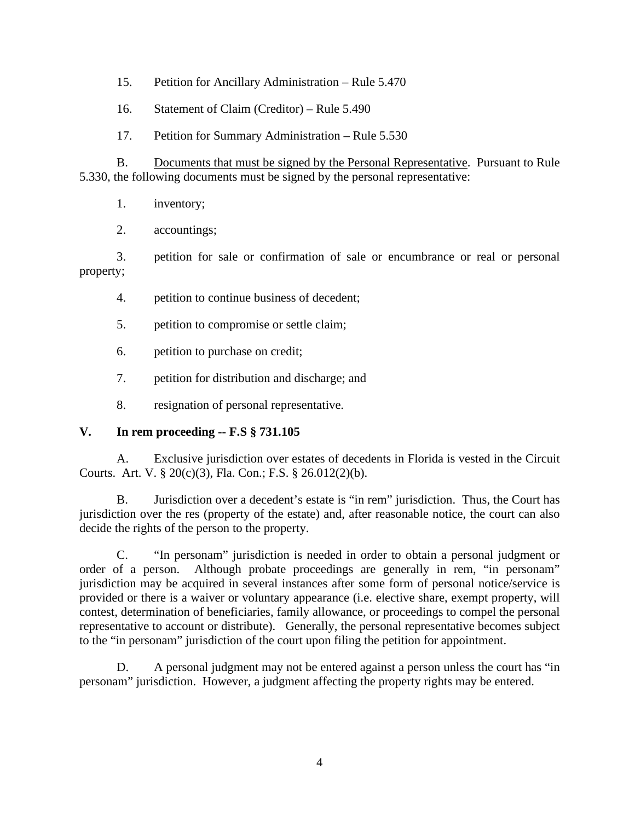- 15. Petition for Ancillary Administration Rule 5.470
- 16. Statement of Claim (Creditor) Rule 5.490
- 17. Petition for Summary Administration Rule 5.530

B. Documents that must be signed by the Personal Representative. Pursuant to Rule 5.330, the following documents must be signed by the personal representative:

- 1. inventory;
- 2. accountings;

3. petition for sale or confirmation of sale or encumbrance or real or personal property;

- 4. petition to continue business of decedent;
- 5. petition to compromise or settle claim;
- 6. petition to purchase on credit;
- 7. petition for distribution and discharge; and
- 8. resignation of personal representative.

## **V. In rem proceeding -- F.S § 731.105**

A. Exclusive jurisdiction over estates of decedents in Florida is vested in the Circuit Courts. Art. V. § 20(c)(3), Fla. Con.; F.S. § 26.012(2)(b).

B. Jurisdiction over a decedent's estate is "in rem" jurisdiction. Thus, the Court has jurisdiction over the res (property of the estate) and, after reasonable notice, the court can also decide the rights of the person to the property.

C. "In personam" jurisdiction is needed in order to obtain a personal judgment or order of a person. Although probate proceedings are generally in rem, "in personam" jurisdiction may be acquired in several instances after some form of personal notice/service is provided or there is a waiver or voluntary appearance (i.e. elective share, exempt property, will contest, determination of beneficiaries, family allowance, or proceedings to compel the personal representative to account or distribute). Generally, the personal representative becomes subject to the "in personam" jurisdiction of the court upon filing the petition for appointment.

D. A personal judgment may not be entered against a person unless the court has "in personam" jurisdiction. However, a judgment affecting the property rights may be entered.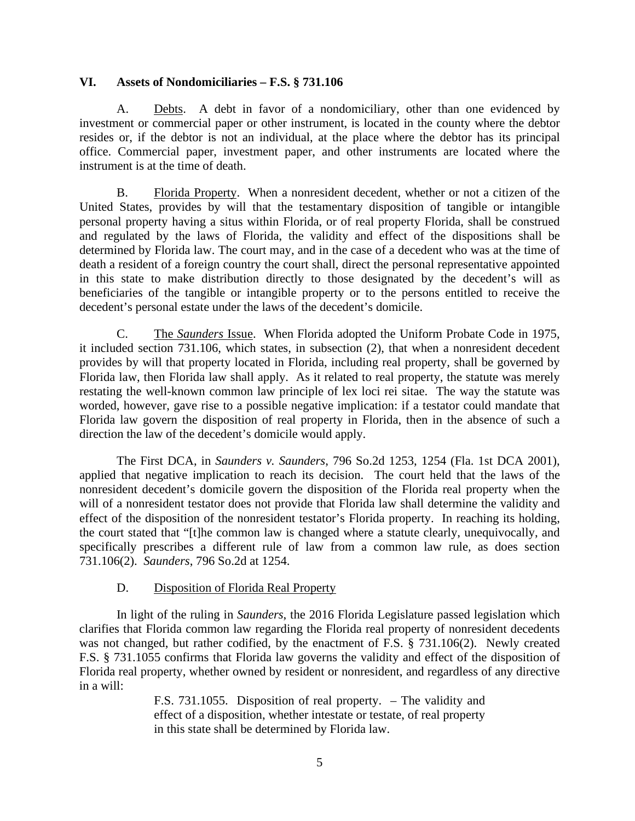### **VI. Assets of Nondomiciliaries – F.S. § 731.106**

A. Debts. A debt in favor of a nondomiciliary, other than one evidenced by investment or commercial paper or other instrument, is located in the county where the debtor resides or, if the debtor is not an individual, at the place where the debtor has its principal office. Commercial paper, investment paper, and other instruments are located where the instrument is at the time of death.

B. Florida Property. When a nonresident decedent, whether or not a citizen of the United States, provides by will that the testamentary disposition of tangible or intangible personal property having a situs within Florida, or of real property Florida, shall be construed and regulated by the laws of Florida, the validity and effect of the dispositions shall be determined by Florida law. The court may, and in the case of a decedent who was at the time of death a resident of a foreign country the court shall, direct the personal representative appointed in this state to make distribution directly to those designated by the decedent's will as beneficiaries of the tangible or intangible property or to the persons entitled to receive the decedent's personal estate under the laws of the decedent's domicile.

C. The *Saunders* Issue. When Florida adopted the Uniform Probate Code in 1975, it included section 731.106, which states, in subsection (2), that when a nonresident decedent provides by will that property located in Florida, including real property, shall be governed by Florida law, then Florida law shall apply. As it related to real property, the statute was merely restating the well-known common law principle of lex loci rei sitae. The way the statute was worded, however, gave rise to a possible negative implication: if a testator could mandate that Florida law govern the disposition of real property in Florida, then in the absence of such a direction the law of the decedent's domicile would apply.

The First DCA, in *Saunders v. Saunders*, 796 So.2d 1253, 1254 (Fla. 1st DCA 2001), applied that negative implication to reach its decision. The court held that the laws of the nonresident decedent's domicile govern the disposition of the Florida real property when the will of a nonresident testator does not provide that Florida law shall determine the validity and effect of the disposition of the nonresident testator's Florida property. In reaching its holding, the court stated that "[t]he common law is changed where a statute clearly, unequivocally, and specifically prescribes a different rule of law from a common law rule, as does section 731.106(2). *Saunders*, 796 So.2d at 1254.

## D. Disposition of Florida Real Property

In light of the ruling in *Saunders*, the 2016 Florida Legislature passed legislation which clarifies that Florida common law regarding the Florida real property of nonresident decedents was not changed, but rather codified, by the enactment of F.S. § 731.106(2). Newly created F.S. § 731.1055 confirms that Florida law governs the validity and effect of the disposition of Florida real property, whether owned by resident or nonresident, and regardless of any directive in a will:

> F.S. 731.1055. Disposition of real property. – The validity and effect of a disposition, whether intestate or testate, of real property in this state shall be determined by Florida law.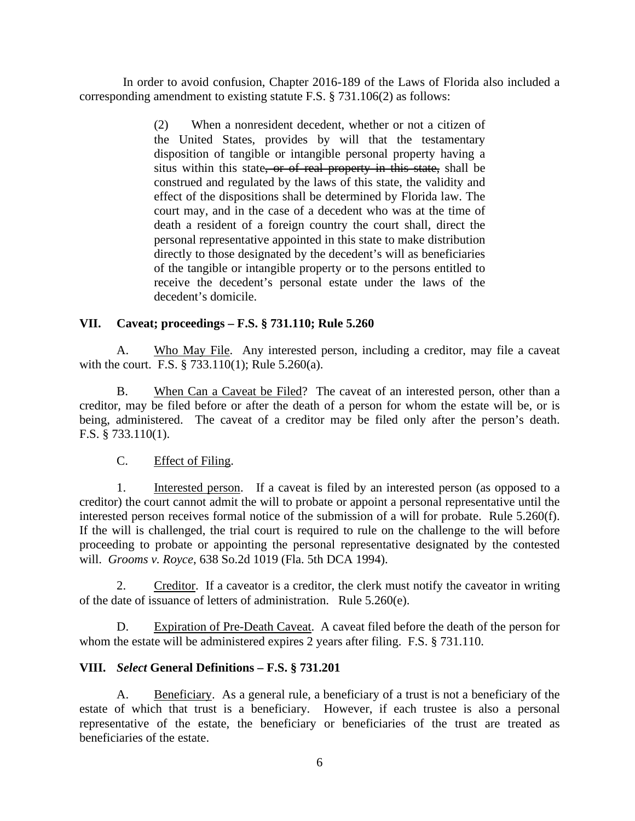In order to avoid confusion, Chapter 2016-189 of the Laws of Florida also included a corresponding amendment to existing statute F.S. § 731.106(2) as follows:

> (2) When a nonresident decedent, whether or not a citizen of the United States, provides by will that the testamentary disposition of tangible or intangible personal property having a situs within this state, or of real property in this state, shall be construed and regulated by the laws of this state, the validity and effect of the dispositions shall be determined by Florida law. The court may, and in the case of a decedent who was at the time of death a resident of a foreign country the court shall, direct the personal representative appointed in this state to make distribution directly to those designated by the decedent's will as beneficiaries of the tangible or intangible property or to the persons entitled to receive the decedent's personal estate under the laws of the decedent's domicile.

## **VII. Caveat; proceedings – F.S. § 731.110; Rule 5.260**

A. Who May File. Any interested person, including a creditor, may file a caveat with the court. F.S. § 733.110(1); Rule 5.260(a).

B. When Can a Caveat be Filed? The caveat of an interested person, other than a creditor, may be filed before or after the death of a person for whom the estate will be, or is being, administered. The caveat of a creditor may be filed only after the person's death. F.S. § 733.110(1).

# C. Effect of Filing.

1. Interested person. If a caveat is filed by an interested person (as opposed to a creditor) the court cannot admit the will to probate or appoint a personal representative until the interested person receives formal notice of the submission of a will for probate. Rule 5.260(f). If the will is challenged, the trial court is required to rule on the challenge to the will before proceeding to probate or appointing the personal representative designated by the contested will. *Grooms v. Royce*, 638 So.2d 1019 (Fla. 5th DCA 1994).

2. Creditor. If a caveator is a creditor, the clerk must notify the caveator in writing of the date of issuance of letters of administration. Rule 5.260(e).

D. Expiration of Pre-Death Caveat. A caveat filed before the death of the person for whom the estate will be administered expires 2 years after filing. F.S. § 731.110.

## **VIII.** *Select* **General Definitions – F.S. § 731.201**

A. Beneficiary. As a general rule, a beneficiary of a trust is not a beneficiary of the estate of which that trust is a beneficiary. However, if each trustee is also a personal representative of the estate, the beneficiary or beneficiaries of the trust are treated as beneficiaries of the estate.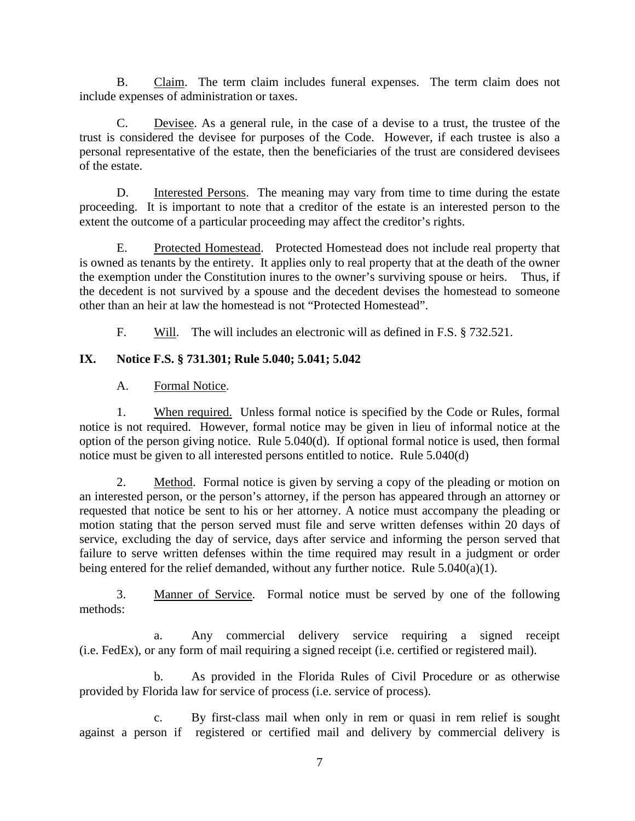B. Claim. The term claim includes funeral expenses. The term claim does not include expenses of administration or taxes.

C. Devisee. As a general rule, in the case of a devise to a trust, the trustee of the trust is considered the devisee for purposes of the Code. However, if each trustee is also a personal representative of the estate, then the beneficiaries of the trust are considered devisees of the estate.

D. Interested Persons. The meaning may vary from time to time during the estate proceeding. It is important to note that a creditor of the estate is an interested person to the extent the outcome of a particular proceeding may affect the creditor's rights.

E. Protected Homestead. Protected Homestead does not include real property that is owned as tenants by the entirety. It applies only to real property that at the death of the owner the exemption under the Constitution inures to the owner's surviving spouse or heirs. Thus, if the decedent is not survived by a spouse and the decedent devises the homestead to someone other than an heir at law the homestead is not "Protected Homestead".

F. Will. The will includes an electronic will as defined in F.S. § 732.521.

## **IX. Notice F.S. § 731.301; Rule 5.040; 5.041; 5.042**

## A. Formal Notice.

1. When required. Unless formal notice is specified by the Code or Rules, formal notice is not required. However, formal notice may be given in lieu of informal notice at the option of the person giving notice. Rule 5.040(d). If optional formal notice is used, then formal notice must be given to all interested persons entitled to notice. Rule 5.040(d)

2. Method. Formal notice is given by serving a copy of the pleading or motion on an interested person, or the person's attorney, if the person has appeared through an attorney or requested that notice be sent to his or her attorney. A notice must accompany the pleading or motion stating that the person served must file and serve written defenses within 20 days of service, excluding the day of service, days after service and informing the person served that failure to serve written defenses within the time required may result in a judgment or order being entered for the relief demanded, without any further notice. Rule 5.040(a)(1).

3. Manner of Service. Formal notice must be served by one of the following methods:

a. Any commercial delivery service requiring a signed receipt (i.e. FedEx), or any form of mail requiring a signed receipt (i.e. certified or registered mail).

b. As provided in the Florida Rules of Civil Procedure or as otherwise provided by Florida law for service of process (i.e. service of process).

c. By first-class mail when only in rem or quasi in rem relief is sought against a person if registered or certified mail and delivery by commercial delivery is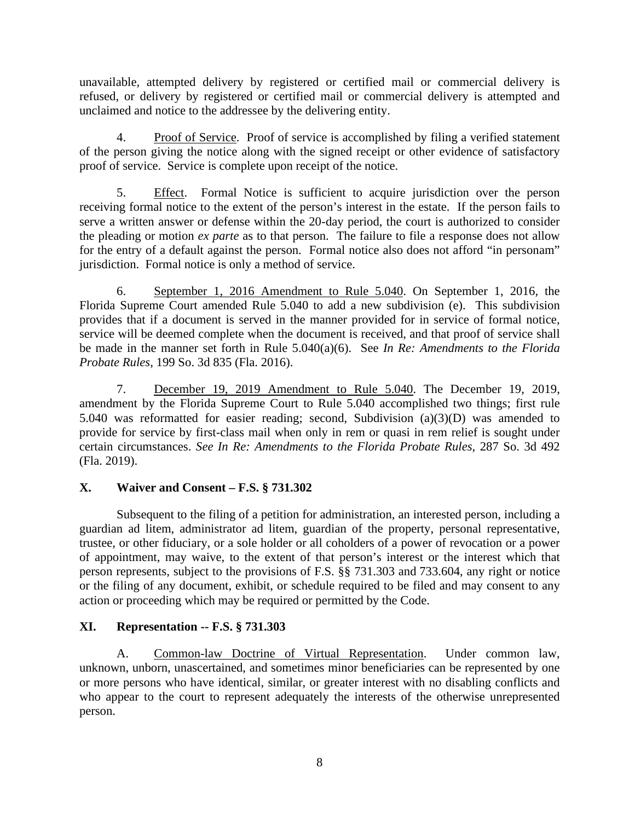unavailable, attempted delivery by registered or certified mail or commercial delivery is refused, or delivery by registered or certified mail or commercial delivery is attempted and unclaimed and notice to the addressee by the delivering entity.

4. Proof of Service. Proof of service is accomplished by filing a verified statement of the person giving the notice along with the signed receipt or other evidence of satisfactory proof of service. Service is complete upon receipt of the notice.

5. Effect. Formal Notice is sufficient to acquire jurisdiction over the person receiving formal notice to the extent of the person's interest in the estate. If the person fails to serve a written answer or defense within the 20-day period, the court is authorized to consider the pleading or motion *ex parte* as to that person. The failure to file a response does not allow for the entry of a default against the person. Formal notice also does not afford "in personam" jurisdiction. Formal notice is only a method of service.

6. September 1, 2016 Amendment to Rule 5.040. On September 1, 2016, the Florida Supreme Court amended Rule 5.040 to add a new subdivision (e). This subdivision provides that if a document is served in the manner provided for in service of formal notice, service will be deemed complete when the document is received, and that proof of service shall be made in the manner set forth in Rule 5.040(a)(6). See *In Re: Amendments to the Florida Probate Rules*, 199 So. 3d 835 (Fla. 2016).

7. December 19, 2019 Amendment to Rule 5.040. The December 19, 2019, amendment by the Florida Supreme Court to Rule 5.040 accomplished two things; first rule 5.040 was reformatted for easier reading; second, Subdivision (a)(3)(D) was amended to provide for service by first-class mail when only in rem or quasi in rem relief is sought under certain circumstances. *See In Re: Amendments to the Florida Probate Rules,* 287 So. 3d 492 (Fla. 2019).

# **X. Waiver and Consent – F.S. § 731.302**

Subsequent to the filing of a petition for administration, an interested person, including a guardian ad litem, administrator ad litem, guardian of the property, personal representative, trustee, or other fiduciary, or a sole holder or all coholders of a power of revocation or a power of appointment, may waive, to the extent of that person's interest or the interest which that person represents, subject to the provisions of F.S. §§ [731.303](http://www.leg.state.fl.us/Statutes/index.cfm?App_mode=Display_Statute&Search_String=&URL=0700-0799/0731/Sections/0731.303.html) and [733.604,](http://www.leg.state.fl.us/Statutes/index.cfm?App_mode=Display_Statute&Search_String=&URL=0700-0799/0733/Sections/0733.604.html) any right or notice or the filing of any document, exhibit, or schedule required to be filed and may consent to any action or proceeding which may be required or permitted by the Code.

## **XI. Representation -- F.S. § 731.303**

A. Common-law Doctrine of Virtual Representation. Under common law, unknown, unborn, unascertained, and sometimes minor beneficiaries can be represented by one or more persons who have identical, similar, or greater interest with no disabling conflicts and who appear to the court to represent adequately the interests of the otherwise unrepresented person.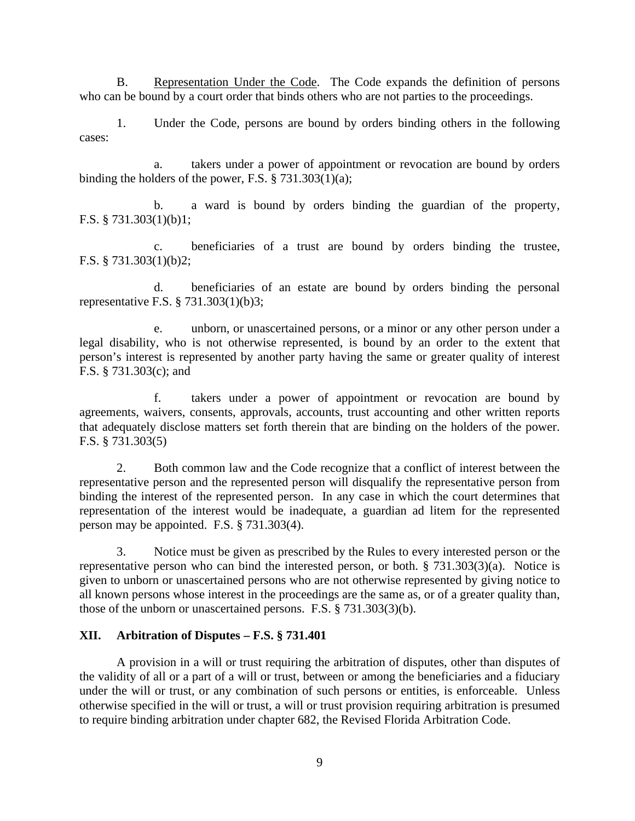B. Representation Under the Code. The Code expands the definition of persons who can be bound by a court order that binds others who are not parties to the proceedings.

1. Under the Code, persons are bound by orders binding others in the following cases:

a. takers under a power of appointment or revocation are bound by orders binding the holders of the power, F.S. § 731.303(1)(a);

b. a ward is bound by orders binding the guardian of the property, F.S. § 731.303(1)(b)1;

c. beneficiaries of a trust are bound by orders binding the trustee, F.S. § 731.303(1)(b)2;

d. beneficiaries of an estate are bound by orders binding the personal representative F.S. § 731.303(1)(b)3;

e. unborn, or unascertained persons, or a minor or any other person under a legal disability, who is not otherwise represented, is bound by an order to the extent that person's interest is represented by another party having the same or greater quality of interest F.S. § 731.303(c); and

f. takers under a power of appointment or revocation are bound by agreements, waivers, consents, approvals, accounts, trust accounting and other written reports that adequately disclose matters set forth therein that are binding on the holders of the power. F.S. § 731.303(5)

2. Both common law and the Code recognize that a conflict of interest between the representative person and the represented person will disqualify the representative person from binding the interest of the represented person. In any case in which the court determines that representation of the interest would be inadequate, a guardian ad litem for the represented person may be appointed. F.S. § 731.303(4).

3. Notice must be given as prescribed by the Rules to every interested person or the representative person who can bind the interested person, or both. § 731.303(3)(a). Notice is given to unborn or unascertained persons who are not otherwise represented by giving notice to all known persons whose interest in the proceedings are the same as, or of a greater quality than, those of the unborn or unascertained persons. F.S. § 731.303(3)(b).

## **XII. Arbitration of Disputes – F.S. § 731.401**

A provision in a will or trust requiring the arbitration of disputes, other than disputes of the validity of all or a part of a will or trust, between or among the beneficiaries and a fiduciary under the will or trust, or any combination of such persons or entities, is enforceable. Unless otherwise specified in the will or trust, a will or trust provision requiring arbitration is presumed to require binding arbitration under chapter 682, the Revised Florida Arbitration Code.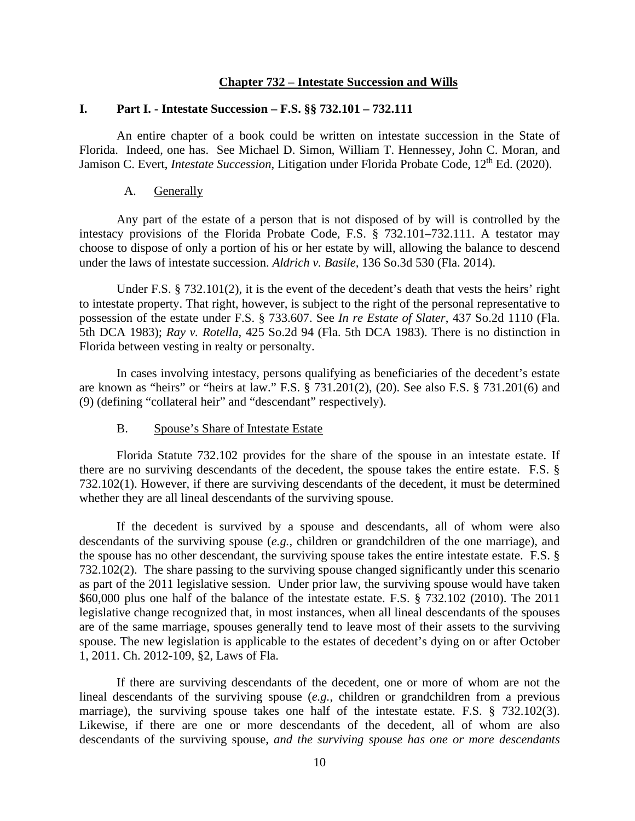#### **Chapter 732 – Intestate Succession and Wills**

## **I. Part I. - Intestate Succession – F.S. §§ 732.101 – 732.111**

An entire chapter of a book could be written on intestate succession in the State of Florida. Indeed, one has. See Michael D. Simon, William T. Hennessey, John C. Moran, and Jamison C. Evert, *Intestate Succession*, Litigation under Florida Probate Code, 12<sup>th</sup> Ed. (2020).

#### A. Generally

Any part of the estate of a person that is not disposed of by will is controlled by the intestacy provisions of the Florida Probate Code, F.S. § 732.101–732.111. A testator may choose to dispose of only a portion of his or her estate by will, allowing the balance to descend under the laws of intestate succession. *Aldrich v. Basile,* 136 So.3d 530 (Fla. 2014).

Under F.S. § 732.101(2), it is the event of the decedent's death that vests the heirs' right to intestate property. That right, however, is subject to the right of the personal representative to possession of the estate under F.S. § 733.607. See *In re Estate of Slater*, 437 So.2d 1110 (Fla. 5th DCA 1983); *Ray v. Rotella*, 425 So.2d 94 (Fla. 5th DCA 1983). There is no distinction in Florida between vesting in realty or personalty.

In cases involving intestacy, persons qualifying as beneficiaries of the decedent's estate are known as "heirs" or "heirs at law." F.S. § 731.201(2), (20). See also F.S. § 731.201(6) and (9) (defining "collateral heir" and "descendant" respectively).

#### B. Spouse's Share of Intestate Estate

Florida Statute 732.102 provides for the share of the spouse in an intestate estate. If there are no surviving descendants of the decedent, the spouse takes the entire estate. F.S. § 732.102(1). However, if there are surviving descendants of the decedent, it must be determined whether they are all lineal descendants of the surviving spouse.

If the decedent is survived by a spouse and descendants, all of whom were also descendants of the surviving spouse (*e.g.*, children or grandchildren of the one marriage), and the spouse has no other descendant, the surviving spouse takes the entire intestate estate. F.S. § 732.102(2). The share passing to the surviving spouse changed significantly under this scenario as part of the 2011 legislative session. Under prior law, the surviving spouse would have taken \$60,000 plus one half of the balance of the intestate estate. F.S. § 732.102 (2010). The 2011 legislative change recognized that, in most instances, when all lineal descendants of the spouses are of the same marriage, spouses generally tend to leave most of their assets to the surviving spouse. The new legislation is applicable to the estates of decedent's dying on or after October 1, 2011. Ch. 2012-109, §2, Laws of Fla.

If there are surviving descendants of the decedent, one or more of whom are not the lineal descendants of the surviving spouse (*e.g.*, children or grandchildren from a previous marriage), the surviving spouse takes one half of the intestate estate. F.S. § 732.102(3). Likewise, if there are one or more descendants of the decedent, all of whom are also descendants of the surviving spouse, *and the surviving spouse has one or more descendants*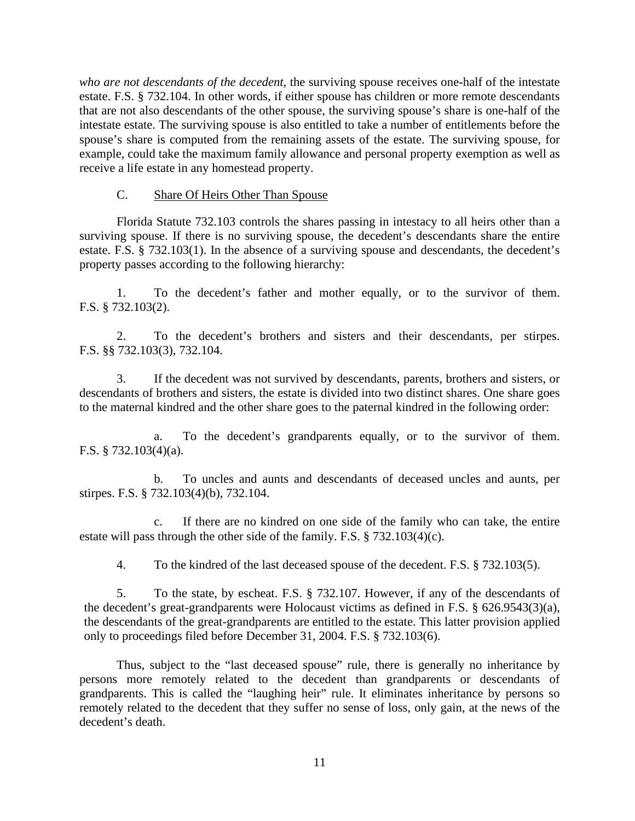*who are not descendants of the decedent*, the surviving spouse receives one-half of the intestate estate. F.S. § 732.104. In other words, if either spouse has children or more remote descendants that are not also descendants of the other spouse, the surviving spouse's share is one-half of the intestate estate. The surviving spouse is also entitled to take a number of entitlements before the spouse's share is computed from the remaining assets of the estate. The surviving spouse, for example, could take the maximum family allowance and personal property exemption as well as receive a life estate in any homestead property.

## C. Share Of Heirs Other Than Spouse

Florida Statute 732.103 controls the shares passing in intestacy to all heirs other than a surviving spouse. If there is no surviving spouse, the decedent's descendants share the entire estate. F.S. § 732.103(1). In the absence of a surviving spouse and descendants, the decedent's property passes according to the following hierarchy:

1. To the decedent's father and mother equally, or to the survivor of them. F.S. § 732.103(2).

2. To the decedent's brothers and sisters and their descendants, per stirpes. F.S. §§ 732.103(3), 732.104.

3. If the decedent was not survived by descendants, parents, brothers and sisters, or descendants of brothers and sisters, the estate is divided into two distinct shares. One share goes to the maternal kindred and the other share goes to the paternal kindred in the following order:

a. To the decedent's grandparents equally, or to the survivor of them. F.S. § 732.103(4)(a).

b. To uncles and aunts and descendants of deceased uncles and aunts, per stirpes. F.S. § 732.103(4)(b), 732.104.

c. If there are no kindred on one side of the family who can take, the entire estate will pass through the other side of the family. F.S. § 732.103(4)(c).

4. To the kindred of the last deceased spouse of the decedent. F.S. § 732.103(5).

5. To the state, by escheat. F.S. § 732.107. However, if any of the descendants of the decedent's great-grandparents were Holocaust victims as defined in F.S. § 626.9543(3)(a), the descendants of the great-grandparents are entitled to the estate. This latter provision applied only to proceedings filed before December 31, 2004. F.S. § 732.103(6).

Thus, subject to the "last deceased spouse" rule, there is generally no inheritance by persons more remotely related to the decedent than grandparents or descendants of grandparents. This is called the "laughing heir" rule. It eliminates inheritance by persons so remotely related to the decedent that they suffer no sense of loss, only gain, at the news of the decedent's death.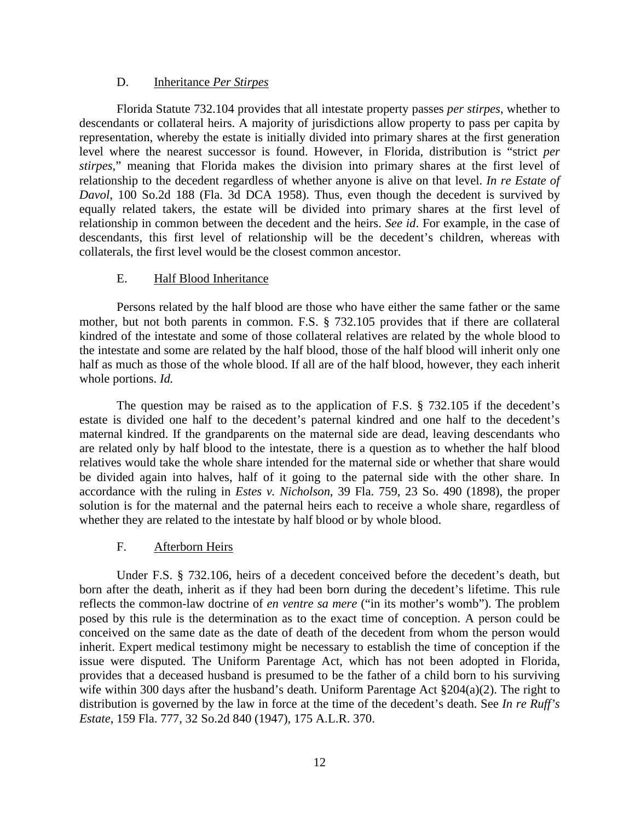#### D. Inheritance *Per Stirpes*

Florida Statute 732.104 provides that all intestate property passes *per stirpes*, whether to descendants or collateral heirs. A majority of jurisdictions allow property to pass per capita by representation, whereby the estate is initially divided into primary shares at the first generation level where the nearest successor is found. However, in Florida, distribution is "strict *per stirpes*," meaning that Florida makes the division into primary shares at the first level of relationship to the decedent regardless of whether anyone is alive on that level. *In re Estate of Davol*, 100 So.2d 188 (Fla. 3d DCA 1958). Thus, even though the decedent is survived by equally related takers, the estate will be divided into primary shares at the first level of relationship in common between the decedent and the heirs. *See id*. For example, in the case of descendants, this first level of relationship will be the decedent's children, whereas with collaterals, the first level would be the closest common ancestor.

### E. Half Blood Inheritance

Persons related by the half blood are those who have either the same father or the same mother, but not both parents in common. F.S. § 732.105 provides that if there are collateral kindred of the intestate and some of those collateral relatives are related by the whole blood to the intestate and some are related by the half blood, those of the half blood will inherit only one half as much as those of the whole blood. If all are of the half blood, however, they each inherit whole portions. *Id.*

The question may be raised as to the application of F.S. § 732.105 if the decedent's estate is divided one half to the decedent's paternal kindred and one half to the decedent's maternal kindred. If the grandparents on the maternal side are dead, leaving descendants who are related only by half blood to the intestate, there is a question as to whether the half blood relatives would take the whole share intended for the maternal side or whether that share would be divided again into halves, half of it going to the paternal side with the other share. In accordance with the ruling in *Estes v. Nicholson*, 39 Fla. 759, 23 So. 490 (1898), the proper solution is for the maternal and the paternal heirs each to receive a whole share, regardless of whether they are related to the intestate by half blood or by whole blood.

### F. Afterborn Heirs

Under F.S. § 732.106, heirs of a decedent conceived before the decedent's death, but born after the death, inherit as if they had been born during the decedent's lifetime. This rule reflects the common-law doctrine of *en ventre sa mere* ("in its mother's womb"). The problem posed by this rule is the determination as to the exact time of conception. A person could be conceived on the same date as the date of death of the decedent from whom the person would inherit. Expert medical testimony might be necessary to establish the time of conception if the issue were disputed. The Uniform Parentage Act, which has not been adopted in Florida, provides that a deceased husband is presumed to be the father of a child born to his surviving wife within 300 days after the husband's death. Uniform Parentage Act §204(a)(2). The right to distribution is governed by the law in force at the time of the decedent's death. See *In re Ruff's Estate*, 159 Fla. 777, 32 So.2d 840 (1947), 175 A.L.R. 370.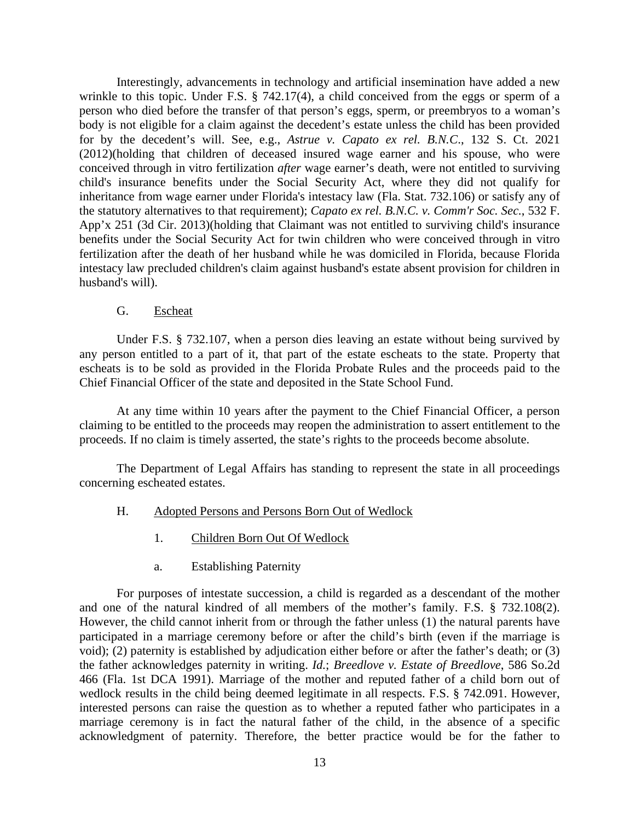Interestingly, advancements in technology and artificial insemination have added a new wrinkle to this topic. Under F.S. § 742.17(4), a child conceived from the eggs or sperm of a person who died before the transfer of that person's eggs, sperm, or preembryos to a woman's body is not eligible for a claim against the decedent's estate unless the child has been provided for by the decedent's will. See, e.g., *Astrue v. Capato ex rel. B.N.C*., 132 S. Ct. 2021 (2012)(holding that children of deceased insured wage earner and his spouse, who were conceived through in vitro fertilization *after* wage earner's death, were not entitled to surviving child's insurance benefits under the Social Security Act, where they did not qualify for inheritance from wage earner under Florida's intestacy law (Fla. Stat. 732.106) or satisfy any of the statutory alternatives to that requirement); *Capato ex rel. B.N.C. v. Comm'r Soc. Sec.*, 532 F. App'x 251 (3d Cir. 2013)(holding that Claimant was not entitled to surviving child's insurance benefits under the Social Security Act for twin children who were conceived through in vitro fertilization after the death of her husband while he was domiciled in Florida, because Florida intestacy law precluded children's claim against husband's estate absent provision for children in husband's will).

### G. Escheat

Under F.S. § 732.107, when a person dies leaving an estate without being survived by any person entitled to a part of it, that part of the estate escheats to the state. Property that escheats is to be sold as provided in the Florida Probate Rules and the proceeds paid to the Chief Financial Officer of the state and deposited in the State School Fund.

At any time within 10 years after the payment to the Chief Financial Officer, a person claiming to be entitled to the proceeds may reopen the administration to assert entitlement to the proceeds. If no claim is timely asserted, the state's rights to the proceeds become absolute.

The Department of Legal Affairs has standing to represent the state in all proceedings concerning escheated estates.

- H. Adopted Persons and Persons Born Out of Wedlock
	- 1. Children Born Out Of Wedlock
	- a. Establishing Paternity

For purposes of intestate succession, a child is regarded as a descendant of the mother and one of the natural kindred of all members of the mother's family. F.S. § 732.108(2). However, the child cannot inherit from or through the father unless (1) the natural parents have participated in a marriage ceremony before or after the child's birth (even if the marriage is void); (2) paternity is established by adjudication either before or after the father's death; or (3) the father acknowledges paternity in writing. *Id.*; *Breedlove v. Estate of Breedlove*, 586 So.2d 466 (Fla. 1st DCA 1991). Marriage of the mother and reputed father of a child born out of wedlock results in the child being deemed legitimate in all respects. F.S. § 742.091. However, interested persons can raise the question as to whether a reputed father who participates in a marriage ceremony is in fact the natural father of the child, in the absence of a specific acknowledgment of paternity. Therefore, the better practice would be for the father to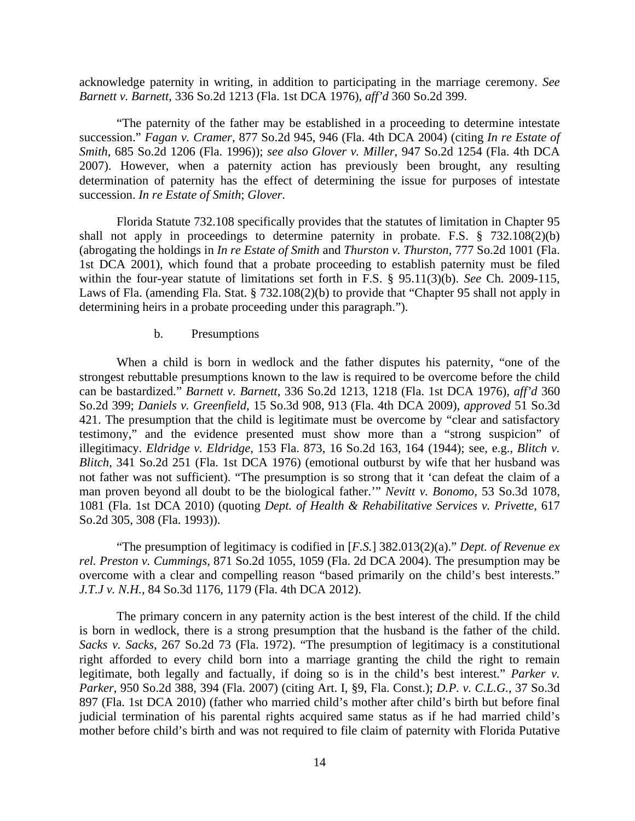acknowledge paternity in writing, in addition to participating in the marriage ceremony. *See Barnett v. Barnett*, 336 So.2d 1213 (Fla. 1st DCA 1976), *aff'd* 360 So.2d 399.

"The paternity of the father may be established in a proceeding to determine intestate succession." *Fagan v. Cramer*, 877 So.2d 945, 946 (Fla. 4th DCA 2004) (citing *In re Estate of Smith*, 685 So.2d 1206 (Fla. 1996)); *see also Glover v. Miller*, 947 So.2d 1254 (Fla. 4th DCA 2007). However, when a paternity action has previously been brought, any resulting determination of paternity has the effect of determining the issue for purposes of intestate succession. *In re Estate of Smith*; *Glover*.

Florida Statute 732.108 specifically provides that the statutes of limitation in Chapter 95 shall not apply in proceedings to determine paternity in probate. F.S.  $\S$  732.108(2)(b) (abrogating the holdings in *In re Estate of Smith* and *Thurston v. Thurston*, 777 So.2d 1001 (Fla. 1st DCA 2001), which found that a probate proceeding to establish paternity must be filed within the four-year statute of limitations set forth in F.S. § 95.11(3)(b). *See* Ch. 2009-115, Laws of Fla. (amending Fla. Stat. § 732.108(2)(b) to provide that "Chapter 95 shall not apply in determining heirs in a probate proceeding under this paragraph.").

#### b. Presumptions

When a child is born in wedlock and the father disputes his paternity, "one of the strongest rebuttable presumptions known to the law is required to be overcome before the child can be bastardized." *Barnett v. Barnett*, 336 So.2d 1213, 1218 (Fla. 1st DCA 1976), *aff'd* 360 So.2d 399; *Daniels v. Greenfield*, 15 So.3d 908, 913 (Fla. 4th DCA 2009), *approved* 51 So.3d 421. The presumption that the child is legitimate must be overcome by "clear and satisfactory testimony," and the evidence presented must show more than a "strong suspicion" of illegitimacy. *Eldridge v. Eldridge*, 153 Fla. 873, 16 So.2d 163, 164 (1944); see, e.g., *Blitch v. Blitch*, 341 So.2d 251 (Fla. 1st DCA 1976) (emotional outburst by wife that her husband was not father was not sufficient). "The presumption is so strong that it 'can defeat the claim of a man proven beyond all doubt to be the biological father.'" *Nevitt v. Bonomo*, 53 So.3d 1078, 1081 (Fla. 1st DCA 2010) (quoting *Dept. of Health & Rehabilitative Services v. Privette*, 617 So.2d 305, 308 (Fla. 1993)).

"The presumption of legitimacy is codified in [*F.S.*] 382.013(2)(a)." *Dept. of Revenue ex rel. Preston v. Cummings*, 871 So.2d 1055, 1059 (Fla. 2d DCA 2004). The presumption may be overcome with a clear and compelling reason "based primarily on the child's best interests." *J.T.J v. N.H.*, 84 So.3d 1176, 1179 (Fla. 4th DCA 2012).

The primary concern in any paternity action is the best interest of the child. If the child is born in wedlock, there is a strong presumption that the husband is the father of the child. *Sacks v. Sacks*, 267 So.2d 73 (Fla. 1972). "The presumption of legitimacy is a constitutional right afforded to every child born into a marriage granting the child the right to remain legitimate, both legally and factually, if doing so is in the child's best interest." *Parker v. Parker*, 950 So.2d 388, 394 (Fla. 2007) (citing Art. I, §9, Fla. Const.); *D.P. v. C.L.G.*, 37 So.3d 897 (Fla. 1st DCA 2010) (father who married child's mother after child's birth but before final judicial termination of his parental rights acquired same status as if he had married child's mother before child's birth and was not required to file claim of paternity with Florida Putative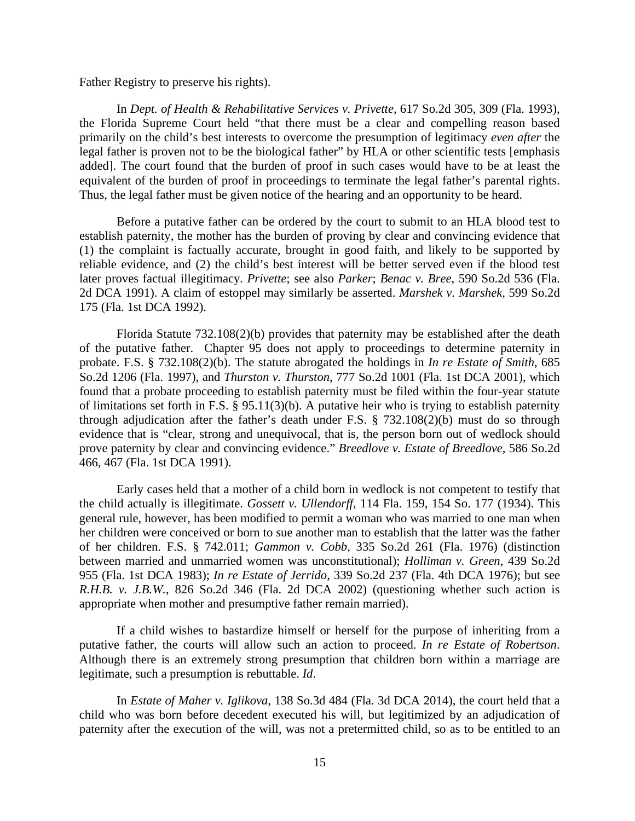Father Registry to preserve his rights).

In *Dept. of Health & Rehabilitative Services v. Privette*, 617 So.2d 305, 309 (Fla. 1993), the Florida Supreme Court held "that there must be a clear and compelling reason based primarily on the child's best interests to overcome the presumption of legitimacy *even after* the legal father is proven not to be the biological father" by HLA or other scientific tests [emphasis added]. The court found that the burden of proof in such cases would have to be at least the equivalent of the burden of proof in proceedings to terminate the legal father's parental rights. Thus, the legal father must be given notice of the hearing and an opportunity to be heard.

Before a putative father can be ordered by the court to submit to an HLA blood test to establish paternity, the mother has the burden of proving by clear and convincing evidence that (1) the complaint is factually accurate, brought in good faith, and likely to be supported by reliable evidence, and (2) the child's best interest will be better served even if the blood test later proves factual illegitimacy. *Privette*; see also *Parker*; *Benac v. Bree*, 590 So.2d 536 (Fla. 2d DCA 1991). A claim of estoppel may similarly be asserted. *Marshek v. Marshek*, 599 So.2d 175 (Fla. 1st DCA 1992).

Florida Statute 732.108(2)(b) provides that paternity may be established after the death of the putative father. Chapter 95 does not apply to proceedings to determine paternity in probate. F.S. § 732.108(2)(b). The statute abrogated the holdings in *In re Estate of Smith*, 685 So.2d 1206 (Fla. 1997), and *Thurston v. Thurston*, 777 So.2d 1001 (Fla. 1st DCA 2001), which found that a probate proceeding to establish paternity must be filed within the four-year statute of limitations set forth in F.S. § 95.11(3)(b). A putative heir who is trying to establish paternity through adjudication after the father's death under F.S. § 732.108(2)(b) must do so through evidence that is "clear, strong and unequivocal, that is, the person born out of wedlock should prove paternity by clear and convincing evidence." *Breedlove v. Estate of Breedlove*, 586 So.2d 466, 467 (Fla. 1st DCA 1991).

Early cases held that a mother of a child born in wedlock is not competent to testify that the child actually is illegitimate. *Gossett v. Ullendorff*, 114 Fla. 159, 154 So. 177 (1934). This general rule, however, has been modified to permit a woman who was married to one man when her children were conceived or born to sue another man to establish that the latter was the father of her children. F.S. § 742.011; *Gammon v. Cobb*, 335 So.2d 261 (Fla. 1976) (distinction between married and unmarried women was unconstitutional); *Holliman v. Green*, 439 So.2d 955 (Fla. 1st DCA 1983); *In re Estate of Jerrido*, 339 So.2d 237 (Fla. 4th DCA 1976); but see *R.H.B. v. J.B.W.*, 826 So.2d 346 (Fla. 2d DCA 2002) (questioning whether such action is appropriate when mother and presumptive father remain married).

If a child wishes to bastardize himself or herself for the purpose of inheriting from a putative father, the courts will allow such an action to proceed. *In re Estate of Robertson*. Although there is an extremely strong presumption that children born within a marriage are legitimate, such a presumption is rebuttable. *Id*.

In *Estate of Maher v. Iglikova*, 138 So.3d 484 (Fla. 3d DCA 2014), the court held that a child who was born before decedent executed his will, but legitimized by an adjudication of paternity after the execution of the will, was not a pretermitted child, so as to be entitled to an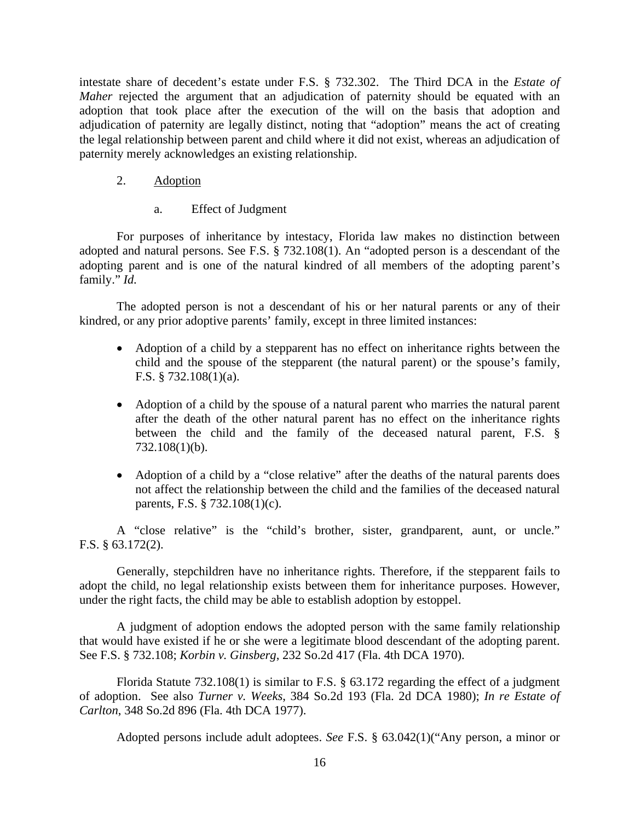intestate share of decedent's estate under F.S. § 732.302. The Third DCA in the *Estate of Maher* rejected the argument that an adjudication of paternity should be equated with an adoption that took place after the execution of the will on the basis that adoption and adjudication of paternity are legally distinct, noting that "adoption" means the act of creating the legal relationship between parent and child where it did not exist, whereas an adjudication of paternity merely acknowledges an existing relationship.

### 2. Adoption

a. Effect of Judgment

For purposes of inheritance by intestacy, Florida law makes no distinction between adopted and natural persons. See F.S. § 732.108(1). An "adopted person is a descendant of the adopting parent and is one of the natural kindred of all members of the adopting parent's family." *Id.*

The adopted person is not a descendant of his or her natural parents or any of their kindred, or any prior adoptive parents' family, except in three limited instances:

- Adoption of a child by a stepparent has no effect on inheritance rights between the child and the spouse of the stepparent (the natural parent) or the spouse's family, F.S. § 732.108(1)(a).
- Adoption of a child by the spouse of a natural parent who marries the natural parent after the death of the other natural parent has no effect on the inheritance rights between the child and the family of the deceased natural parent, F.S. § 732.108(1)(b).
- Adoption of a child by a "close relative" after the deaths of the natural parents does not affect the relationship between the child and the families of the deceased natural parents, F.S. § 732.108(1)(c).

A "close relative" is the "child's brother, sister, grandparent, aunt, or uncle." F.S. § 63.172(2).

Generally, stepchildren have no inheritance rights. Therefore, if the stepparent fails to adopt the child, no legal relationship exists between them for inheritance purposes. However, under the right facts, the child may be able to establish adoption by estoppel.

A judgment of adoption endows the adopted person with the same family relationship that would have existed if he or she were a legitimate blood descendant of the adopting parent. See F.S. § 732.108; *Korbin v. Ginsberg*, 232 So.2d 417 (Fla. 4th DCA 1970).

Florida Statute 732.108(1) is similar to F.S. § 63.172 regarding the effect of a judgment of adoption. See also *Turner v. Weeks*, 384 So.2d 193 (Fla. 2d DCA 1980); *In re Estate of Carlton*, 348 So.2d 896 (Fla. 4th DCA 1977).

Adopted persons include adult adoptees. *See* F.S. § 63.042(1)("Any person, a minor or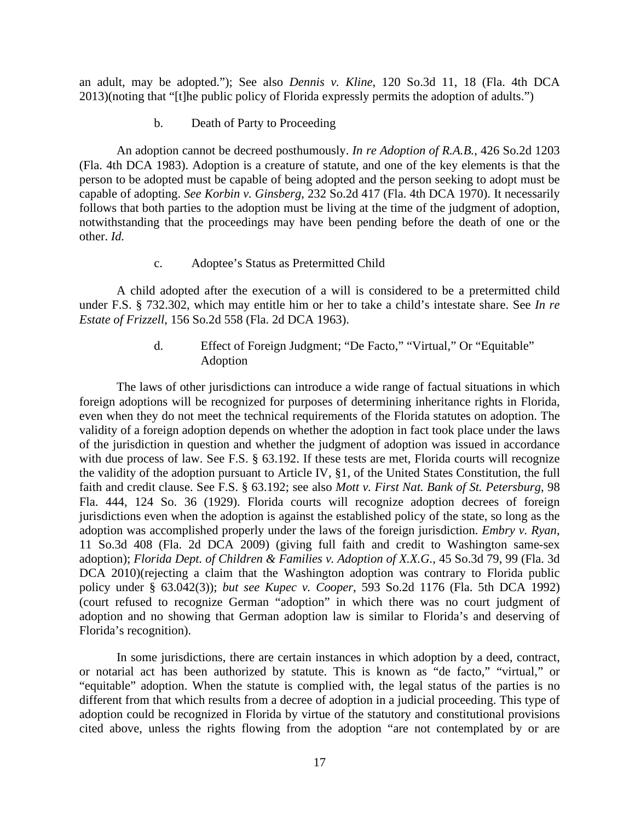an adult, may be adopted."); See also *Dennis v. Kline*, 120 So.3d 11, 18 (Fla. 4th DCA 2013)(noting that "[t]he public policy of Florida expressly permits the adoption of adults.")

b. Death of Party to Proceeding

An adoption cannot be decreed posthumously. *In re Adoption of R.A.B.*, 426 So.2d 1203 (Fla. 4th DCA 1983). Adoption is a creature of statute, and one of the key elements is that the person to be adopted must be capable of being adopted and the person seeking to adopt must be capable of adopting. *See Korbin v. Ginsberg*, 232 So.2d 417 (Fla. 4th DCA 1970). It necessarily follows that both parties to the adoption must be living at the time of the judgment of adoption, notwithstanding that the proceedings may have been pending before the death of one or the other. *Id.*

#### c. Adoptee's Status as Pretermitted Child

A child adopted after the execution of a will is considered to be a pretermitted child under F.S. § 732.302, which may entitle him or her to take a child's intestate share. See *In re Estate of Frizzell*, 156 So.2d 558 (Fla. 2d DCA 1963).

### d. Effect of Foreign Judgment; "De Facto," "Virtual," Or "Equitable" Adoption

The laws of other jurisdictions can introduce a wide range of factual situations in which foreign adoptions will be recognized for purposes of determining inheritance rights in Florida, even when they do not meet the technical requirements of the Florida statutes on adoption. The validity of a foreign adoption depends on whether the adoption in fact took place under the laws of the jurisdiction in question and whether the judgment of adoption was issued in accordance with due process of law. See F.S. § 63.192. If these tests are met, Florida courts will recognize the validity of the adoption pursuant to Article IV, §1, of the United States Constitution, the full faith and credit clause. See F.S. § 63.192; see also *Mott v. First Nat. Bank of St. Petersburg*, 98 Fla. 444, 124 So. 36 (1929). Florida courts will recognize adoption decrees of foreign jurisdictions even when the adoption is against the established policy of the state, so long as the adoption was accomplished properly under the laws of the foreign jurisdiction. *Embry v. Ryan*, 11 So.3d 408 (Fla. 2d DCA 2009) (giving full faith and credit to Washington same-sex adoption); *Florida Dept. of Children & Families v. Adoption of X.X.G.*, 45 So.3d 79, 99 (Fla. 3d DCA 2010)(rejecting a claim that the Washington adoption was contrary to Florida public policy under § 63.042(3)); *but see Kupec v. Cooper*, 593 So.2d 1176 (Fla. 5th DCA 1992) (court refused to recognize German "adoption" in which there was no court judgment of adoption and no showing that German adoption law is similar to Florida's and deserving of Florida's recognition).

In some jurisdictions, there are certain instances in which adoption by a deed, contract, or notarial act has been authorized by statute. This is known as "de facto," "virtual," or "equitable" adoption. When the statute is complied with, the legal status of the parties is no different from that which results from a decree of adoption in a judicial proceeding. This type of adoption could be recognized in Florida by virtue of the statutory and constitutional provisions cited above, unless the rights flowing from the adoption "are not contemplated by or are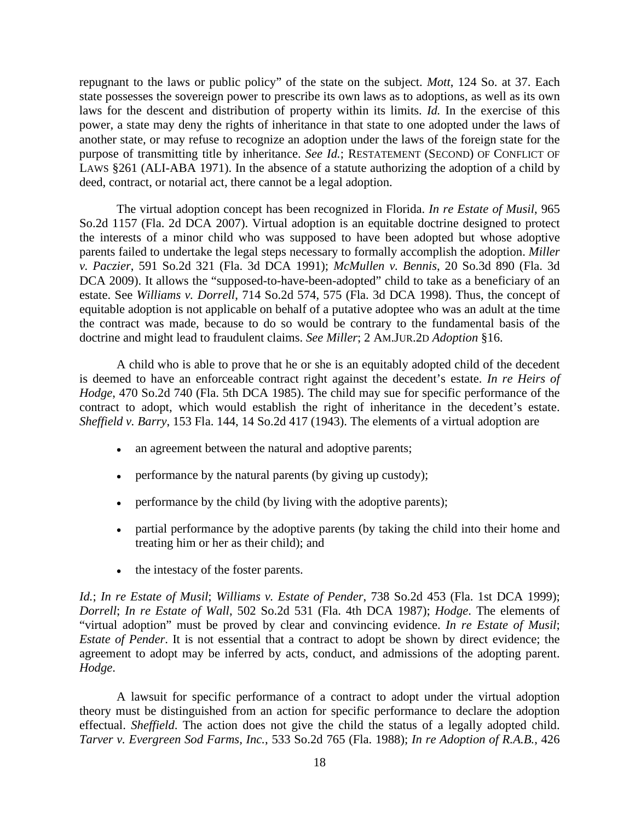repugnant to the laws or public policy" of the state on the subject. *Mott*, 124 So. at 37. Each state possesses the sovereign power to prescribe its own laws as to adoptions, as well as its own laws for the descent and distribution of property within its limits. *Id.* In the exercise of this power, a state may deny the rights of inheritance in that state to one adopted under the laws of another state, or may refuse to recognize an adoption under the laws of the foreign state for the purpose of transmitting title by inheritance. *See Id.*; RESTATEMENT (SECOND) OF CONFLICT OF LAWS §261 (ALI-ABA 1971). In the absence of a statute authorizing the adoption of a child by deed, contract, or notarial act, there cannot be a legal adoption.

The virtual adoption concept has been recognized in Florida. *In re Estate of Musil*, 965 So.2d 1157 (Fla. 2d DCA 2007). Virtual adoption is an equitable doctrine designed to protect the interests of a minor child who was supposed to have been adopted but whose adoptive parents failed to undertake the legal steps necessary to formally accomplish the adoption. *Miller v. Paczier*, 591 So.2d 321 (Fla. 3d DCA 1991); *McMullen v. Bennis*, 20 So.3d 890 (Fla. 3d DCA 2009). It allows the "supposed-to-have-been-adopted" child to take as a beneficiary of an estate. See *Williams v. Dorrell*, 714 So.2d 574, 575 (Fla. 3d DCA 1998). Thus, the concept of equitable adoption is not applicable on behalf of a putative adoptee who was an adult at the time the contract was made, because to do so would be contrary to the fundamental basis of the doctrine and might lead to fraudulent claims. *See Miller*; 2 AM.JUR.2D *Adoption* §16.

A child who is able to prove that he or she is an equitably adopted child of the decedent is deemed to have an enforceable contract right against the decedent's estate. *In re Heirs of Hodge*, 470 So.2d 740 (Fla. 5th DCA 1985). The child may sue for specific performance of the contract to adopt, which would establish the right of inheritance in the decedent's estate. *Sheffield v. Barry*, 153 Fla. 144, 14 So.2d 417 (1943). The elements of a virtual adoption are

- an agreement between the natural and adoptive parents;
- performance by the natural parents (by giving up custody);
- performance by the child (by living with the adoptive parents);
- partial performance by the adoptive parents (by taking the child into their home and treating him or her as their child); and
- the intestacy of the foster parents.

*Id.*; *In re Estate of Musil*; *Williams v. Estate of Pender*, 738 So.2d 453 (Fla. 1st DCA 1999); *Dorrell*; *In re Estate of Wall*, 502 So.2d 531 (Fla. 4th DCA 1987); *Hodge*. The elements of "virtual adoption" must be proved by clear and convincing evidence. *In re Estate of Musil*; *Estate of Pender*. It is not essential that a contract to adopt be shown by direct evidence; the agreement to adopt may be inferred by acts, conduct, and admissions of the adopting parent. *Hodge*.

A lawsuit for specific performance of a contract to adopt under the virtual adoption theory must be distinguished from an action for specific performance to declare the adoption effectual. *Sheffield*. The action does not give the child the status of a legally adopted child. *Tarver v. Evergreen Sod Farms, Inc.*, 533 So.2d 765 (Fla. 1988); *In re Adoption of R.A.B.*, 426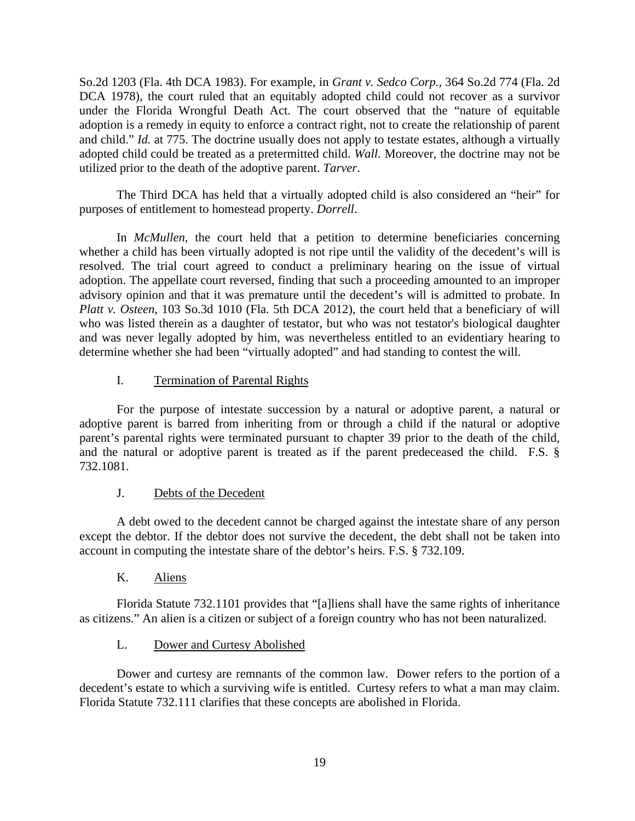So.2d 1203 (Fla. 4th DCA 1983). For example, in *Grant v. Sedco Corp.*, 364 So.2d 774 (Fla. 2d DCA 1978), the court ruled that an equitably adopted child could not recover as a survivor under the Florida Wrongful Death Act. The court observed that the "nature of equitable adoption is a remedy in equity to enforce a contract right, not to create the relationship of parent and child." *Id.* at 775. The doctrine usually does not apply to testate estates, although a virtually adopted child could be treated as a pretermitted child. *Wall*. Moreover, the doctrine may not be utilized prior to the death of the adoptive parent. *Tarver*.

The Third DCA has held that a virtually adopted child is also considered an "heir" for purposes of entitlement to homestead property. *Dorrell*.

In *McMullen,* the court held that a petition to determine beneficiaries concerning whether a child has been virtually adopted is not ripe until the validity of the decedent's will is resolved. The trial court agreed to conduct a preliminary hearing on the issue of virtual adoption. The appellate court reversed, finding that such a proceeding amounted to an improper advisory opinion and that it was premature until the decedent's will is admitted to probate. In *Platt v. Osteen*, 103 So.3d 1010 (Fla. 5th DCA 2012), the court held that a beneficiary of will who was listed therein as a daughter of testator, but who was not testator's biological daughter and was never legally adopted by him, was nevertheless entitled to an evidentiary hearing to determine whether she had been "virtually adopted" and had standing to contest the will.

### I. Termination of Parental Rights

For the purpose of intestate succession by a natural or adoptive parent, a natural or adoptive parent is barred from inheriting from or through a child if the natural or adoptive parent's parental rights were terminated pursuant to chapter 39 prior to the death of the child, and the natural or adoptive parent is treated as if the parent predeceased the child. F.S. § 732.1081.

## J. Debts of the Decedent

A debt owed to the decedent cannot be charged against the intestate share of any person except the debtor. If the debtor does not survive the decedent, the debt shall not be taken into account in computing the intestate share of the debtor's heirs. F.S. § 732.109.

### K. Aliens

Florida Statute 732.1101 provides that "[a]liens shall have the same rights of inheritance as citizens." An alien is a citizen or subject of a foreign country who has not been naturalized.

### L. Dower and Curtesy Abolished

Dower and curtesy are remnants of the common law. Dower refers to the portion of a decedent's estate to which a surviving wife is entitled. Curtesy refers to what a man may claim. Florida Statute 732.111 clarifies that these concepts are abolished in Florida.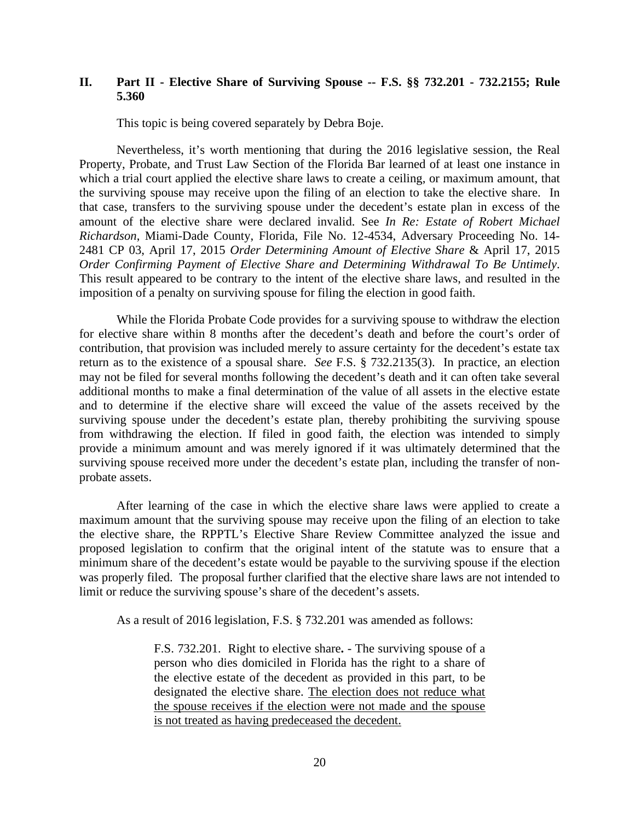### **II. Part II - Elective Share of Surviving Spouse -- F.S. §§ 732.201 - 732.2155; Rule 5.360**

This topic is being covered separately by Debra Boje.

Nevertheless, it's worth mentioning that during the 2016 legislative session, the Real Property, Probate, and Trust Law Section of the Florida Bar learned of at least one instance in which a trial court applied the elective share laws to create a ceiling, or maximum amount, that the surviving spouse may receive upon the filing of an election to take the elective share. In that case, transfers to the surviving spouse under the decedent's estate plan in excess of the amount of the elective share were declared invalid. See *In Re: Estate of Robert Michael Richardson*, Miami-Dade County, Florida, File No. 12-4534, Adversary Proceeding No. 14- 2481 CP 03, April 17, 2015 *Order Determining Amount of Elective Share* & April 17, 2015 *Order Confirming Payment of Elective Share and Determining Withdrawal To Be Untimely*. This result appeared to be contrary to the intent of the elective share laws, and resulted in the imposition of a penalty on surviving spouse for filing the election in good faith.

While the Florida Probate Code provides for a surviving spouse to withdraw the election for elective share within 8 months after the decedent's death and before the court's order of contribution, that provision was included merely to assure certainty for the decedent's estate tax return as to the existence of a spousal share. *See* F.S. § 732.2135(3). In practice, an election may not be filed for several months following the decedent's death and it can often take several additional months to make a final determination of the value of all assets in the elective estate and to determine if the elective share will exceed the value of the assets received by the surviving spouse under the decedent's estate plan, thereby prohibiting the surviving spouse from withdrawing the election. If filed in good faith, the election was intended to simply provide a minimum amount and was merely ignored if it was ultimately determined that the surviving spouse received more under the decedent's estate plan, including the transfer of nonprobate assets.

After learning of the case in which the elective share laws were applied to create a maximum amount that the surviving spouse may receive upon the filing of an election to take the elective share, the RPPTL's Elective Share Review Committee analyzed the issue and proposed legislation to confirm that the original intent of the statute was to ensure that a minimum share of the decedent's estate would be payable to the surviving spouse if the election was properly filed. The proposal further clarified that the elective share laws are not intended to limit or reduce the surviving spouse's share of the decedent's assets.

As a result of 2016 legislation, F.S. § 732.201 was amended as follows:

F.S. 732.201. Right to elective share**.** - The surviving spouse of a person who dies domiciled in Florida has the right to a share of the elective estate of the decedent as provided in this part, to be designated the elective share. The election does not reduce what the spouse receives if the election were not made and the spouse is not treated as having predeceased the decedent.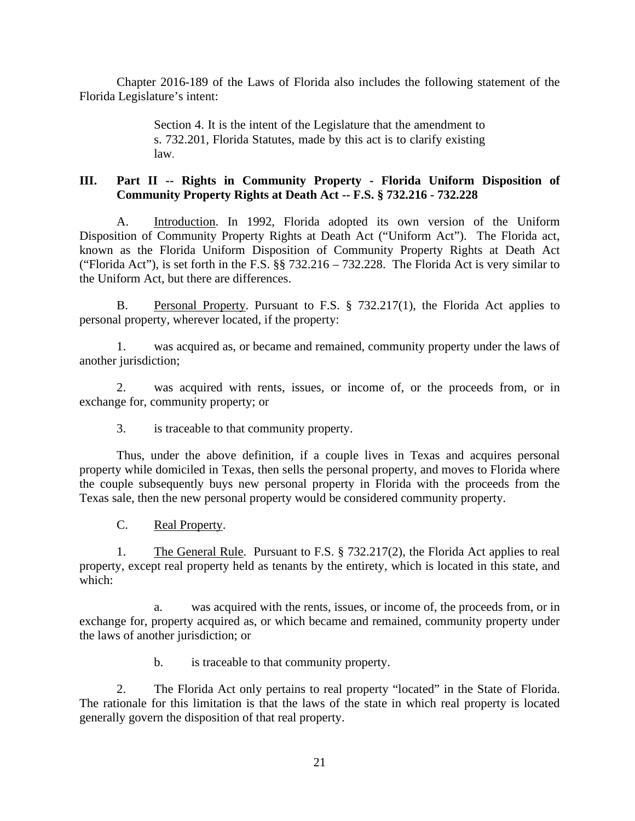Chapter 2016-189 of the Laws of Florida also includes the following statement of the Florida Legislature's intent:

> Section 4. It is the intent of the Legislature that the amendment to s. 732.201, Florida Statutes, made by this act is to clarify existing law.

# **III. Part II -- Rights in Community Property - Florida Uniform Disposition of Community Property Rights at Death Act -- F.S. § 732.216 - 732.228**

A. Introduction. In 1992, Florida adopted its own version of the Uniform Disposition of Community Property Rights at Death Act ("Uniform Act"). The Florida act, known as the Florida Uniform Disposition of Community Property Rights at Death Act ("Florida Act"), is set forth in the F.S. §§ 732.216 – 732.228. The Florida Act is very similar to the Uniform Act, but there are differences.

B. Personal Property. Pursuant to F.S. § 732.217(1), the Florida Act applies to personal property, wherever located, if the property:

1. was acquired as, or became and remained, community property under the laws of another jurisdiction;

2. was acquired with rents, issues, or income of, or the proceeds from, or in exchange for, community property; or

3. is traceable to that community property.

Thus, under the above definition, if a couple lives in Texas and acquires personal property while domiciled in Texas, then sells the personal property, and moves to Florida where the couple subsequently buys new personal property in Florida with the proceeds from the Texas sale, then the new personal property would be considered community property.

C. Real Property.

1. The General Rule. Pursuant to F.S. § 732.217(2), the Florida Act applies to real property, except real property held as tenants by the entirety, which is located in this state, and which:

a. was acquired with the rents, issues, or income of, the proceeds from, or in exchange for, property acquired as, or which became and remained, community property under the laws of another jurisdiction; or

b. is traceable to that community property.

2. The Florida Act only pertains to real property "located" in the State of Florida. The rationale for this limitation is that the laws of the state in which real property is located generally govern the disposition of that real property.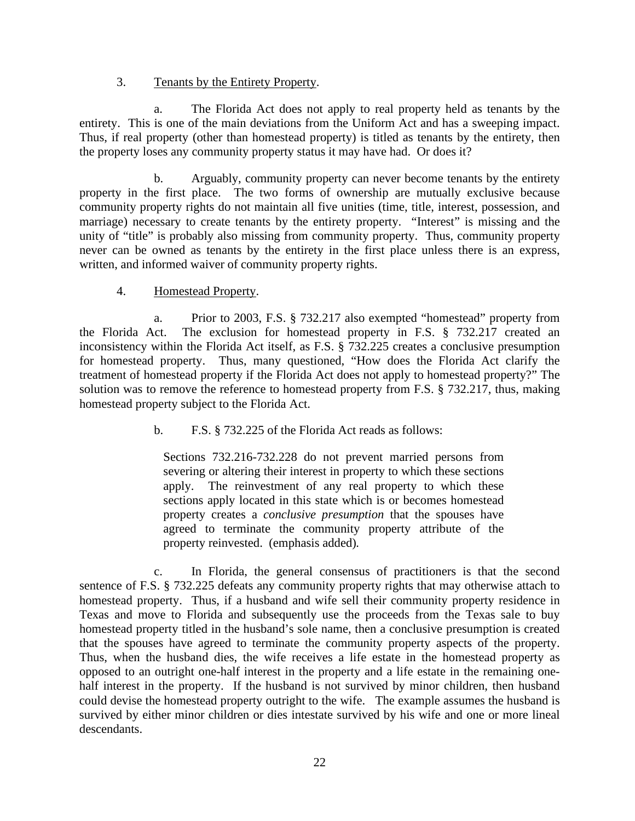## 3. Tenants by the Entirety Property.

a. The Florida Act does not apply to real property held as tenants by the entirety. This is one of the main deviations from the Uniform Act and has a sweeping impact. Thus, if real property (other than homestead property) is titled as tenants by the entirety, then the property loses any community property status it may have had. Or does it?

b. Arguably, community property can never become tenants by the entirety property in the first place. The two forms of ownership are mutually exclusive because community property rights do not maintain all five unities (time, title, interest, possession, and marriage) necessary to create tenants by the entirety property. "Interest" is missing and the unity of "title" is probably also missing from community property. Thus, community property never can be owned as tenants by the entirety in the first place unless there is an express, written, and informed waiver of community property rights.

## 4. Homestead Property.

a. Prior to 2003, F.S. § 732.217 also exempted "homestead" property from the Florida Act. The exclusion for homestead property in F.S. § 732.217 created an inconsistency within the Florida Act itself, as F.S. § 732.225 creates a conclusive presumption for homestead property. Thus, many questioned, "How does the Florida Act clarify the treatment of homestead property if the Florida Act does not apply to homestead property?" The solution was to remove the reference to homestead property from F.S. § 732.217, thus, making homestead property subject to the Florida Act.

b. F.S. § 732.225 of the Florida Act reads as follows:

Sections 732.216-732.228 do not prevent married persons from severing or altering their interest in property to which these sections apply. The reinvestment of any real property to which these sections apply located in this state which is or becomes homestead property creates a *conclusive presumption* that the spouses have agreed to terminate the community property attribute of the property reinvested. (emphasis added)*.*

c. In Florida, the general consensus of practitioners is that the second sentence of F.S. § 732.225 defeats any community property rights that may otherwise attach to homestead property. Thus, if a husband and wife sell their community property residence in Texas and move to Florida and subsequently use the proceeds from the Texas sale to buy homestead property titled in the husband's sole name, then a conclusive presumption is created that the spouses have agreed to terminate the community property aspects of the property. Thus, when the husband dies, the wife receives a life estate in the homestead property as opposed to an outright one-half interest in the property and a life estate in the remaining onehalf interest in the property. If the husband is not survived by minor children, then husband could devise the homestead property outright to the wife. The example assumes the husband is survived by either minor children or dies intestate survived by his wife and one or more lineal descendants.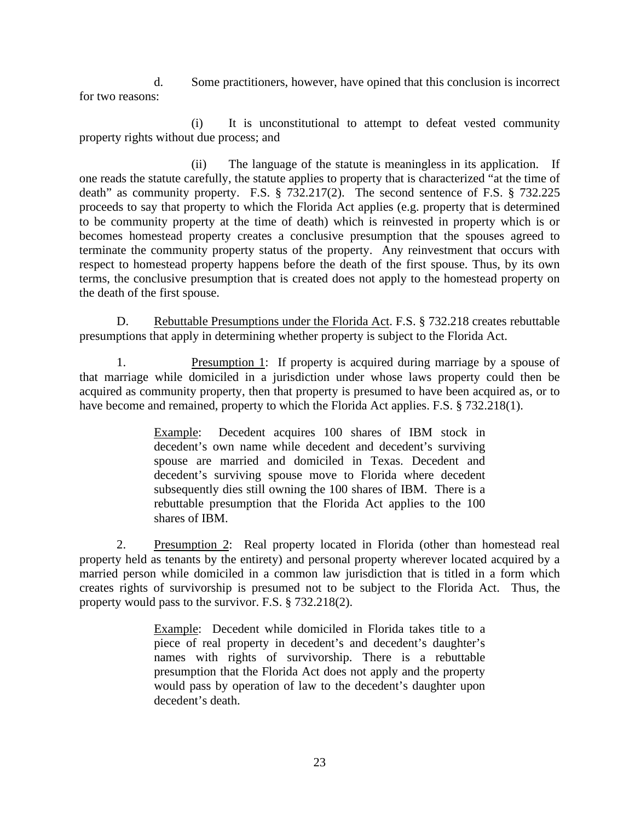d. Some practitioners, however, have opined that this conclusion is incorrect for two reasons:

(i) It is unconstitutional to attempt to defeat vested community property rights without due process; and

(ii) The language of the statute is meaningless in its application. If one reads the statute carefully, the statute applies to property that is characterized "at the time of death" as community property. F.S. § 732.217(2). The second sentence of F.S. § 732.225 proceeds to say that property to which the Florida Act applies (e.g. property that is determined to be community property at the time of death) which is reinvested in property which is or becomes homestead property creates a conclusive presumption that the spouses agreed to terminate the community property status of the property. Any reinvestment that occurs with respect to homestead property happens before the death of the first spouse. Thus, by its own terms, the conclusive presumption that is created does not apply to the homestead property on the death of the first spouse.

D. Rebuttable Presumptions under the Florida Act. F.S. § 732.218 creates rebuttable presumptions that apply in determining whether property is subject to the Florida Act.

1. Presumption 1: If property is acquired during marriage by a spouse of that marriage while domiciled in a jurisdiction under whose laws property could then be acquired as community property, then that property is presumed to have been acquired as, or to have become and remained, property to which the Florida Act applies. F.S. § 732.218(1).

> Example: Decedent acquires 100 shares of IBM stock in decedent's own name while decedent and decedent's surviving spouse are married and domiciled in Texas. Decedent and decedent's surviving spouse move to Florida where decedent subsequently dies still owning the 100 shares of IBM. There is a rebuttable presumption that the Florida Act applies to the 100 shares of IBM.

2. Presumption 2: Real property located in Florida (other than homestead real property held as tenants by the entirety) and personal property wherever located acquired by a married person while domiciled in a common law jurisdiction that is titled in a form which creates rights of survivorship is presumed not to be subject to the Florida Act. Thus, the property would pass to the survivor. F.S. § 732.218(2).

> Example: Decedent while domiciled in Florida takes title to a piece of real property in decedent's and decedent's daughter's names with rights of survivorship. There is a rebuttable presumption that the Florida Act does not apply and the property would pass by operation of law to the decedent's daughter upon decedent's death.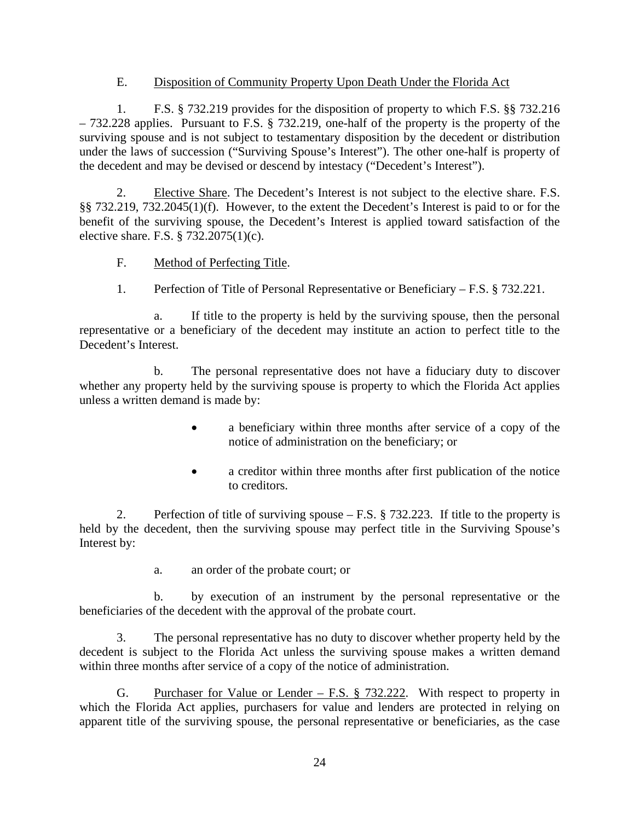## E. Disposition of Community Property Upon Death Under the Florida Act

1. F.S. § 732.219 provides for the disposition of property to which F.S. §§ 732.216 – 732.228 applies. Pursuant to F.S. § 732.219, one-half of the property is the property of the surviving spouse and is not subject to testamentary disposition by the decedent or distribution under the laws of succession ("Surviving Spouse's Interest"). The other one-half is property of the decedent and may be devised or descend by intestacy ("Decedent's Interest").

2. Elective Share. The Decedent's Interest is not subject to the elective share. F.S. §§ 732.219, 732.2045(1)(f). However, to the extent the Decedent's Interest is paid to or for the benefit of the surviving spouse, the Decedent's Interest is applied toward satisfaction of the elective share. F.S.  $\S 732.2075(1)(c)$ .

- F. Method of Perfecting Title.
- 1. Perfection of Title of Personal Representative or Beneficiary F.S. § 732.221.

a. If title to the property is held by the surviving spouse, then the personal representative or a beneficiary of the decedent may institute an action to perfect title to the Decedent's Interest.

b. The personal representative does not have a fiduciary duty to discover whether any property held by the surviving spouse is property to which the Florida Act applies unless a written demand is made by:

- a beneficiary within three months after service of a copy of the notice of administration on the beneficiary; or
- a creditor within three months after first publication of the notice to creditors.

2. Perfection of title of surviving spouse – F.S. § 732.223. If title to the property is held by the decedent, then the surviving spouse may perfect title in the Surviving Spouse's Interest by:

a. an order of the probate court; or

b. by execution of an instrument by the personal representative or the beneficiaries of the decedent with the approval of the probate court.

3. The personal representative has no duty to discover whether property held by the decedent is subject to the Florida Act unless the surviving spouse makes a written demand within three months after service of a copy of the notice of administration.

G. Purchaser for Value or Lender – F.S. § 732.222. With respect to property in which the Florida Act applies, purchasers for value and lenders are protected in relying on apparent title of the surviving spouse, the personal representative or beneficiaries, as the case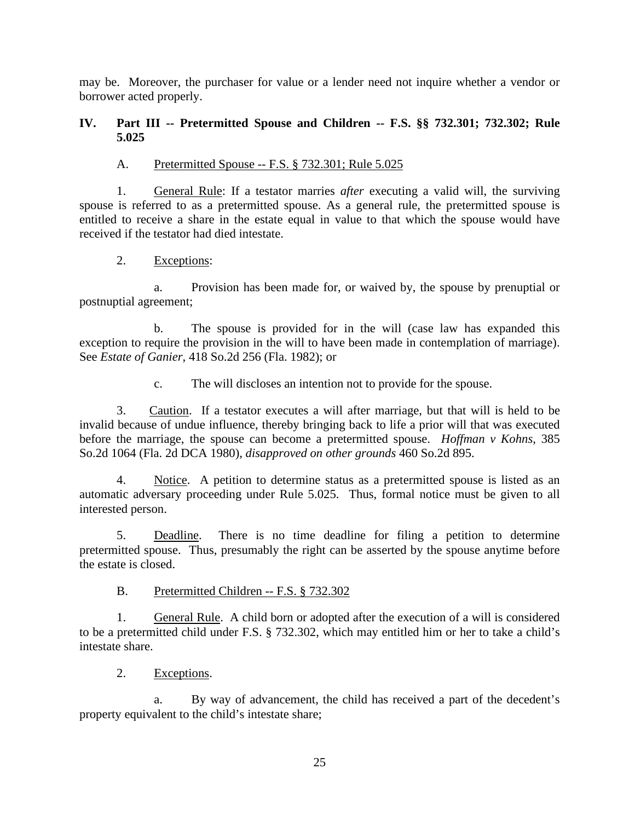may be. Moreover, the purchaser for value or a lender need not inquire whether a vendor or borrower acted properly.

## **IV. Part III -- Pretermitted Spouse and Children -- F.S. §§ 732.301; 732.302; Rule 5.025**

## A. Pretermitted Spouse -- F.S. § 732.301; Rule 5.025

1. General Rule: If a testator marries *after* executing a valid will, the surviving spouse is referred to as a pretermitted spouse. As a general rule, the pretermitted spouse is entitled to receive a share in the estate equal in value to that which the spouse would have received if the testator had died intestate.

2. Exceptions:

a. Provision has been made for, or waived by, the spouse by prenuptial or postnuptial agreement;

b. The spouse is provided for in the will (case law has expanded this exception to require the provision in the will to have been made in contemplation of marriage). See *Estate of Ganier*, 418 So.2d 256 (Fla. 1982); or

c. The will discloses an intention not to provide for the spouse.

3. Caution. If a testator executes a will after marriage, but that will is held to be invalid because of undue influence, thereby bringing back to life a prior will that was executed before the marriage, the spouse can become a pretermitted spouse. *Hoffman v Kohns*, 385 So.2d 1064 (Fla. 2d DCA 1980), *disapproved on other grounds* 460 So.2d 895.

4. Notice. A petition to determine status as a pretermitted spouse is listed as an automatic adversary proceeding under Rule 5.025. Thus, formal notice must be given to all interested person.

5. Deadline. There is no time deadline for filing a petition to determine pretermitted spouse. Thus, presumably the right can be asserted by the spouse anytime before the estate is closed.

B. Pretermitted Children -- F.S. § 732.302

1. General Rule. A child born or adopted after the execution of a will is considered to be a pretermitted child under F.S. § 732.302, which may entitled him or her to take a child's intestate share.

2. Exceptions.

a. By way of advancement, the child has received a part of the decedent's property equivalent to the child's intestate share;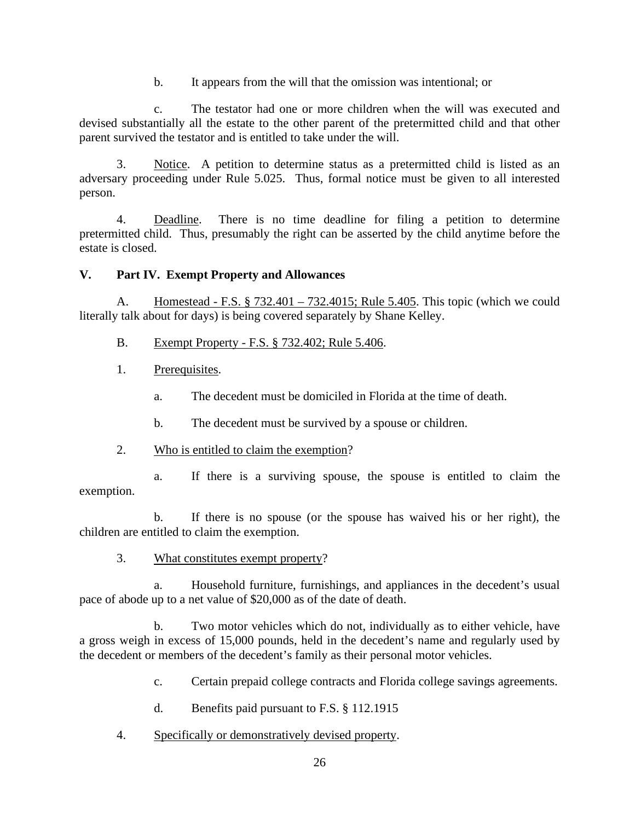b. It appears from the will that the omission was intentional; or

c. The testator had one or more children when the will was executed and devised substantially all the estate to the other parent of the pretermitted child and that other parent survived the testator and is entitled to take under the will.

3. Notice. A petition to determine status as a pretermitted child is listed as an adversary proceeding under Rule 5.025. Thus, formal notice must be given to all interested person.

4. Deadline. There is no time deadline for filing a petition to determine pretermitted child. Thus, presumably the right can be asserted by the child anytime before the estate is closed.

## **V. Part IV. Exempt Property and Allowances**

A. Homestead - F.S. § 732.401 – 732.4015; Rule 5.405. This topic (which we could literally talk about for days) is being covered separately by Shane Kelley.

- B. Exempt Property F.S. § 732.402; Rule 5.406.
- 1. Prerequisites.
	- a. The decedent must be domiciled in Florida at the time of death.
	- b. The decedent must be survived by a spouse or children.
- 2. Who is entitled to claim the exemption?

a. If there is a surviving spouse, the spouse is entitled to claim the exemption.

b. If there is no spouse (or the spouse has waived his or her right), the children are entitled to claim the exemption.

3. What constitutes exempt property?

a. Household furniture, furnishings, and appliances in the decedent's usual pace of abode up to a net value of \$20,000 as of the date of death.

b. Two motor vehicles which do not, individually as to either vehicle, have a gross weigh in excess of 15,000 pounds, held in the decedent's name and regularly used by the decedent or members of the decedent's family as their personal motor vehicles.

- c. Certain prepaid college contracts and Florida college savings agreements.
- d. Benefits paid pursuant to F.S. § 112.1915
- 4. Specifically or demonstratively devised property.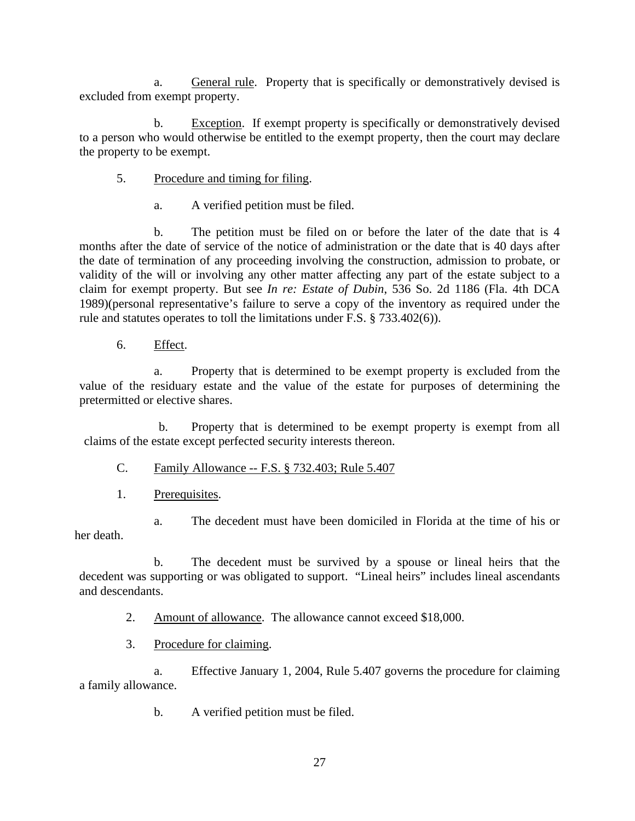a. General rule. Property that is specifically or demonstratively devised is excluded from exempt property.

b. Exception. If exempt property is specifically or demonstratively devised to a person who would otherwise be entitled to the exempt property, then the court may declare the property to be exempt.

- 5. Procedure and timing for filing.
	- a. A verified petition must be filed.

b. The petition must be filed on or before the later of the date that is 4 months after the date of service of the notice of administration or the date that is 40 days after the date of termination of any proceeding involving the construction, admission to probate, or validity of the will or involving any other matter affecting any part of the estate subject to a claim for exempt property. But see *In re: Estate of Dubin*, 536 So. 2d 1186 (Fla. 4th DCA 1989)(personal representative's failure to serve a copy of the inventory as required under the rule and statutes operates to toll the limitations under F.S. § 733.402(6)).

6. Effect.

a. Property that is determined to be exempt property is excluded from the value of the residuary estate and the value of the estate for purposes of determining the pretermitted or elective shares.

b. Property that is determined to be exempt property is exempt from all claims of the estate except perfected security interests thereon.

- C. Family Allowance -- F.S. § 732.403; Rule 5.407
- 1. Prerequisites.

a. The decedent must have been domiciled in Florida at the time of his or her death.

b. The decedent must be survived by a spouse or lineal heirs that the decedent was supporting or was obligated to support. "Lineal heirs" includes lineal ascendants and descendants.

2. Amount of allowance. The allowance cannot exceed \$18,000.

3. Procedure for claiming.

a. Effective January 1, 2004, Rule 5.407 governs the procedure for claiming a family allowance.

b. A verified petition must be filed.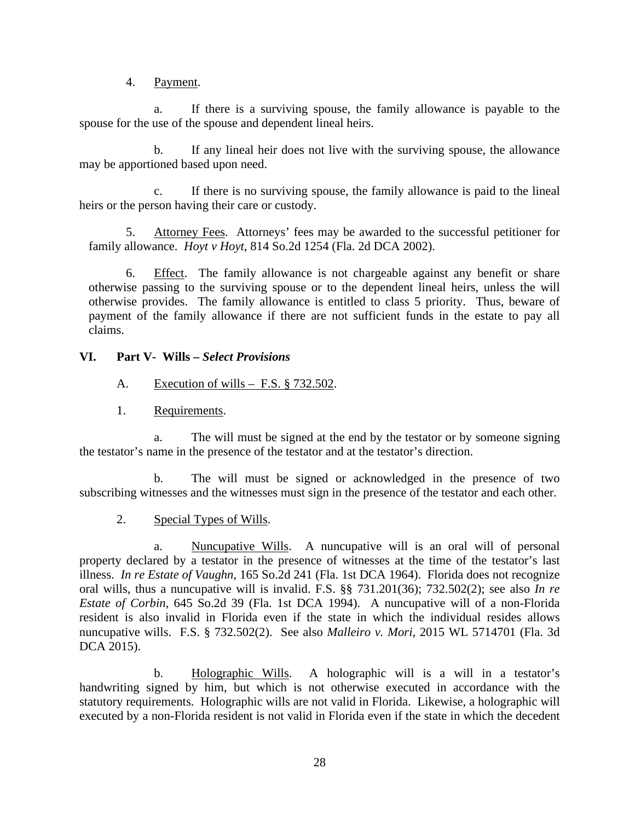4. Payment.

a. If there is a surviving spouse, the family allowance is payable to the spouse for the use of the spouse and dependent lineal heirs.

b. If any lineal heir does not live with the surviving spouse, the allowance may be apportioned based upon need.

c. If there is no surviving spouse, the family allowance is paid to the lineal heirs or the person having their care or custody.

5. Attorney Fees. Attorneys' fees may be awarded to the successful petitioner for family allowance. *Hoyt v Hoyt*, 814 So.2d 1254 (Fla. 2d DCA 2002).

6. Effect. The family allowance is not chargeable against any benefit or share otherwise passing to the surviving spouse or to the dependent lineal heirs, unless the will otherwise provides. The family allowance is entitled to class 5 priority. Thus, beware of payment of the family allowance if there are not sufficient funds in the estate to pay all claims.

## **VI. Part V- Wills –** *Select Provisions*

- A. Execution of wills F.S. § 732.502.
- 1. Requirements.

a. The will must be signed at the end by the testator or by someone signing the testator's name in the presence of the testator and at the testator's direction.

b. The will must be signed or acknowledged in the presence of two subscribing witnesses and the witnesses must sign in the presence of the testator and each other.

2. Special Types of Wills.

a. Nuncupative Wills. A nuncupative will is an oral will of personal property declared by a testator in the presence of witnesses at the time of the testator's last illness. *In re Estate of Vaughn*, 165 So.2d 241 (Fla. 1st DCA 1964). Florida does not recognize oral wills, thus a nuncupative will is invalid. F.S. §§ 731.201(36); 732.502(2); see also *In re Estate of Corbin*, 645 So.2d 39 (Fla. 1st DCA 1994). A nuncupative will of a non-Florida resident is also invalid in Florida even if the state in which the individual resides allows nuncupative wills. F.S. § 732.502(2). See also *Malleiro v. Mori*, 2015 WL 5714701 (Fla. 3d DCA 2015).

b. Holographic Wills. A holographic will is a will in a testator's handwriting signed by him, but which is not otherwise executed in accordance with the statutory requirements. Holographic wills are not valid in Florida. Likewise, a holographic will executed by a non-Florida resident is not valid in Florida even if the state in which the decedent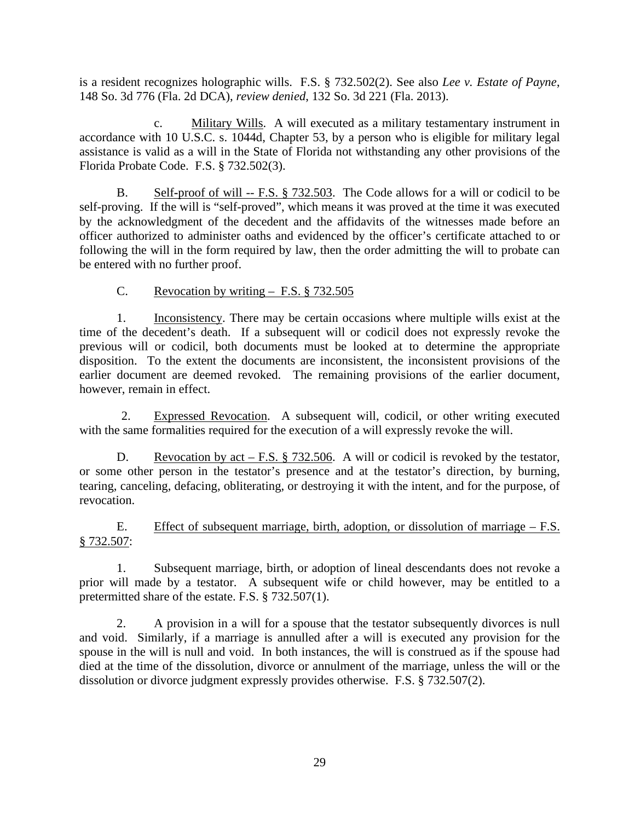is a resident recognizes holographic wills. F.S. § 732.502(2). See also *Lee v. Estate of Payne*, 148 So. 3d 776 (Fla. 2d DCA), *review denied*, 132 So. 3d 221 (Fla. 2013).

c. Military Wills. A will executed as a military testamentary instrument in accordance with 10 U.S.C. s. 1044d, Chapter 53, by a person who is eligible for military legal assistance is valid as a will in the State of Florida not withstanding any other provisions of the Florida Probate Code. F.S. § 732.502(3).

B. Self**-**proof of will -- F.S. § 732.503. The Code allows for a will or codicil to be self-proving. If the will is "self-proved", which means it was proved at the time it was executed by the acknowledgment of the decedent and the affidavits of the witnesses made before an officer authorized to administer oaths and evidenced by the officer's certificate attached to or following the will in the form required by law, then the order admitting the will to probate can be entered with no further proof.

# C. Revocation by writing – F.S.  $\S$  732.505

1. Inconsistency. There may be certain occasions where multiple wills exist at the time of the decedent's death. If a subsequent will or codicil does not expressly revoke the previous will or codicil, both documents must be looked at to determine the appropriate disposition. To the extent the documents are inconsistent, the inconsistent provisions of the earlier document are deemed revoked. The remaining provisions of the earlier document, however, remain in effect.

2. Expressed Revocation. A subsequent will, codicil, or other writing executed with the same formalities required for the execution of a will expressly revoke the will.

D. Revocation by act – F.S. § 732.506. A will or codicil is revoked by the testator, or some other person in the testator's presence and at the testator's direction, by burning, tearing, canceling, defacing, obliterating, or destroying it with the intent, and for the purpose, of revocation.

E. Effect of subsequent marriage, birth, adoption, or dissolution of marriage – F.S. § 732.507:

1. Subsequent marriage, birth, or adoption of lineal descendants does not revoke a prior will made by a testator. A subsequent wife or child however, may be entitled to a pretermitted share of the estate. F.S. § 732.507(1).

2. A provision in a will for a spouse that the testator subsequently divorces is null and void. Similarly, if a marriage is annulled after a will is executed any provision for the spouse in the will is null and void. In both instances, the will is construed as if the spouse had died at the time of the dissolution, divorce or annulment of the marriage, unless the will or the dissolution or divorce judgment expressly provides otherwise. F.S. § 732.507(2).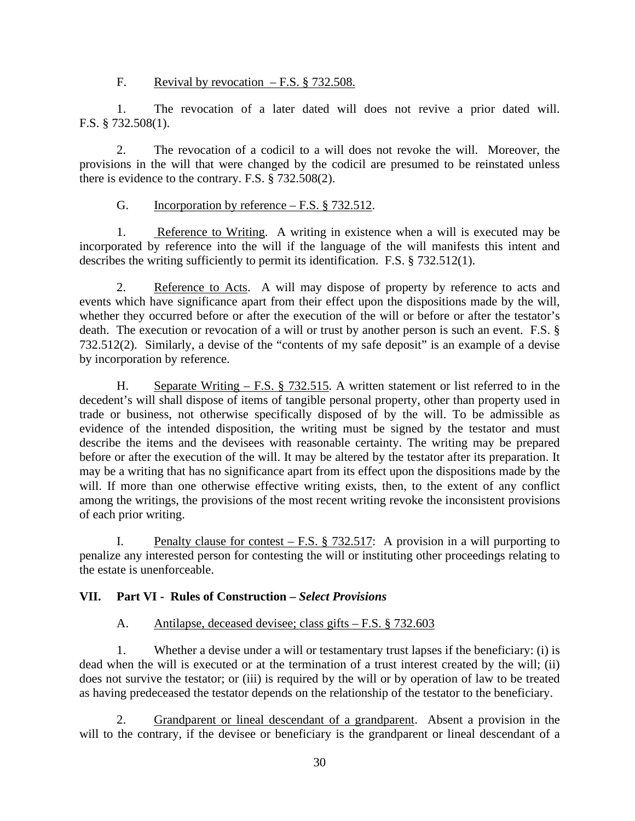F. Revival by revocation – F.S.  $\S$  732.508.

1. The revocation of a later dated will does not revive a prior dated will. F.S. § 732.508(1).

2. The revocation of a codicil to a will does not revoke the will. Moreover, the provisions in the will that were changed by the codicil are presumed to be reinstated unless there is evidence to the contrary. F.S. § 732.508(2).

# G. Incorporation by reference – F.S. § 732.512.

1. Reference to Writing. A writing in existence when a will is executed may be incorporated by reference into the will if the language of the will manifests this intent and describes the writing sufficiently to permit its identification. F.S. § 732.512(1).

2. Reference to Acts. A will may dispose of property by reference to acts and events which have significance apart from their effect upon the dispositions made by the will, whether they occurred before or after the execution of the will or before or after the testator's death. The execution or revocation of a will or trust by another person is such an event. F.S. § 732.512(2). Similarly, a devise of the "contents of my safe deposit" is an example of a devise by incorporation by reference.

H. Separate Writing  $-$  F.S. § 732.515. A written statement or list referred to in the decedent's will shall dispose of items of tangible personal property, other than property used in trade or business, not otherwise specifically disposed of by the will. To be admissible as evidence of the intended disposition, the writing must be signed by the testator and must describe the items and the devisees with reasonable certainty. The writing may be prepared before or after the execution of the will. It may be altered by the testator after its preparation. It may be a writing that has no significance apart from its effect upon the dispositions made by the will. If more than one otherwise effective writing exists, then, to the extent of any conflict among the writings, the provisions of the most recent writing revoke the inconsistent provisions of each prior writing.

I. Penalty clause for contest – F.S.  $\S$  732.517: A provision in a will purporting to penalize any interested person for contesting the will or instituting other proceedings relating to the estate is unenforceable.

# **VII. Part VI - Rules of Construction –** *Select Provisions*

# A. Antilapse, deceased devisee; class gifts – F.S. § 732.603

1. Whether a devise under a will or testamentary trust lapses if the beneficiary: (i) is dead when the will is executed or at the termination of a trust interest created by the will; (ii) does not survive the testator; or (iii) is required by the will or by operation of law to be treated as having predeceased the testator depends on the relationship of the testator to the beneficiary.

2. Grandparent or lineal descendant of a grandparent. Absent a provision in the will to the contrary, if the devisee or beneficiary is the grandparent or lineal descendant of a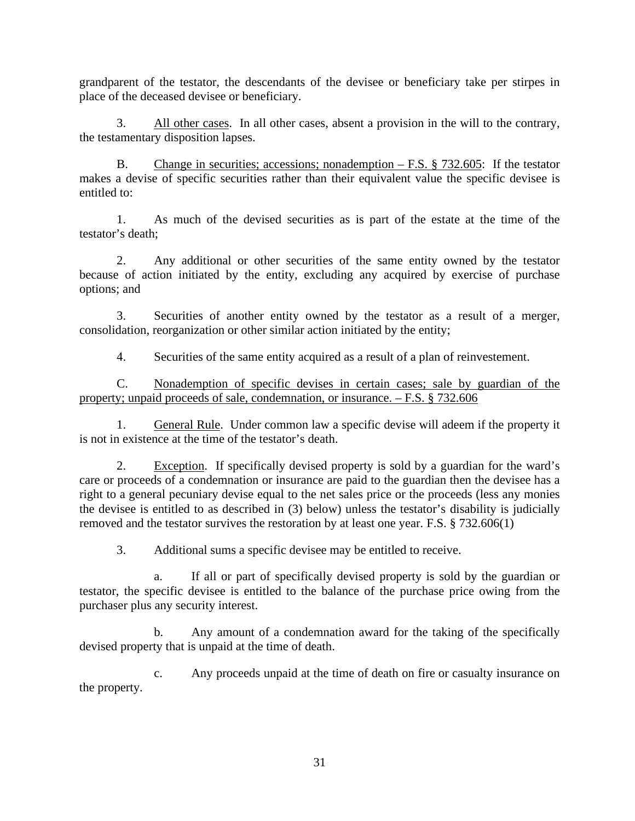grandparent of the testator, the descendants of the devisee or beneficiary take per stirpes in place of the deceased devisee or beneficiary.

3. All other cases. In all other cases, absent a provision in the will to the contrary, the testamentary disposition lapses.

B. Change in securities; accessions; nonademption – F.S. § 732.605: If the testator makes a devise of specific securities rather than their equivalent value the specific devisee is entitled to:

1. As much of the devised securities as is part of the estate at the time of the testator's death;

2. Any additional or other securities of the same entity owned by the testator because of action initiated by the entity, excluding any acquired by exercise of purchase options; and

3. Securities of another entity owned by the testator as a result of a merger, consolidation, reorganization or other similar action initiated by the entity;

4. Securities of the same entity acquired as a result of a plan of reinvestement.

C. Nonademption of specific devises in certain cases; sale by guardian of the property; unpaid proceeds of sale, condemnation, or insurance. – F.S. § 732.606

1. General Rule. Under common law a specific devise will adeem if the property it is not in existence at the time of the testator's death.

2. Exception. If specifically devised property is sold by a guardian for the ward's care or proceeds of a condemnation or insurance are paid to the guardian then the devisee has a right to a general pecuniary devise equal to the net sales price or the proceeds (less any monies the devisee is entitled to as described in (3) below) unless the testator's disability is judicially removed and the testator survives the restoration by at least one year. F.S. § 732.606(1)

3. Additional sums a specific devisee may be entitled to receive.

a. If all or part of specifically devised property is sold by the guardian or testator, the specific devisee is entitled to the balance of the purchase price owing from the purchaser plus any security interest.

b. Any amount of a condemnation award for the taking of the specifically devised property that is unpaid at the time of death.

c. Any proceeds unpaid at the time of death on fire or casualty insurance on the property.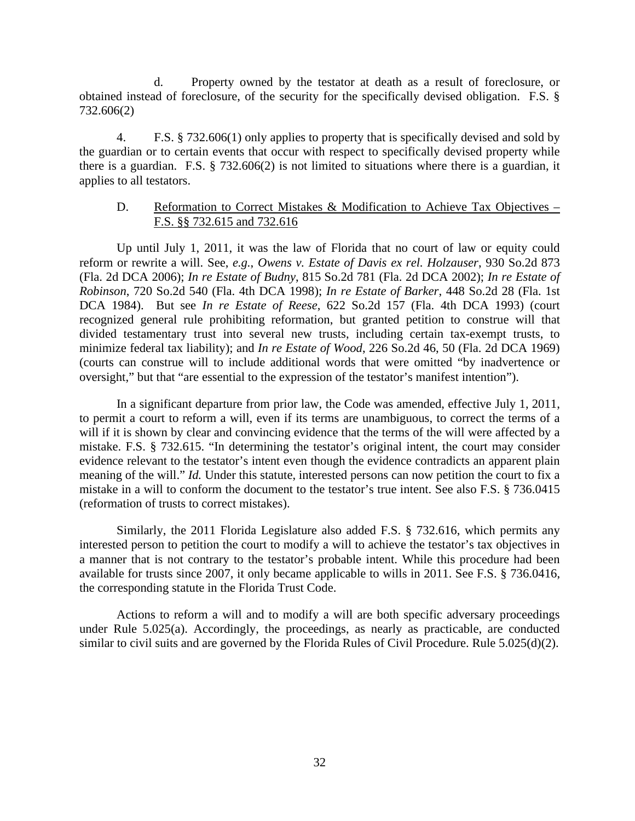d. Property owned by the testator at death as a result of foreclosure, or obtained instead of foreclosure, of the security for the specifically devised obligation. F.S. § 732.606(2)

4. F.S. § 732.606(1) only applies to property that is specifically devised and sold by the guardian or to certain events that occur with respect to specifically devised property while there is a guardian. F.S. § 732.606(2) is not limited to situations where there is a guardian, it applies to all testators.

## D. Reformation to Correct Mistakes & Modification to Achieve Tax Objectives – F.S. §§ 732.615 and 732.616

Up until July 1, 2011, it was the law of Florida that no court of law or equity could reform or rewrite a will. See, *e.g.*, *Owens v. Estate of Davis ex rel. Holzauser*, 930 So.2d 873 (Fla. 2d DCA 2006); *In re Estate of Budny*, 815 So.2d 781 (Fla. 2d DCA 2002); *In re Estate of Robinson*, 720 So.2d 540 (Fla. 4th DCA 1998); *In re Estate of Barker*, 448 So.2d 28 (Fla. 1st DCA 1984). But see *In re Estate of Reese*, 622 So.2d 157 (Fla. 4th DCA 1993) (court recognized general rule prohibiting reformation, but granted petition to construe will that divided testamentary trust into several new trusts, including certain tax-exempt trusts, to minimize federal tax liability); and *In re Estate of Wood*, 226 So.2d 46, 50 (Fla. 2d DCA 1969) (courts can construe will to include additional words that were omitted "by inadvertence or oversight," but that "are essential to the expression of the testator's manifest intention").

In a significant departure from prior law, the Code was amended, effective July 1, 2011, to permit a court to reform a will, even if its terms are unambiguous, to correct the terms of a will if it is shown by clear and convincing evidence that the terms of the will were affected by a mistake. F.S. § 732.615. "In determining the testator's original intent, the court may consider evidence relevant to the testator's intent even though the evidence contradicts an apparent plain meaning of the will." *Id.* Under this statute, interested persons can now petition the court to fix a mistake in a will to conform the document to the testator's true intent. See also F.S. § 736.0415 (reformation of trusts to correct mistakes).

Similarly, the 2011 Florida Legislature also added F.S. § 732.616, which permits any interested person to petition the court to modify a will to achieve the testator's tax objectives in a manner that is not contrary to the testator's probable intent. While this procedure had been available for trusts since 2007, it only became applicable to wills in 2011. See F.S. § 736.0416, the corresponding statute in the Florida Trust Code.

Actions to reform a will and to modify a will are both specific adversary proceedings under Rule 5.025(a). Accordingly, the proceedings, as nearly as practicable, are conducted similar to civil suits and are governed by the Florida Rules of Civil Procedure. Rule 5.025(d)(2).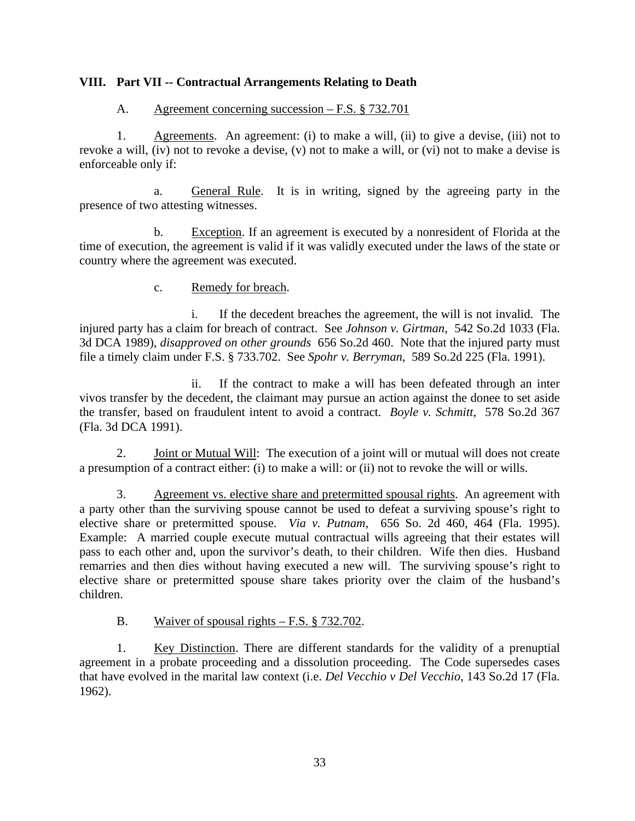## **VIII. Part VII -- Contractual Arrangements Relating to Death**

## A. Agreement concerning succession – F.S. § 732.701

1. Agreements. An agreement: (i) to make a will, (ii) to give a devise, (iii) not to revoke a will, (iv) not to revoke a devise, (v) not to make a will, or (vi) not to make a devise is enforceable only if:

a. General Rule. It is in writing, signed by the agreeing party in the presence of two attesting witnesses.

b. Exception. If an agreement is executed by a nonresident of Florida at the time of execution, the agreement is valid if it was validly executed under the laws of the state or country where the agreement was executed.

### c. Remedy for breach.

i. If the decedent breaches the agreement, the will is not invalid. The injured party has a claim for breach of contract. See *Johnson v. Girtman*, 542 So.2d 1033 (Fla. 3d DCA 1989), *disapproved on other grounds* 656 So.2d 460. Note that the injured party must file a timely claim under F.S. § 733.702. See *Spohr v. Berryman*, 589 So.2d 225 (Fla. 1991).

ii. If the contract to make a will has been defeated through an inter vivos transfer by the decedent, the claimant may pursue an action against the donee to set aside the transfer, based on fraudulent intent to avoid a contract. *Boyle v. Schmitt*, 578 So.2d 367 (Fla. 3d DCA 1991).

2. Joint or Mutual Will: The execution of a joint will or mutual will does not create a presumption of a contract either: (i) to make a will: or (ii) not to revoke the will or wills.

3. Agreement vs. elective share and pretermitted spousal rights. An agreement with a party other than the surviving spouse cannot be used to defeat a surviving spouse's right to elective share or pretermitted spouse. *Via v. Putnam*, 656 So. 2d 460, 464 (Fla. 1995). Example: A married couple execute mutual contractual wills agreeing that their estates will pass to each other and, upon the survivor's death, to their children. Wife then dies. Husband remarries and then dies without having executed a new will. The surviving spouse's right to elective share or pretermitted spouse share takes priority over the claim of the husband's children.

## B. Waiver of spousal rights – F.S. § 732.702.

1. Key Distinction. There are different standards for the validity of a prenuptial agreement in a probate proceeding and a dissolution proceeding. The Code supersedes cases that have evolved in the marital law context (i.e. *Del Vecchio v Del Vecchio*, 143 So.2d 17 (Fla. 1962).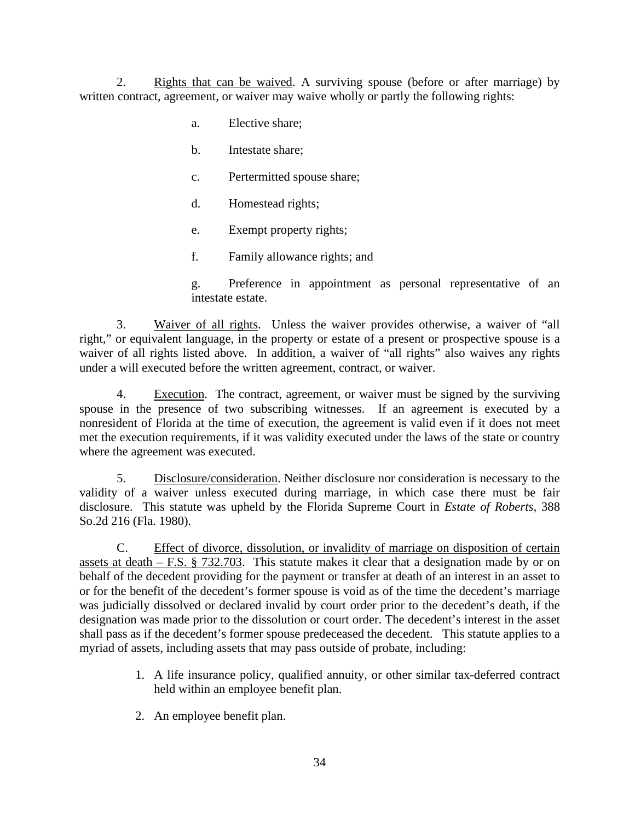2. Rights that can be waived. A surviving spouse (before or after marriage) by written contract, agreement, or waiver may waive wholly or partly the following rights:

- a. Elective share;
- b. Intestate share;
- c. Pertermitted spouse share;
- d. Homestead rights;
- e. Exempt property rights;
- f. Family allowance rights; and

g. Preference in appointment as personal representative of an intestate estate.

3. Waiver of all rights. Unless the waiver provides otherwise, a waiver of "all right," or equivalent language, in the property or estate of a present or prospective spouse is a waiver of all rights listed above. In addition, a waiver of "all rights" also waives any rights under a will executed before the written agreement, contract, or waiver.

4. Execution. The contract, agreement, or waiver must be signed by the surviving spouse in the presence of two subscribing witnesses. If an agreement is executed by a nonresident of Florida at the time of execution, the agreement is valid even if it does not meet met the execution requirements, if it was validity executed under the laws of the state or country where the agreement was executed.

5. Disclosure/consideration. Neither disclosure nor consideration is necessary to the validity of a waiver unless executed during marriage, in which case there must be fair disclosure. This statute was upheld by the Florida Supreme Court in *Estate of Roberts*, 388 So.2d 216 (Fla. 1980).

C. Effect of divorce, dissolution, or invalidity of marriage on disposition of certain assets at death  $-$  F.S. § 732.703. This statute makes it clear that a designation made by or on behalf of the decedent providing for the payment or transfer at death of an interest in an asset to or for the benefit of the decedent's former spouse is void as of the time the decedent's marriage was judicially dissolved or declared invalid by court order prior to the decedent's death, if the designation was made prior to the dissolution or court order. The decedent's interest in the asset shall pass as if the decedent's former spouse predeceased the decedent. This statute applies to a myriad of assets, including assets that may pass outside of probate, including:

- 1. A life insurance policy, qualified annuity, or other similar tax-deferred contract held within an employee benefit plan.
- 2. An employee benefit plan.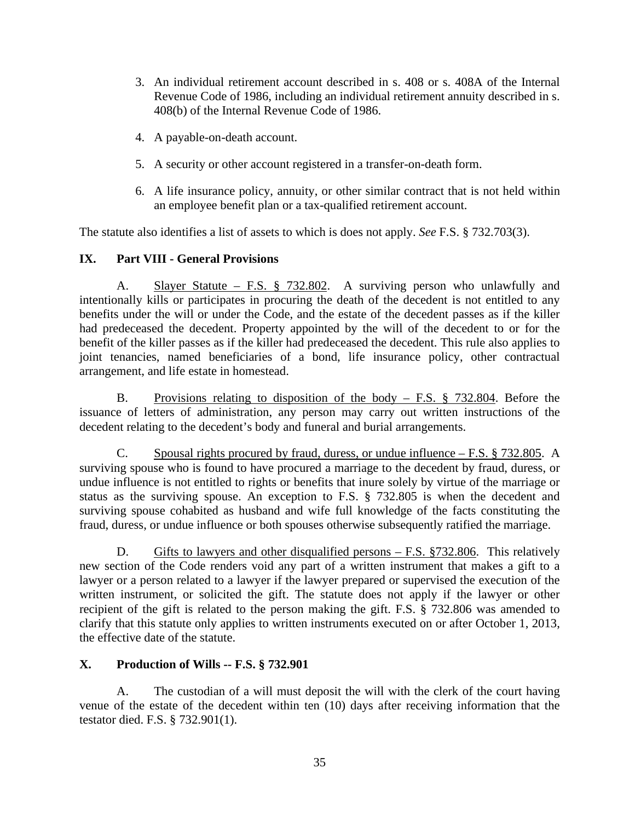- 3. An individual retirement account described in s. 408 or s. 408A of the Internal Revenue Code of 1986, including an individual retirement annuity described in s. 408(b) of the Internal Revenue Code of 1986.
- 4. A payable-on-death account.
- 5. A security or other account registered in a transfer-on-death form.
- 6. A life insurance policy, annuity, or other similar contract that is not held within an employee benefit plan or a tax-qualified retirement account.

The statute also identifies a list of assets to which is does not apply. *See* F.S. § 732.703(3).

## **IX. Part VIII - General Provisions**

A. Slayer Statute – F.S. § 732.802. A surviving person who unlawfully and intentionally kills or participates in procuring the death of the decedent is not entitled to any benefits under the will or under the Code, and the estate of the decedent passes as if the killer had predeceased the decedent. Property appointed by the will of the decedent to or for the benefit of the killer passes as if the killer had predeceased the decedent. This rule also applies to joint tenancies, named beneficiaries of a bond, life insurance policy, other contractual arrangement, and life estate in homestead.

B. Provisions relating to disposition of the body – F.S. § 732.804. Before the issuance of letters of administration, any person may carry out written instructions of the decedent relating to the decedent's body and funeral and burial arrangements.

C. Spousal rights procured by fraud, duress, or undue influence – F.S. § 732.805. A surviving spouse who is found to have procured a marriage to the decedent by fraud, duress, or undue influence is not entitled to rights or benefits that inure solely by virtue of the marriage or status as the surviving spouse. An exception to F.S. § 732.805 is when the decedent and surviving spouse cohabited as husband and wife full knowledge of the facts constituting the fraud, duress, or undue influence or both spouses otherwise subsequently ratified the marriage.

D. Gifts to lawyers and other disqualified persons – F.S. §732.806. This relatively new section of the Code renders void any part of a written instrument that makes a gift to a lawyer or a person related to a lawyer if the lawyer prepared or supervised the execution of the written instrument, or solicited the gift. The statute does not apply if the lawyer or other recipient of the gift is related to the person making the gift. F.S. § 732.806 was amended to clarify that this statute only applies to written instruments executed on or after October 1, 2013, the effective date of the statute.

# **X. Production of Wills -- F.S. § 732.901**

A. The custodian of a will must deposit the will with the clerk of the court having venue of the estate of the decedent within ten (10) days after receiving information that the testator died. F.S. § 732.901(1).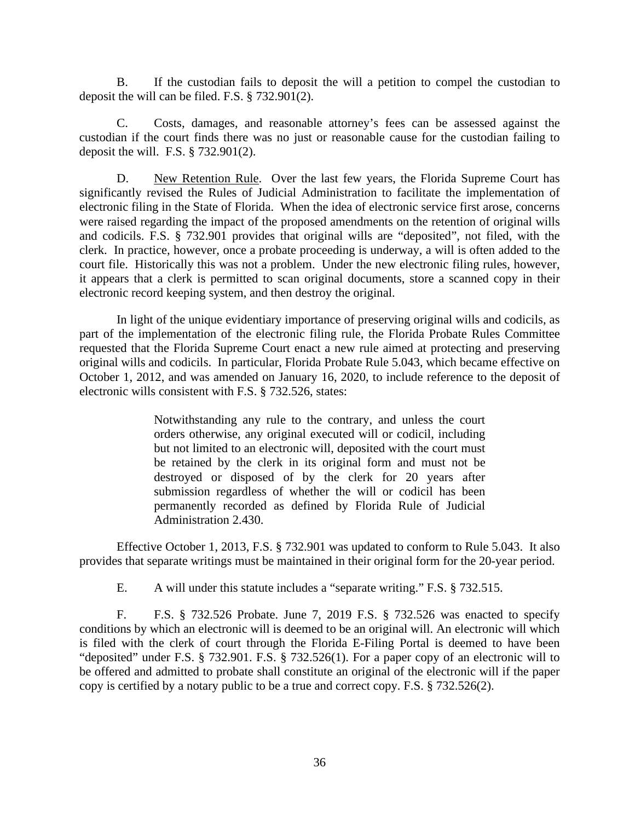B. If the custodian fails to deposit the will a petition to compel the custodian to deposit the will can be filed. F.S. § 732.901(2).

C. Costs, damages, and reasonable attorney's fees can be assessed against the custodian if the court finds there was no just or reasonable cause for the custodian failing to deposit the will. F.S. § 732.901(2).

D. New Retention Rule. Over the last few years, the Florida Supreme Court has significantly revised the Rules of Judicial Administration to facilitate the implementation of electronic filing in the State of Florida. When the idea of electronic service first arose, concerns were raised regarding the impact of the proposed amendments on the retention of original wills and codicils. F.S. § 732.901 provides that original wills are "deposited", not filed, with the clerk. In practice, however, once a probate proceeding is underway, a will is often added to the court file. Historically this was not a problem. Under the new electronic filing rules, however, it appears that a clerk is permitted to scan original documents, store a scanned copy in their electronic record keeping system, and then destroy the original.

In light of the unique evidentiary importance of preserving original wills and codicils, as part of the implementation of the electronic filing rule, the Florida Probate Rules Committee requested that the Florida Supreme Court enact a new rule aimed at protecting and preserving original wills and codicils. In particular, Florida Probate Rule 5.043, which became effective on October 1, 2012, and was amended on January 16, 2020, to include reference to the deposit of electronic wills consistent with F.S. § 732.526, states:

> Notwithstanding any rule to the contrary, and unless the court orders otherwise, any original executed will or codicil, including but not limited to an electronic will, deposited with the court must be retained by the clerk in its original form and must not be destroyed or disposed of by the clerk for 20 years after submission regardless of whether the will or codicil has been permanently recorded as defined by Florida Rule of Judicial Administration 2.430.

Effective October 1, 2013, F.S. § 732.901 was updated to conform to Rule 5.043. It also provides that separate writings must be maintained in their original form for the 20-year period.

E. A will under this statute includes a "separate writing." F.S. § 732.515.

F. F.S. § 732.526 Probate. June 7, 2019 F.S. § 732.526 was enacted to specify conditions by which an electronic will is deemed to be an original will. An electronic will which is filed with the clerk of court through the Florida E-Filing Portal is deemed to have been "deposited" under F.S. § 732.901. F.S. § 732.526(1). For a paper copy of an electronic will to be offered and admitted to probate shall constitute an original of the electronic will if the paper copy is certified by a notary public to be a true and correct copy. F.S. § 732.526(2).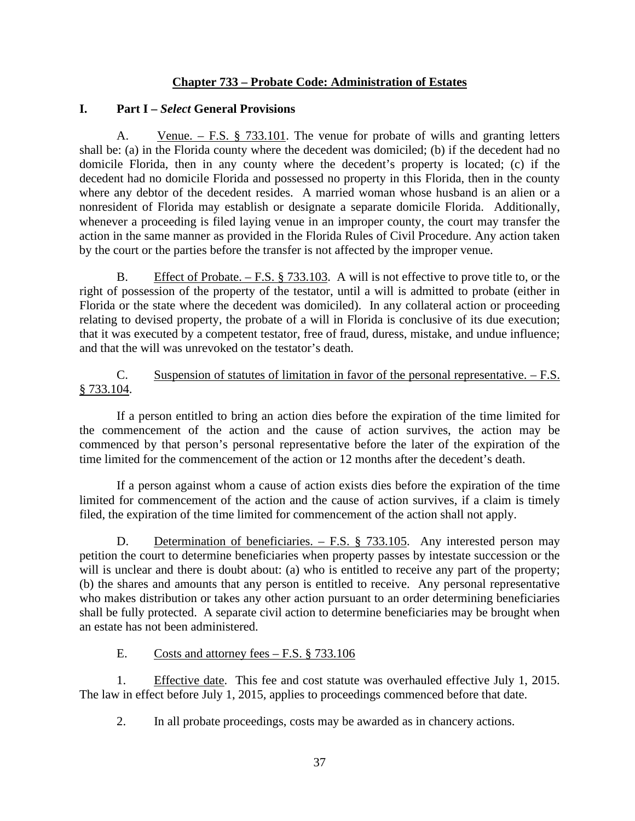# **Chapter 733 – Probate Code: Administration of Estates**

# **I. Part I –** *Select* **General Provisions**

A. Venue. – F.S. § 733.101. The venue for probate of wills and granting letters shall be: (a) in the Florida county where the decedent was domiciled; (b) if the decedent had no domicile Florida, then in any county where the decedent's property is located; (c) if the decedent had no domicile Florida and possessed no property in this Florida, then in the county where any debtor of the decedent resides. A married woman whose husband is an alien or a nonresident of Florida may establish or designate a separate domicile Florida. Additionally, whenever a proceeding is filed laying venue in an improper county, the court may transfer the action in the same manner as provided in the Florida Rules of Civil Procedure. Any action taken by the court or the parties before the transfer is not affected by the improper venue.

B. Effect of Probate. – F.S. § 733.103. A will is not effective to prove title to, or the right of possession of the property of the testator, until a will is admitted to probate (either in Florida or the state where the decedent was domiciled). In any collateral action or proceeding relating to devised property, the probate of a will in Florida is conclusive of its due execution; that it was executed by a competent testator, free of fraud, duress, mistake, and undue influence; and that the will was unrevoked on the testator's death.

# C. Suspension of statutes of limitation in favor of the personal representative. – F.S. § 733.104.

If a person entitled to bring an action dies before the expiration of the time limited for the commencement of the action and the cause of action survives, the action may be commenced by that person's personal representative before the later of the expiration of the time limited for the commencement of the action or 12 months after the decedent's death.

If a person against whom a cause of action exists dies before the expiration of the time limited for commencement of the action and the cause of action survives, if a claim is timely filed, the expiration of the time limited for commencement of the action shall not apply.

D. Determination of beneficiaries. – F.S. § 733.105. Any interested person may petition the court to determine beneficiaries when property passes by intestate succession or the will is unclear and there is doubt about: (a) who is entitled to receive any part of the property; (b) the shares and amounts that any person is entitled to receive. Any personal representative who makes distribution or takes any other action pursuant to an order determining beneficiaries shall be fully protected. A separate civil action to determine beneficiaries may be brought when an estate has not been administered.

E. Costs and attorney fees  $-$  F.S.  $\frac{8}{3}$  733.106

1. Effective date. This fee and cost statute was overhauled effective July 1, 2015. The law in effect before July 1, 2015, applies to proceedings commenced before that date.

2. In all probate proceedings, costs may be awarded as in chancery actions.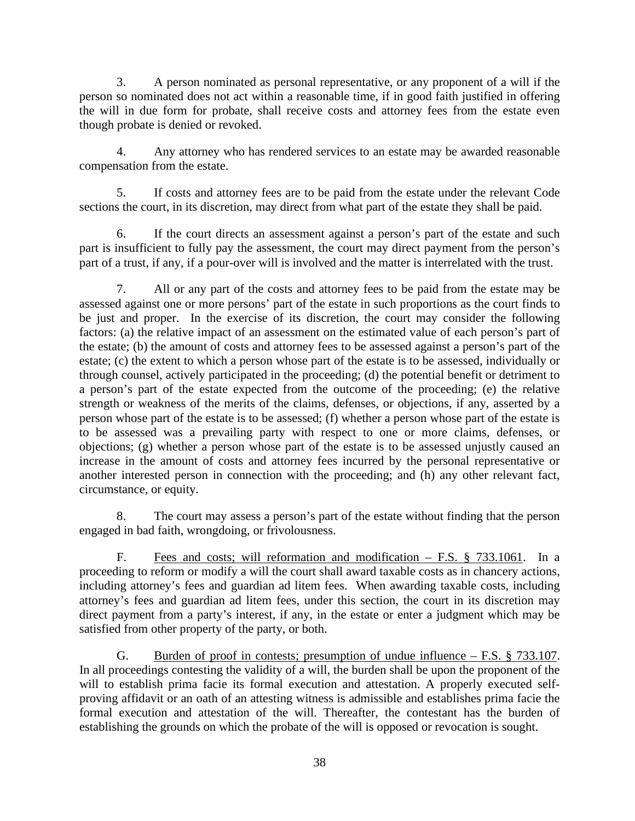3. A person nominated as personal representative, or any proponent of a will if the person so nominated does not act within a reasonable time, if in good faith justified in offering the will in due form for probate, shall receive costs and attorney fees from the estate even though probate is denied or revoked.

4. Any attorney who has rendered services to an estate may be awarded reasonable compensation from the estate.

5. If costs and attorney fees are to be paid from the estate under the relevant Code sections the court, in its discretion, may direct from what part of the estate they shall be paid.

6. If the court directs an assessment against a person's part of the estate and such part is insufficient to fully pay the assessment, the court may direct payment from the person's part of a trust, if any, if a pour-over will is involved and the matter is interrelated with the trust.

7. All or any part of the costs and attorney fees to be paid from the estate may be assessed against one or more persons' part of the estate in such proportions as the court finds to be just and proper. In the exercise of its discretion, the court may consider the following factors: (a) the relative impact of an assessment on the estimated value of each person's part of the estate; (b) the amount of costs and attorney fees to be assessed against a person's part of the estate; (c) the extent to which a person whose part of the estate is to be assessed, individually or through counsel, actively participated in the proceeding; (d) the potential benefit or detriment to a person's part of the estate expected from the outcome of the proceeding; (e) the relative strength or weakness of the merits of the claims, defenses, or objections, if any, asserted by a person whose part of the estate is to be assessed; (f) whether a person whose part of the estate is to be assessed was a prevailing party with respect to one or more claims, defenses, or objections; (g) whether a person whose part of the estate is to be assessed unjustly caused an increase in the amount of costs and attorney fees incurred by the personal representative or another interested person in connection with the proceeding; and (h) any other relevant fact, circumstance, or equity.

8. The court may assess a person's part of the estate without finding that the person engaged in bad faith, wrongdoing, or frivolousness.

F. Fees and costs; will reformation and modification – F.S. § 733.1061. In a proceeding to reform or modify a will the court shall award taxable costs as in chancery actions, including attorney's fees and guardian ad litem fees. When awarding taxable costs, including attorney's fees and guardian ad litem fees, under this section, the court in its discretion may direct payment from a party's interest, if any, in the estate or enter a judgment which may be satisfied from other property of the party, or both.

G. Burden of proof in contests; presumption of undue influence – F.S. § 733.107. In all proceedings contesting the validity of a will, the burden shall be upon the proponent of the will to establish prima facie its formal execution and attestation. A properly executed selfproving affidavit or an oath of an attesting witness is admissible and establishes prima facie the formal execution and attestation of the will. Thereafter, the contestant has the burden of establishing the grounds on which the probate of the will is opposed or revocation is sought.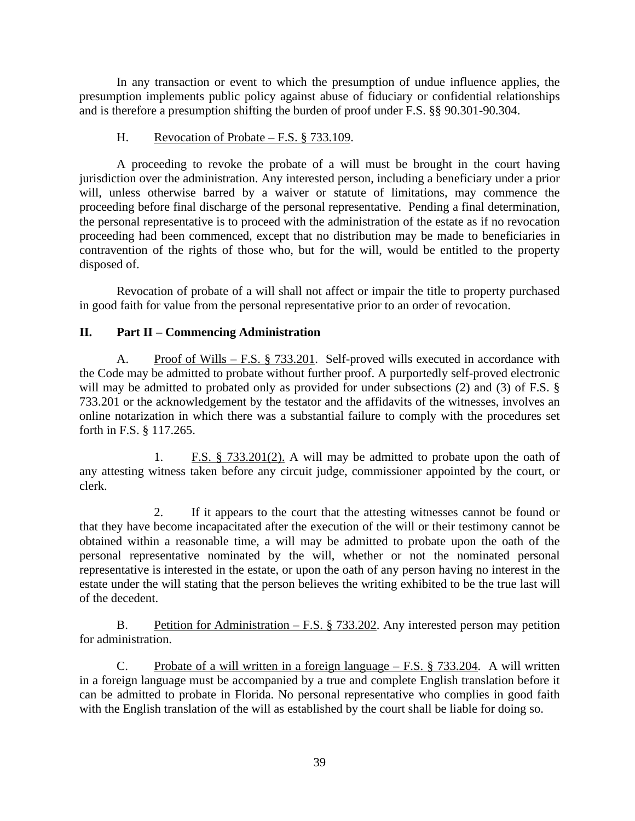In any transaction or event to which the presumption of undue influence applies, the presumption implements public policy against abuse of fiduciary or confidential relationships and is therefore a presumption shifting the burden of proof under F.S. §§ 90.301-90.304.

# H. Revocation of Probate – F.S. § 733.109.

A proceeding to revoke the probate of a will must be brought in the court having jurisdiction over the administration. Any interested person, including a beneficiary under a prior will, unless otherwise barred by a waiver or statute of limitations, may commence the proceeding before final discharge of the personal representative. Pending a final determination, the personal representative is to proceed with the administration of the estate as if no revocation proceeding had been commenced, except that no distribution may be made to beneficiaries in contravention of the rights of those who, but for the will, would be entitled to the property disposed of.

Revocation of probate of a will shall not affect or impair the title to property purchased in good faith for value from the personal representative prior to an order of revocation.

# **II. Part II – Commencing Administration**

A. Proof of Wills – F.S. § 733.201. Self-proved wills executed in accordance with the Code may be admitted to probate without further proof. A purportedly self-proved electronic will may be admitted to probated only as provided for under subsections (2) and (3) of F.S. § 733.201 or the acknowledgement by the testator and the affidavits of the witnesses, involves an online notarization in which there was a substantial failure to comply with the procedures set forth in F.S. § 117.265.

1. F.S. § 733.201(2). A will may be admitted to probate upon the oath of any attesting witness taken before any circuit judge, commissioner appointed by the court, or clerk.

2. If it appears to the court that the attesting witnesses cannot be found or that they have become incapacitated after the execution of the will or their testimony cannot be obtained within a reasonable time, a will may be admitted to probate upon the oath of the personal representative nominated by the will, whether or not the nominated personal representative is interested in the estate, or upon the oath of any person having no interest in the estate under the will stating that the person believes the writing exhibited to be the true last will of the decedent.

B. Petition for Administration – F.S. § 733.202. Any interested person may petition for administration.

C. Probate of a will written in a foreign language  $-$  F.S. § 733.204. A will written in a foreign language must be accompanied by a true and complete English translation before it can be admitted to probate in Florida. No personal representative who complies in good faith with the English translation of the will as established by the court shall be liable for doing so.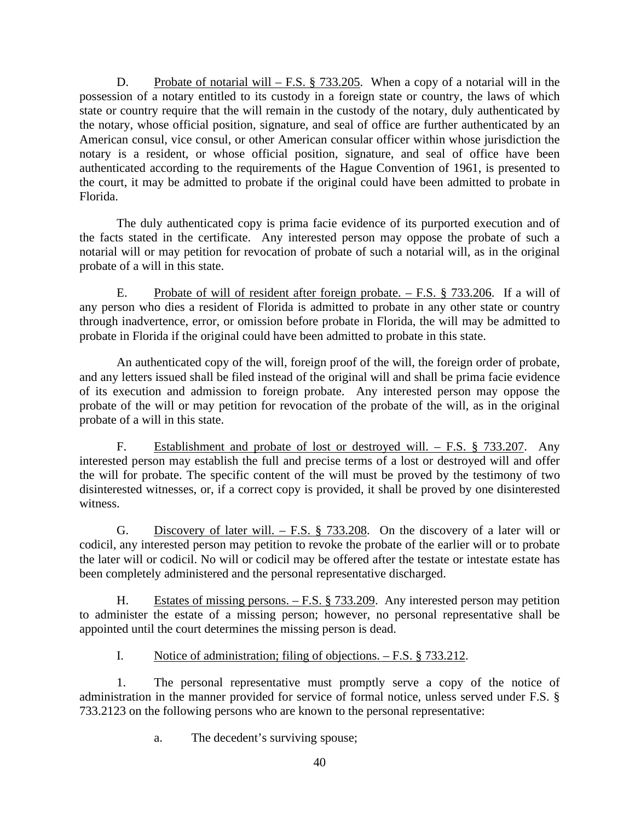D. Probate of notarial will – F.S. § 733.205.When a copy of a notarial will in the possession of a notary entitled to its custody in a foreign state or country, the laws of which state or country require that the will remain in the custody of the notary, duly authenticated by the notary, whose official position, signature, and seal of office are further authenticated by an American consul, vice consul, or other American consular officer within whose jurisdiction the notary is a resident, or whose official position, signature, and seal of office have been authenticated according to the requirements of the Hague Convention of 1961, is presented to the court, it may be admitted to probate if the original could have been admitted to probate in Florida.

The duly authenticated copy is prima facie evidence of its purported execution and of the facts stated in the certificate. Any interested person may oppose the probate of such a notarial will or may petition for revocation of probate of such a notarial will, as in the original probate of a will in this state.

E. Probate of will of resident after foreign probate. – F.S. § 733.206. If a will of any person who dies a resident of Florida is admitted to probate in any other state or country through inadvertence, error, or omission before probate in Florida, the will may be admitted to probate in Florida if the original could have been admitted to probate in this state.

An authenticated copy of the will, foreign proof of the will, the foreign order of probate, and any letters issued shall be filed instead of the original will and shall be prima facie evidence of its execution and admission to foreign probate. Any interested person may oppose the probate of the will or may petition for revocation of the probate of the will, as in the original probate of a will in this state.

F. Establishment and probate of lost or destroyed will. – F.S. § 733.207. Any interested person may establish the full and precise terms of a lost or destroyed will and offer the will for probate. The specific content of the will must be proved by the testimony of two disinterested witnesses, or, if a correct copy is provided, it shall be proved by one disinterested witness.

G. Discovery of later will. – F.S. § 733.208. On the discovery of a later will or codicil, any interested person may petition to revoke the probate of the earlier will or to probate the later will or codicil. No will or codicil may be offered after the testate or intestate estate has been completely administered and the personal representative discharged.

H. Estates of missing persons. – F.S. § 733.209. Any interested person may petition to administer the estate of a missing person; however, no personal representative shall be appointed until the court determines the missing person is dead.

I. Notice of administration; filing of objections. – F.S. § 733.212.

1. The personal representative must promptly serve a copy of the notice of administration in the manner provided for service of formal notice, unless served under F.S. § 733.2123 on the following persons who are known to the personal representative:

a. The decedent's surviving spouse;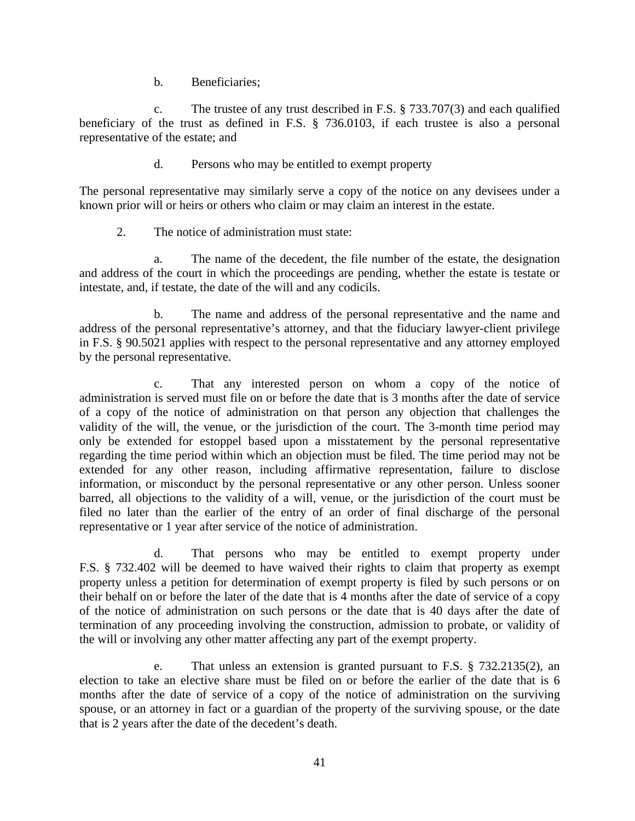b. Beneficiaries;

c. The trustee of any trust described in F.S. § 733.707(3) and each qualified beneficiary of the trust as defined in F.S. § 736.0103, if each trustee is also a personal representative of the estate; and

d. Persons who may be entitled to exempt property

The personal representative may similarly serve a copy of the notice on any devisees under a known prior will or heirs or others who claim or may claim an interest in the estate.

2. The notice of administration must state:

a. The name of the decedent, the file number of the estate, the designation and address of the court in which the proceedings are pending, whether the estate is testate or intestate, and, if testate, the date of the will and any codicils.

b. The name and address of the personal representative and the name and address of the personal representative's attorney, and that the fiduciary lawyer-client privilege in F.S. § 90.5021 applies with respect to the personal representative and any attorney employed by the personal representative.

c. That any interested person on whom a copy of the notice of administration is served must file on or before the date that is 3 months after the date of service of a copy of the notice of administration on that person any objection that challenges the validity of the will, the venue, or the jurisdiction of the court. The 3-month time period may only be extended for estoppel based upon a misstatement by the personal representative regarding the time period within which an objection must be filed. The time period may not be extended for any other reason, including affirmative representation, failure to disclose information, or misconduct by the personal representative or any other person. Unless sooner barred, all objections to the validity of a will, venue, or the jurisdiction of the court must be filed no later than the earlier of the entry of an order of final discharge of the personal representative or 1 year after service of the notice of administration.

d. That persons who may be entitled to exempt property under F.S. § 732.402 will be deemed to have waived their rights to claim that property as exempt property unless a petition for determination of exempt property is filed by such persons or on their behalf on or before the later of the date that is 4 months after the date of service of a copy of the notice of administration on such persons or the date that is 40 days after the date of termination of any proceeding involving the construction, admission to probate, or validity of the will or involving any other matter affecting any part of the exempt property.

e. That unless an extension is granted pursuant to F.S. § 732.2135(2), an election to take an elective share must be filed on or before the earlier of the date that is 6 months after the date of service of a copy of the notice of administration on the surviving spouse, or an attorney in fact or a guardian of the property of the surviving spouse, or the date that is 2 years after the date of the decedent's death.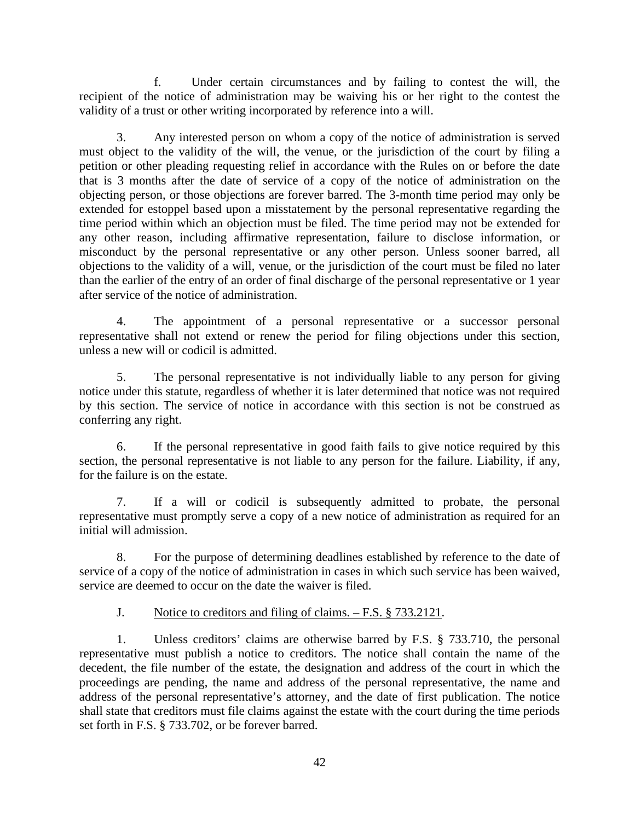f. Under certain circumstances and by failing to contest the will, the recipient of the notice of administration may be waiving his or her right to the contest the validity of a trust or other writing incorporated by reference into a will.

3. Any interested person on whom a copy of the notice of administration is served must object to the validity of the will, the venue, or the jurisdiction of the court by filing a petition or other pleading requesting relief in accordance with the Rules on or before the date that is 3 months after the date of service of a copy of the notice of administration on the objecting person, or those objections are forever barred. The 3-month time period may only be extended for estoppel based upon a misstatement by the personal representative regarding the time period within which an objection must be filed. The time period may not be extended for any other reason, including affirmative representation, failure to disclose information, or misconduct by the personal representative or any other person. Unless sooner barred, all objections to the validity of a will, venue, or the jurisdiction of the court must be filed no later than the earlier of the entry of an order of final discharge of the personal representative or 1 year after service of the notice of administration.

4. The appointment of a personal representative or a successor personal representative shall not extend or renew the period for filing objections under this section, unless a new will or codicil is admitted.

5. The personal representative is not individually liable to any person for giving notice under this statute, regardless of whether it is later determined that notice was not required by this section. The service of notice in accordance with this section is not be construed as conferring any right.

6. If the personal representative in good faith fails to give notice required by this section, the personal representative is not liable to any person for the failure. Liability, if any, for the failure is on the estate.

7. If a will or codicil is subsequently admitted to probate, the personal representative must promptly serve a copy of a new notice of administration as required for an initial will admission.

8. For the purpose of determining deadlines established by reference to the date of service of a copy of the notice of administration in cases in which such service has been waived, service are deemed to occur on the date the waiver is filed.

J. Notice to creditors and filing of claims. – F.S. § 733.2121.

1. Unless creditors' claims are otherwise barred by F.S. § 733.710, the personal representative must publish a notice to creditors. The notice shall contain the name of the decedent, the file number of the estate, the designation and address of the court in which the proceedings are pending, the name and address of the personal representative, the name and address of the personal representative's attorney, and the date of first publication. The notice shall state that creditors must file claims against the estate with the court during the time periods set forth in F.S. § 733.702, or be forever barred.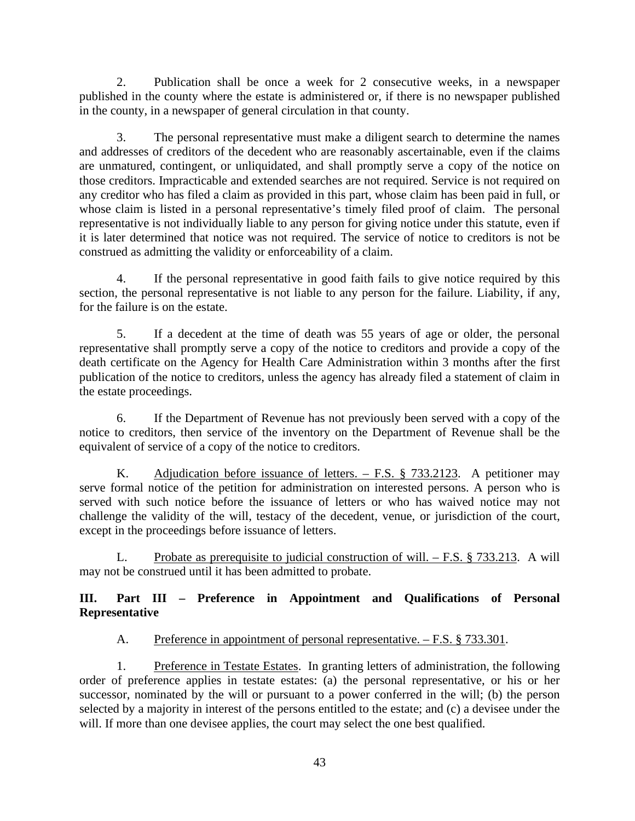2. Publication shall be once a week for 2 consecutive weeks, in a newspaper published in the county where the estate is administered or, if there is no newspaper published in the county, in a newspaper of general circulation in that county.

3. The personal representative must make a diligent search to determine the names and addresses of creditors of the decedent who are reasonably ascertainable, even if the claims are unmatured, contingent, or unliquidated, and shall promptly serve a copy of the notice on those creditors. Impracticable and extended searches are not required. Service is not required on any creditor who has filed a claim as provided in this part, whose claim has been paid in full, or whose claim is listed in a personal representative's timely filed proof of claim. The personal representative is not individually liable to any person for giving notice under this statute, even if it is later determined that notice was not required. The service of notice to creditors is not be construed as admitting the validity or enforceability of a claim.

4. If the personal representative in good faith fails to give notice required by this section, the personal representative is not liable to any person for the failure. Liability, if any, for the failure is on the estate.

5. If a decedent at the time of death was 55 years of age or older, the personal representative shall promptly serve a copy of the notice to creditors and provide a copy of the death certificate on the Agency for Health Care Administration within 3 months after the first publication of the notice to creditors, unless the agency has already filed a statement of claim in the estate proceedings.

6. If the Department of Revenue has not previously been served with a copy of the notice to creditors, then service of the inventory on the Department of Revenue shall be the equivalent of service of a copy of the notice to creditors.

K. Adjudication before issuance of letters. – F.S. § 733.2123. A petitioner may serve formal notice of the petition for administration on interested persons. A person who is served with such notice before the issuance of letters or who has waived notice may not challenge the validity of the will, testacy of the decedent, venue, or jurisdiction of the court, except in the proceedings before issuance of letters.

L. Probate as prerequisite to judicial construction of will. – F.S. § 733.213. A will may not be construed until it has been admitted to probate.

# **III. Part III – Preference in Appointment and Qualifications of Personal Representative**

A. Preference in appointment of personal representative. – F.S. § 733.301.

1. Preference in Testate Estates. In granting letters of administration, the following order of preference applies in testate estates: (a) the personal representative, or his or her successor, nominated by the will or pursuant to a power conferred in the will; (b) the person selected by a majority in interest of the persons entitled to the estate; and (c) a devisee under the will. If more than one devisee applies, the court may select the one best qualified.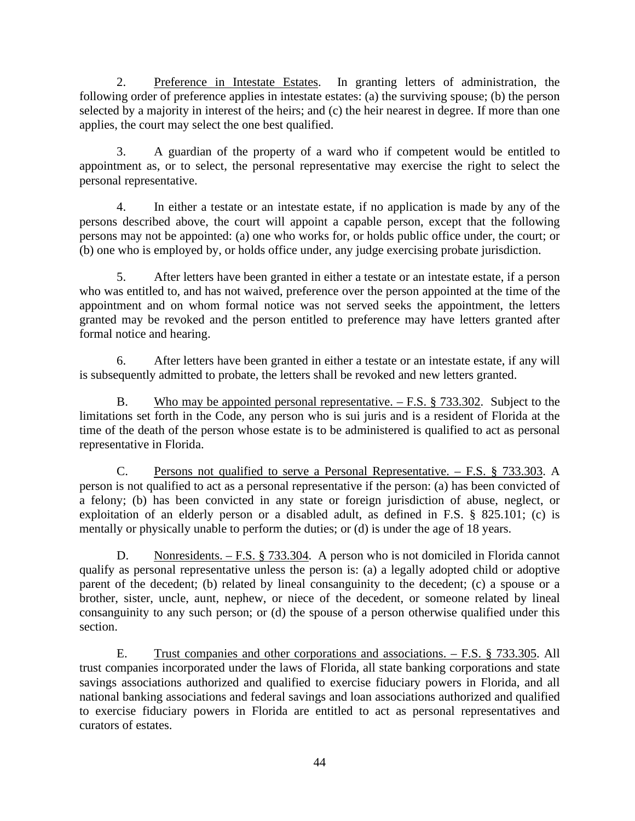2. Preference in Intestate Estates. In granting letters of administration, the following order of preference applies in intestate estates: (a) the surviving spouse; (b) the person selected by a majority in interest of the heirs; and (c) the heir nearest in degree. If more than one applies, the court may select the one best qualified.

3. A guardian of the property of a ward who if competent would be entitled to appointment as, or to select, the personal representative may exercise the right to select the personal representative.

4. In either a testate or an intestate estate, if no application is made by any of the persons described above, the court will appoint a capable person, except that the following persons may not be appointed: (a) one who works for, or holds public office under, the court; or (b) one who is employed by, or holds office under, any judge exercising probate jurisdiction.

5. After letters have been granted in either a testate or an intestate estate, if a person who was entitled to, and has not waived, preference over the person appointed at the time of the appointment and on whom formal notice was not served seeks the appointment, the letters granted may be revoked and the person entitled to preference may have letters granted after formal notice and hearing.

6. After letters have been granted in either a testate or an intestate estate, if any will is subsequently admitted to probate, the letters shall be revoked and new letters granted.

B. Who may be appointed personal representative. – F.S. § 733.302. Subject to the limitations set forth in the Code, any person who is sui juris and is a resident of Florida at the time of the death of the person whose estate is to be administered is qualified to act as personal representative in Florida.

C. Persons not qualified to serve a Personal Representative. – F.S. § 733.303. A person is not qualified to act as a personal representative if the person: (a) has been convicted of a felony; (b) has been convicted in any state or foreign jurisdiction of abuse, neglect, or exploitation of an elderly person or a disabled adult, as defined in F.S. § 825.101; (c) is mentally or physically unable to perform the duties; or (d) is under the age of 18 years.

D. Nonresidents. – F.S. § 733.304. A person who is not domiciled in Florida cannot qualify as personal representative unless the person is: (a) a legally adopted child or adoptive parent of the decedent; (b) related by lineal consanguinity to the decedent; (c) a spouse or a brother, sister, uncle, aunt, nephew, or niece of the decedent, or someone related by lineal consanguinity to any such person; or (d) the spouse of a person otherwise qualified under this section.

E. Trust companies and other corporations and associations. – F.S. § 733.305. All trust companies incorporated under the laws of Florida, all state banking corporations and state savings associations authorized and qualified to exercise fiduciary powers in Florida, and all national banking associations and federal savings and loan associations authorized and qualified to exercise fiduciary powers in Florida are entitled to act as personal representatives and curators of estates.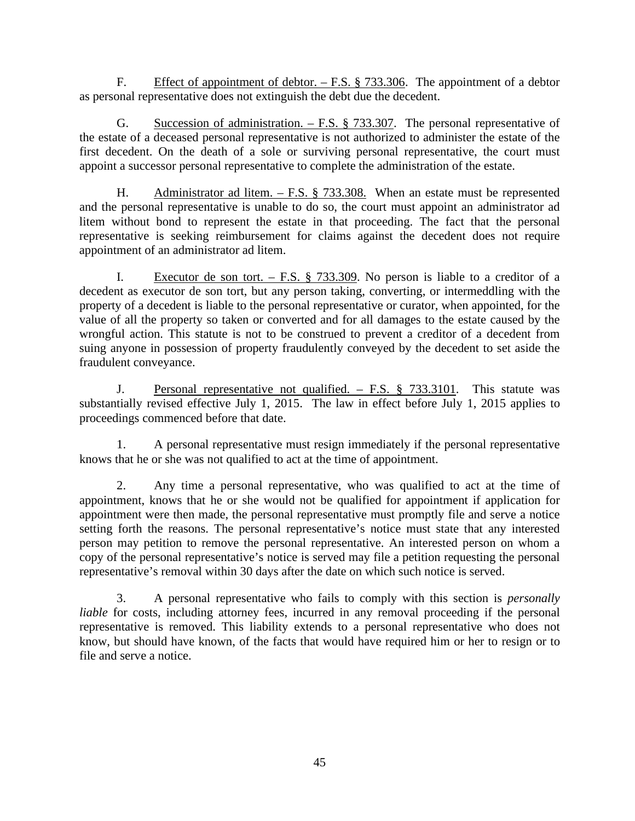F. Effect of appointment of debtor. – F.S. § 733.306. The appointment of a debtor as personal representative does not extinguish the debt due the decedent.

G. Succession of administration. – F.S. § 733.307.The personal representative of the estate of a deceased personal representative is not authorized to administer the estate of the first decedent. On the death of a sole or surviving personal representative, the court must appoint a successor personal representative to complete the administration of the estate.

H. Administrator ad litem. – F.S. § 733.308.When an estate must be represented and the personal representative is unable to do so, the court must appoint an administrator ad litem without bond to represent the estate in that proceeding. The fact that the personal representative is seeking reimbursement for claims against the decedent does not require appointment of an administrator ad litem.

I. Executor de son tort.  $-$  F.S. § 733.309. No person is liable to a creditor of a decedent as executor de son tort, but any person taking, converting, or intermeddling with the property of a decedent is liable to the personal representative or curator, when appointed, for the value of all the property so taken or converted and for all damages to the estate caused by the wrongful action. This statute is not to be construed to prevent a creditor of a decedent from suing anyone in possession of property fraudulently conveyed by the decedent to set aside the fraudulent conveyance.

J. Personal representative not qualified.  $-$  F.S. § 733.3101. This statute was substantially revised effective July 1, 2015. The law in effect before July 1, 2015 applies to proceedings commenced before that date.

1. A personal representative must resign immediately if the personal representative knows that he or she was not qualified to act at the time of appointment.

2. Any time a personal representative, who was qualified to act at the time of appointment, knows that he or she would not be qualified for appointment if application for appointment were then made, the personal representative must promptly file and serve a notice setting forth the reasons. The personal representative's notice must state that any interested person may petition to remove the personal representative. An interested person on whom a copy of the personal representative's notice is served may file a petition requesting the personal representative's removal within 30 days after the date on which such notice is served.

3. A personal representative who fails to comply with this section is *personally liable* for costs, including attorney fees, incurred in any removal proceeding if the personal representative is removed. This liability extends to a personal representative who does not know, but should have known, of the facts that would have required him or her to resign or to file and serve a notice.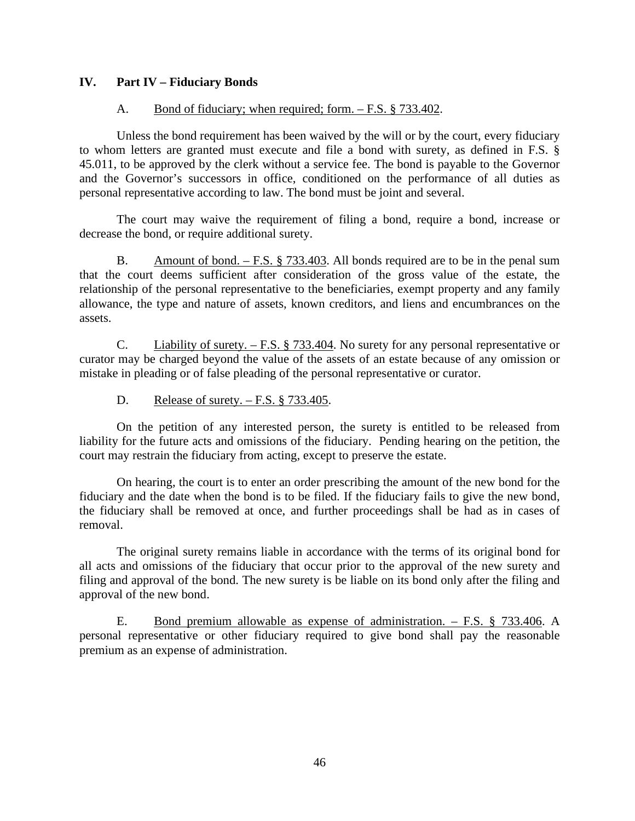### **IV. Part IV – Fiduciary Bonds**

### A. Bond of fiduciary; when required; form. – F.S. § 733.402.

Unless the bond requirement has been waived by the will or by the court, every fiduciary to whom letters are granted must execute and file a bond with surety, as defined in F.S. § 45.011, to be approved by the clerk without a service fee. The bond is payable to the Governor and the Governor's successors in office, conditioned on the performance of all duties as personal representative according to law. The bond must be joint and several.

The court may waive the requirement of filing a bond, require a bond, increase or decrease the bond, or require additional surety.

B. Amount of bond. – F.S. § 733.403. All bonds required are to be in the penal sum that the court deems sufficient after consideration of the gross value of the estate, the relationship of the personal representative to the beneficiaries, exempt property and any family allowance, the type and nature of assets, known creditors, and liens and encumbrances on the assets.

C. Liability of surety. – F.S. § 733.404. No surety for any personal representative or curator may be charged beyond the value of the assets of an estate because of any omission or mistake in pleading or of false pleading of the personal representative or curator.

D. Release of surety. – F.S. § 733.405.

On the petition of any interested person, the surety is entitled to be released from liability for the future acts and omissions of the fiduciary. Pending hearing on the petition, the court may restrain the fiduciary from acting, except to preserve the estate.

On hearing, the court is to enter an order prescribing the amount of the new bond for the fiduciary and the date when the bond is to be filed. If the fiduciary fails to give the new bond, the fiduciary shall be removed at once, and further proceedings shall be had as in cases of removal.

The original surety remains liable in accordance with the terms of its original bond for all acts and omissions of the fiduciary that occur prior to the approval of the new surety and filing and approval of the bond. The new surety is be liable on its bond only after the filing and approval of the new bond.

E. Bond premium allowable as expense of administration. – F.S. § 733.406. A personal representative or other fiduciary required to give bond shall pay the reasonable premium as an expense of administration.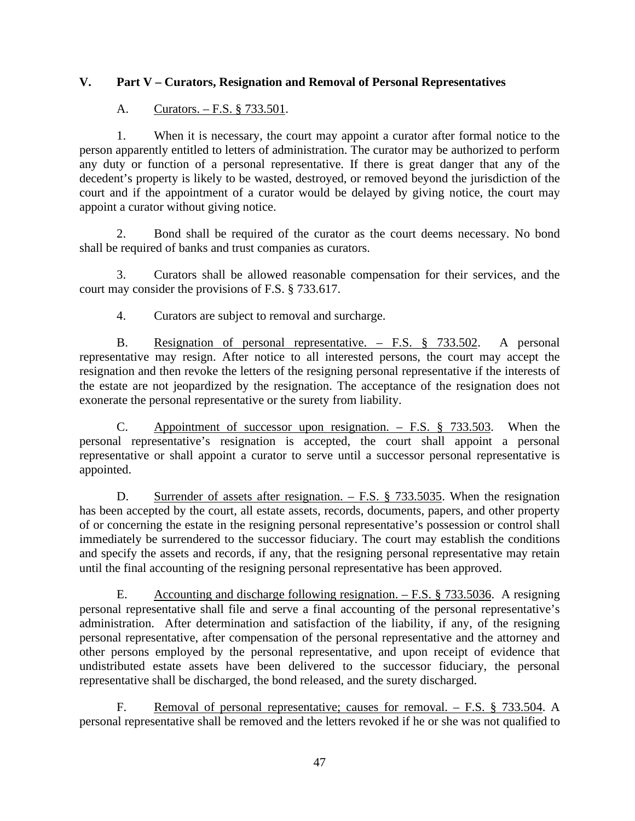# **V. Part V – Curators, Resignation and Removal of Personal Representatives**

A. Curators. – F.S. § 733.501.

1. When it is necessary, the court may appoint a curator after formal notice to the person apparently entitled to letters of administration. The curator may be authorized to perform any duty or function of a personal representative. If there is great danger that any of the decedent's property is likely to be wasted, destroyed, or removed beyond the jurisdiction of the court and if the appointment of a curator would be delayed by giving notice, the court may appoint a curator without giving notice.

2. Bond shall be required of the curator as the court deems necessary. No bond shall be required of banks and trust companies as curators.

3. Curators shall be allowed reasonable compensation for their services, and the court may consider the provisions of F.S. § 733.617.

4. Curators are subject to removal and surcharge.

B. Resignation of personal representative. – F.S. § 733.502. A personal representative may resign. After notice to all interested persons, the court may accept the resignation and then revoke the letters of the resigning personal representative if the interests of the estate are not jeopardized by the resignation. The acceptance of the resignation does not exonerate the personal representative or the surety from liability.

C. Appointment of successor upon resignation. – F.S. § 733.503. When the personal representative's resignation is accepted, the court shall appoint a personal representative or shall appoint a curator to serve until a successor personal representative is appointed.

D. Surrender of assets after resignation. – F.S. § 733.5035. When the resignation has been accepted by the court, all estate assets, records, documents, papers, and other property of or concerning the estate in the resigning personal representative's possession or control shall immediately be surrendered to the successor fiduciary. The court may establish the conditions and specify the assets and records, if any, that the resigning personal representative may retain until the final accounting of the resigning personal representative has been approved.

E. Accounting and discharge following resignation. – F.S. § 733.5036. A resigning personal representative shall file and serve a final accounting of the personal representative's administration. After determination and satisfaction of the liability, if any, of the resigning personal representative, after compensation of the personal representative and the attorney and other persons employed by the personal representative, and upon receipt of evidence that undistributed estate assets have been delivered to the successor fiduciary, the personal representative shall be discharged, the bond released, and the surety discharged.

F. Removal of personal representative; causes for removal. – F.S. § 733.504. A personal representative shall be removed and the letters revoked if he or she was not qualified to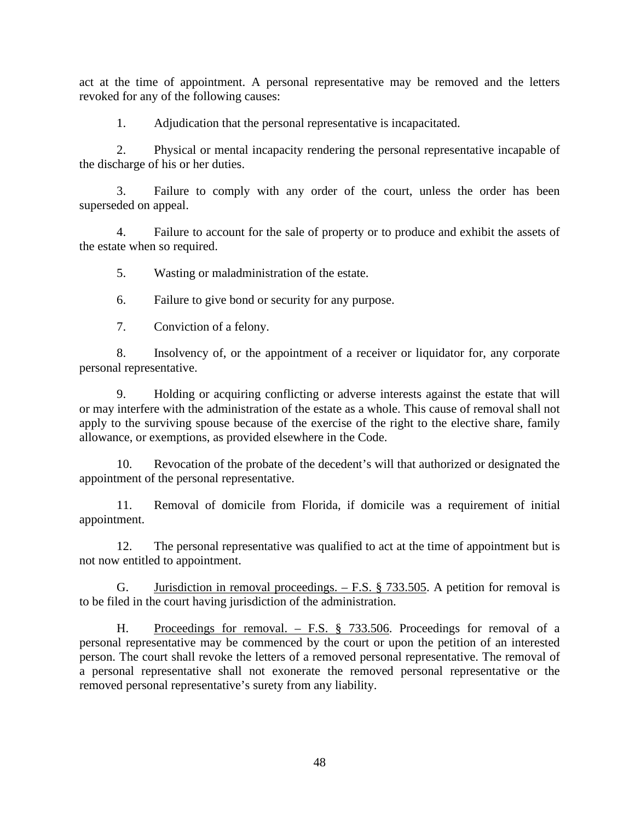act at the time of appointment. A personal representative may be removed and the letters revoked for any of the following causes:

1. Adjudication that the personal representative is incapacitated.

2. Physical or mental incapacity rendering the personal representative incapable of the discharge of his or her duties.

3. Failure to comply with any order of the court, unless the order has been superseded on appeal.

4. Failure to account for the sale of property or to produce and exhibit the assets of the estate when so required.

5. Wasting or maladministration of the estate.

6. Failure to give bond or security for any purpose.

7. Conviction of a felony.

8. Insolvency of, or the appointment of a receiver or liquidator for, any corporate personal representative.

9. Holding or acquiring conflicting or adverse interests against the estate that will or may interfere with the administration of the estate as a whole. This cause of removal shall not apply to the surviving spouse because of the exercise of the right to the elective share, family allowance, or exemptions, as provided elsewhere in the Code.

10. Revocation of the probate of the decedent's will that authorized or designated the appointment of the personal representative.

11. Removal of domicile from Florida, if domicile was a requirement of initial appointment.

12. The personal representative was qualified to act at the time of appointment but is not now entitled to appointment.

G. Jurisdiction in removal proceedings. – F.S. § 733.505. A petition for removal is to be filed in the court having jurisdiction of the administration.

H. Proceedings for removal. – F.S. § 733.506. Proceedings for removal of a personal representative may be commenced by the court or upon the petition of an interested person. The court shall revoke the letters of a removed personal representative. The removal of a personal representative shall not exonerate the removed personal representative or the removed personal representative's surety from any liability.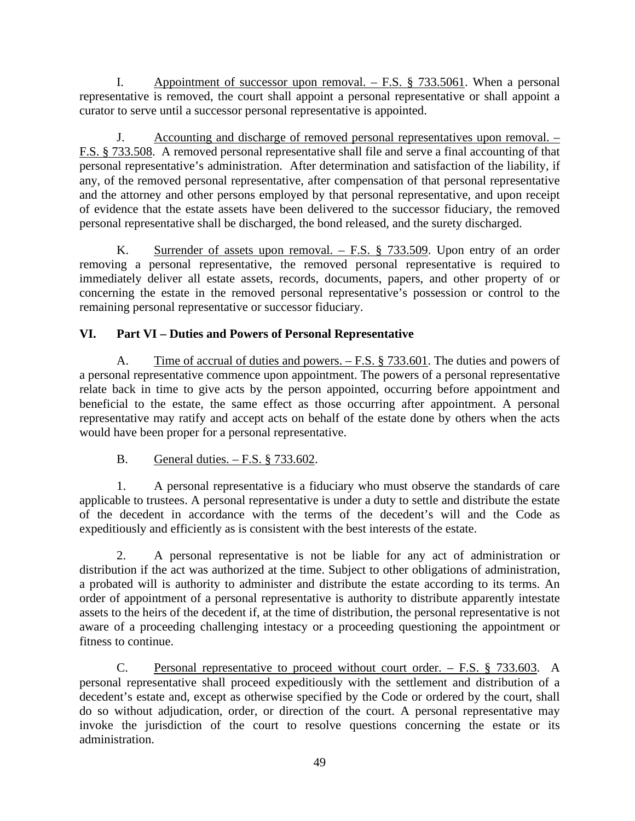I. Appointment of successor upon removal.  $-$  F.S. § 733.5061. When a personal representative is removed, the court shall appoint a personal representative or shall appoint a curator to serve until a successor personal representative is appointed.

J. Accounting and discharge of removed personal representatives upon removal. – F.S. § 733.508. A removed personal representative shall file and serve a final accounting of that personal representative's administration. After determination and satisfaction of the liability, if any, of the removed personal representative, after compensation of that personal representative and the attorney and other persons employed by that personal representative, and upon receipt of evidence that the estate assets have been delivered to the successor fiduciary, the removed personal representative shall be discharged, the bond released, and the surety discharged.

K. Surrender of assets upon removal. – F.S. § 733.509. Upon entry of an order removing a personal representative, the removed personal representative is required to immediately deliver all estate assets, records, documents, papers, and other property of or concerning the estate in the removed personal representative's possession or control to the remaining personal representative or successor fiduciary.

# **VI. Part VI – Duties and Powers of Personal Representative**

A. Time of accrual of duties and powers. – F.S. § 733.601. The duties and powers of a personal representative commence upon appointment. The powers of a personal representative relate back in time to give acts by the person appointed, occurring before appointment and beneficial to the estate, the same effect as those occurring after appointment. A personal representative may ratify and accept acts on behalf of the estate done by others when the acts would have been proper for a personal representative.

B. General duties. – F.S. § 733.602.

1. A personal representative is a fiduciary who must observe the standards of care applicable to trustees. A personal representative is under a duty to settle and distribute the estate of the decedent in accordance with the terms of the decedent's will and the Code as expeditiously and efficiently as is consistent with the best interests of the estate.

2. A personal representative is not be liable for any act of administration or distribution if the act was authorized at the time. Subject to other obligations of administration, a probated will is authority to administer and distribute the estate according to its terms. An order of appointment of a personal representative is authority to distribute apparently intestate assets to the heirs of the decedent if, at the time of distribution, the personal representative is not aware of a proceeding challenging intestacy or a proceeding questioning the appointment or fitness to continue.

C. Personal representative to proceed without court order. – F.S. § 733.603. A personal representative shall proceed expeditiously with the settlement and distribution of a decedent's estate and, except as otherwise specified by the Code or ordered by the court, shall do so without adjudication, order, or direction of the court. A personal representative may invoke the jurisdiction of the court to resolve questions concerning the estate or its administration.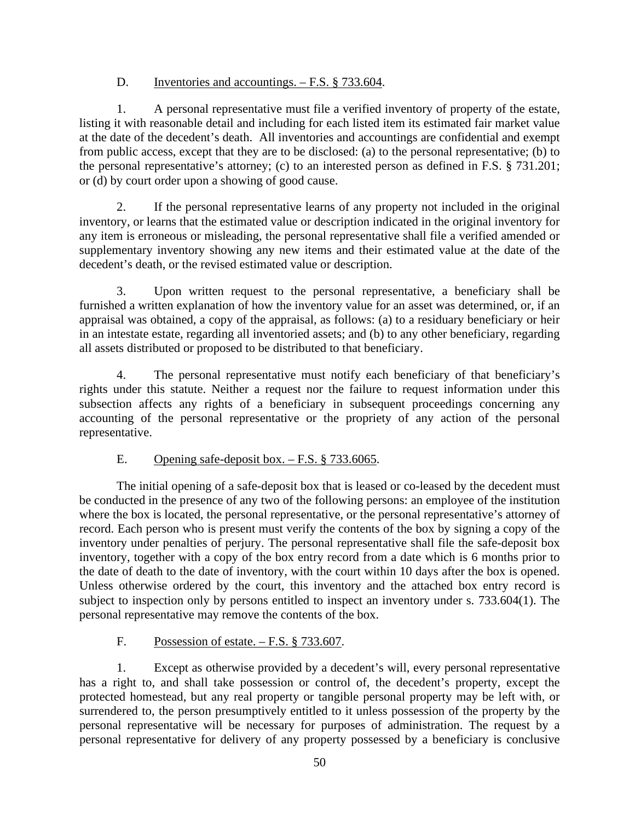# D. Inventories and accountings. – F.S. § 733.604.

1. A personal representative must file a verified inventory of property of the estate, listing it with reasonable detail and including for each listed item its estimated fair market value at the date of the decedent's death. All inventories and accountings are confidential and exempt from public access, except that they are to be disclosed: (a) to the personal representative; (b) to the personal representative's attorney; (c) to an interested person as defined in F.S. § 731.201; or (d) by court order upon a showing of good cause.

2. If the personal representative learns of any property not included in the original inventory, or learns that the estimated value or description indicated in the original inventory for any item is erroneous or misleading, the personal representative shall file a verified amended or supplementary inventory showing any new items and their estimated value at the date of the decedent's death, or the revised estimated value or description.

3. Upon written request to the personal representative, a beneficiary shall be furnished a written explanation of how the inventory value for an asset was determined, or, if an appraisal was obtained, a copy of the appraisal, as follows: (a) to a residuary beneficiary or heir in an intestate estate, regarding all inventoried assets; and (b) to any other beneficiary, regarding all assets distributed or proposed to be distributed to that beneficiary.

4. The personal representative must notify each beneficiary of that beneficiary's rights under this statute. Neither a request nor the failure to request information under this subsection affects any rights of a beneficiary in subsequent proceedings concerning any accounting of the personal representative or the propriety of any action of the personal representative.

# E. Opening safe-deposit box. – F.S. § 733.6065.

The initial opening of a safe-deposit box that is leased or co-leased by the decedent must be conducted in the presence of any two of the following persons: an employee of the institution where the box is located, the personal representative, or the personal representative's attorney of record. Each person who is present must verify the contents of the box by signing a copy of the inventory under penalties of perjury. The personal representative shall file the safe-deposit box inventory, together with a copy of the box entry record from a date which is 6 months prior to the date of death to the date of inventory, with the court within 10 days after the box is opened. Unless otherwise ordered by the court, this inventory and the attached box entry record is subject to inspection only by persons entitled to inspect an inventory under s. 733.604(1). The personal representative may remove the contents of the box.

# F. Possession of estate.  $-$  F.S. § 733.607.

1. Except as otherwise provided by a decedent's will, every personal representative has a right to, and shall take possession or control of, the decedent's property, except the protected homestead, but any real property or tangible personal property may be left with, or surrendered to, the person presumptively entitled to it unless possession of the property by the personal representative will be necessary for purposes of administration. The request by a personal representative for delivery of any property possessed by a beneficiary is conclusive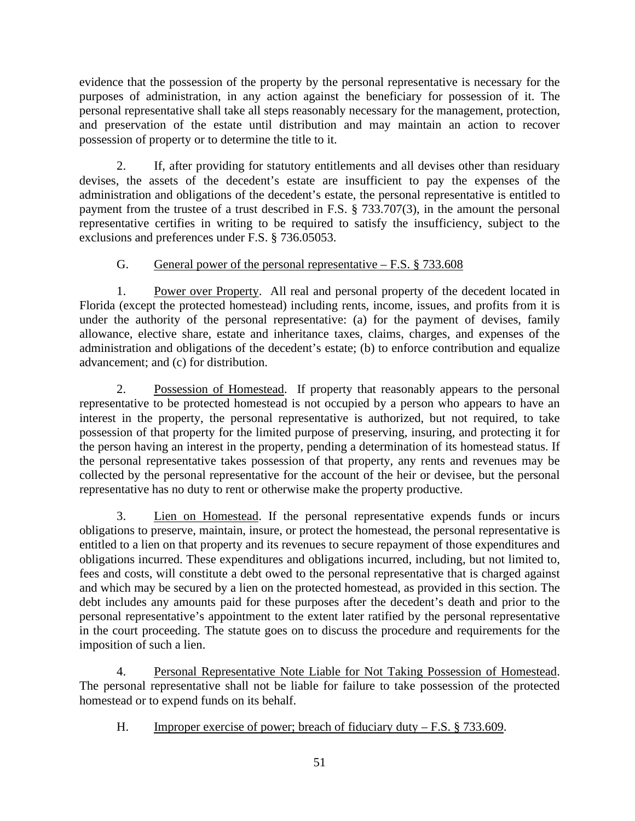evidence that the possession of the property by the personal representative is necessary for the purposes of administration, in any action against the beneficiary for possession of it. The personal representative shall take all steps reasonably necessary for the management, protection, and preservation of the estate until distribution and may maintain an action to recover possession of property or to determine the title to it.

2. If, after providing for statutory entitlements and all devises other than residuary devises, the assets of the decedent's estate are insufficient to pay the expenses of the administration and obligations of the decedent's estate, the personal representative is entitled to payment from the trustee of a trust described in F.S. § 733.707(3), in the amount the personal representative certifies in writing to be required to satisfy the insufficiency, subject to the exclusions and preferences under F.S. § 736.05053.

# G. General power of the personal representative  $-$  F.S. § 733.608

1. Power over Property. All real and personal property of the decedent located in Florida (except the protected homestead) including rents, income, issues, and profits from it is under the authority of the personal representative: (a) for the payment of devises, family allowance, elective share, estate and inheritance taxes, claims, charges, and expenses of the administration and obligations of the decedent's estate; (b) to enforce contribution and equalize advancement; and (c) for distribution.

2. Possession of Homestead. If property that reasonably appears to the personal representative to be protected homestead is not occupied by a person who appears to have an interest in the property, the personal representative is authorized, but not required, to take possession of that property for the limited purpose of preserving, insuring, and protecting it for the person having an interest in the property, pending a determination of its homestead status. If the personal representative takes possession of that property, any rents and revenues may be collected by the personal representative for the account of the heir or devisee, but the personal representative has no duty to rent or otherwise make the property productive.

3. Lien on Homestead. If the personal representative expends funds or incurs obligations to preserve, maintain, insure, or protect the homestead, the personal representative is entitled to a lien on that property and its revenues to secure repayment of those expenditures and obligations incurred. These expenditures and obligations incurred, including, but not limited to, fees and costs, will constitute a debt owed to the personal representative that is charged against and which may be secured by a lien on the protected homestead, as provided in this section. The debt includes any amounts paid for these purposes after the decedent's death and prior to the personal representative's appointment to the extent later ratified by the personal representative in the court proceeding. The statute goes on to discuss the procedure and requirements for the imposition of such a lien.

4. Personal Representative Note Liable for Not Taking Possession of Homestead. The personal representative shall not be liable for failure to take possession of the protected homestead or to expend funds on its behalf.

H. Improper exercise of power; breach of fiduciary duty – F.S. § 733.609.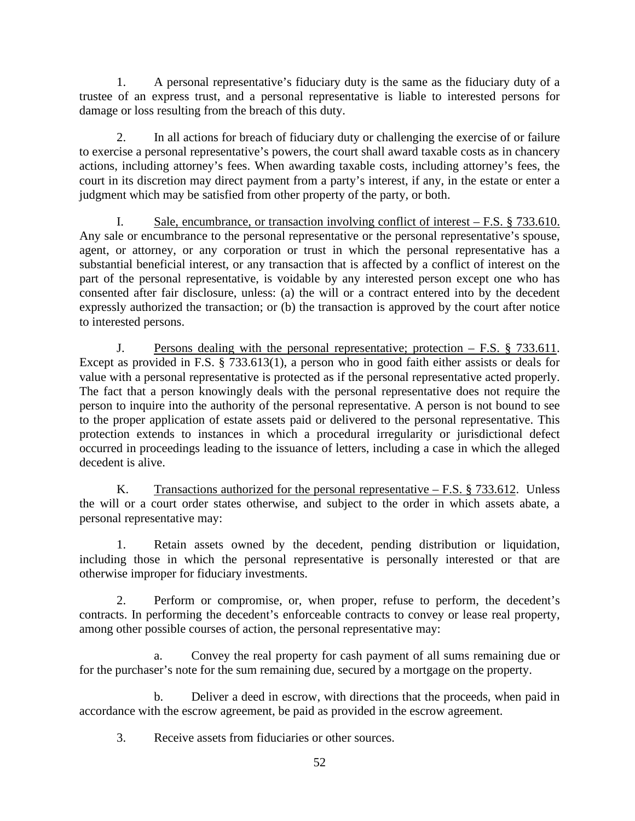1. A personal representative's fiduciary duty is the same as the fiduciary duty of a trustee of an express trust, and a personal representative is liable to interested persons for damage or loss resulting from the breach of this duty.

2. In all actions for breach of fiduciary duty or challenging the exercise of or failure to exercise a personal representative's powers, the court shall award taxable costs as in chancery actions, including attorney's fees. When awarding taxable costs, including attorney's fees, the court in its discretion may direct payment from a party's interest, if any, in the estate or enter a judgment which may be satisfied from other property of the party, or both.

I. Sale, encumbrance, or transaction involving conflict of interest – F.S. § 733.610. Any sale or encumbrance to the personal representative or the personal representative's spouse, agent, or attorney, or any corporation or trust in which the personal representative has a substantial beneficial interest, or any transaction that is affected by a conflict of interest on the part of the personal representative, is voidable by any interested person except one who has consented after fair disclosure, unless: (a) the will or a contract entered into by the decedent expressly authorized the transaction; or (b) the transaction is approved by the court after notice to interested persons.

J. Persons dealing with the personal representative; protection – F.S. § 733.611. Except as provided in F.S. § 733.613(1), a person who in good faith either assists or deals for value with a personal representative is protected as if the personal representative acted properly. The fact that a person knowingly deals with the personal representative does not require the person to inquire into the authority of the personal representative. A person is not bound to see to the proper application of estate assets paid or delivered to the personal representative. This protection extends to instances in which a procedural irregularity or jurisdictional defect occurred in proceedings leading to the issuance of letters, including a case in which the alleged decedent is alive.

K. Transactions authorized for the personal representative  $-$  F.S. § 733.612. Unless the will or a court order states otherwise, and subject to the order in which assets abate, a personal representative may:

Retain assets owned by the decedent, pending distribution or liquidation, including those in which the personal representative is personally interested or that are otherwise improper for fiduciary investments.

2. Perform or compromise, or, when proper, refuse to perform, the decedent's contracts. In performing the decedent's enforceable contracts to convey or lease real property, among other possible courses of action, the personal representative may:

a. Convey the real property for cash payment of all sums remaining due or for the purchaser's note for the sum remaining due, secured by a mortgage on the property.

b. Deliver a deed in escrow, with directions that the proceeds, when paid in accordance with the escrow agreement, be paid as provided in the escrow agreement.

3. Receive assets from fiduciaries or other sources.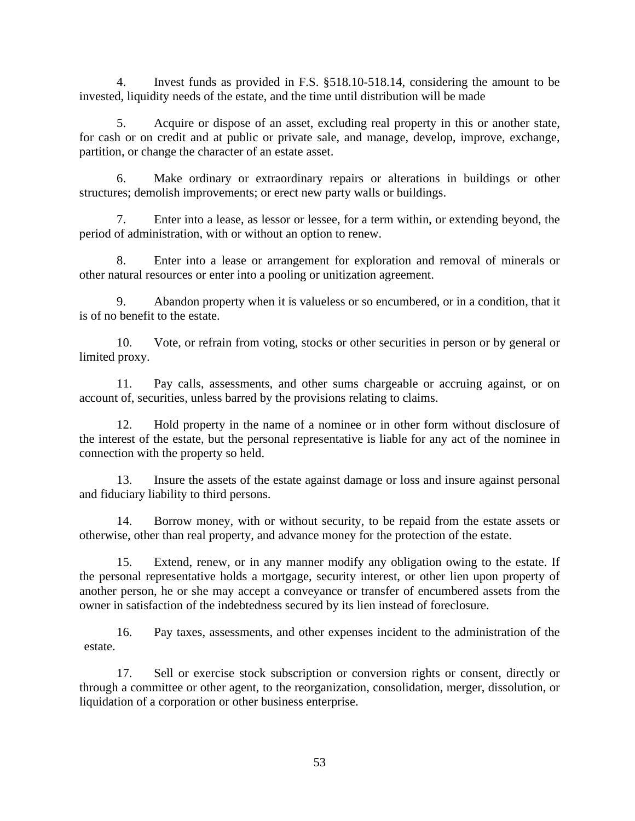4. Invest funds as provided in F.S. §518.10-518.14, considering the amount to be invested, liquidity needs of the estate, and the time until distribution will be made

5. Acquire or dispose of an asset, excluding real property in this or another state, for cash or on credit and at public or private sale, and manage, develop, improve, exchange, partition, or change the character of an estate asset.

6. Make ordinary or extraordinary repairs or alterations in buildings or other structures; demolish improvements; or erect new party walls or buildings.

7. Enter into a lease, as lessor or lessee, for a term within, or extending beyond, the period of administration, with or without an option to renew.

8. Enter into a lease or arrangement for exploration and removal of minerals or other natural resources or enter into a pooling or unitization agreement.

9. Abandon property when it is valueless or so encumbered, or in a condition, that it is of no benefit to the estate.

10. Vote, or refrain from voting, stocks or other securities in person or by general or limited proxy.

11. Pay calls, assessments, and other sums chargeable or accruing against, or on account of, securities, unless barred by the provisions relating to claims.

12. Hold property in the name of a nominee or in other form without disclosure of the interest of the estate, but the personal representative is liable for any act of the nominee in connection with the property so held.

13. Insure the assets of the estate against damage or loss and insure against personal and fiduciary liability to third persons.

14. Borrow money, with or without security, to be repaid from the estate assets or otherwise, other than real property, and advance money for the protection of the estate.

15. Extend, renew, or in any manner modify any obligation owing to the estate. If the personal representative holds a mortgage, security interest, or other lien upon property of another person, he or she may accept a conveyance or transfer of encumbered assets from the owner in satisfaction of the indebtedness secured by its lien instead of foreclosure.

16. Pay taxes, assessments, and other expenses incident to the administration of the estate.

17. Sell or exercise stock subscription or conversion rights or consent, directly or through a committee or other agent, to the reorganization, consolidation, merger, dissolution, or liquidation of a corporation or other business enterprise.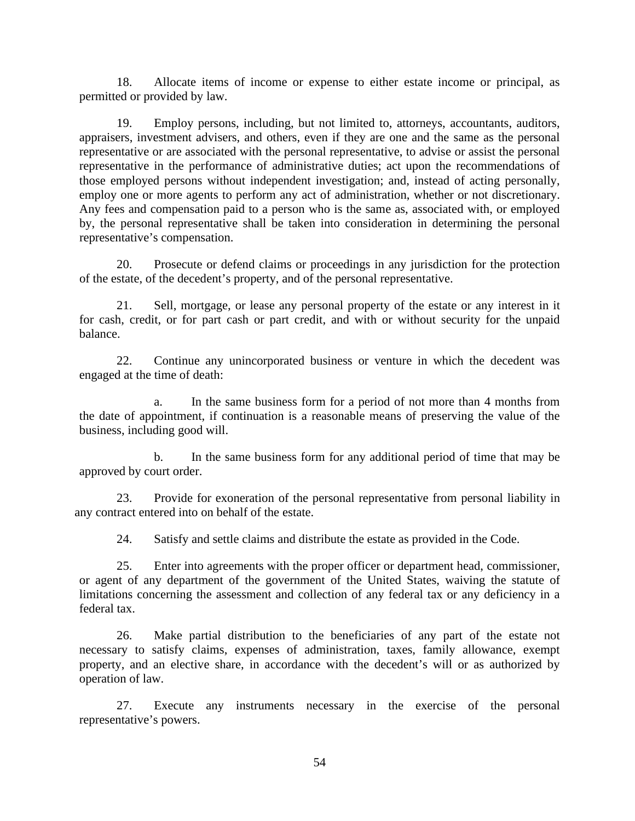18. Allocate items of income or expense to either estate income or principal, as permitted or provided by law.

19. Employ persons, including, but not limited to, attorneys, accountants, auditors, appraisers, investment advisers, and others, even if they are one and the same as the personal representative or are associated with the personal representative, to advise or assist the personal representative in the performance of administrative duties; act upon the recommendations of those employed persons without independent investigation; and, instead of acting personally, employ one or more agents to perform any act of administration, whether or not discretionary. Any fees and compensation paid to a person who is the same as, associated with, or employed by, the personal representative shall be taken into consideration in determining the personal representative's compensation.

20. Prosecute or defend claims or proceedings in any jurisdiction for the protection of the estate, of the decedent's property, and of the personal representative.

21. Sell, mortgage, or lease any personal property of the estate or any interest in it for cash, credit, or for part cash or part credit, and with or without security for the unpaid balance.

22. Continue any unincorporated business or venture in which the decedent was engaged at the time of death:

a. In the same business form for a period of not more than 4 months from the date of appointment, if continuation is a reasonable means of preserving the value of the business, including good will.

b. In the same business form for any additional period of time that may be approved by court order.

23. Provide for exoneration of the personal representative from personal liability in any contract entered into on behalf of the estate.

24. Satisfy and settle claims and distribute the estate as provided in the Code.

25. Enter into agreements with the proper officer or department head, commissioner, or agent of any department of the government of the United States, waiving the statute of limitations concerning the assessment and collection of any federal tax or any deficiency in a federal tax.

26. Make partial distribution to the beneficiaries of any part of the estate not necessary to satisfy claims, expenses of administration, taxes, family allowance, exempt property, and an elective share, in accordance with the decedent's will or as authorized by operation of law.

27. Execute any instruments necessary in the exercise of the personal representative's powers.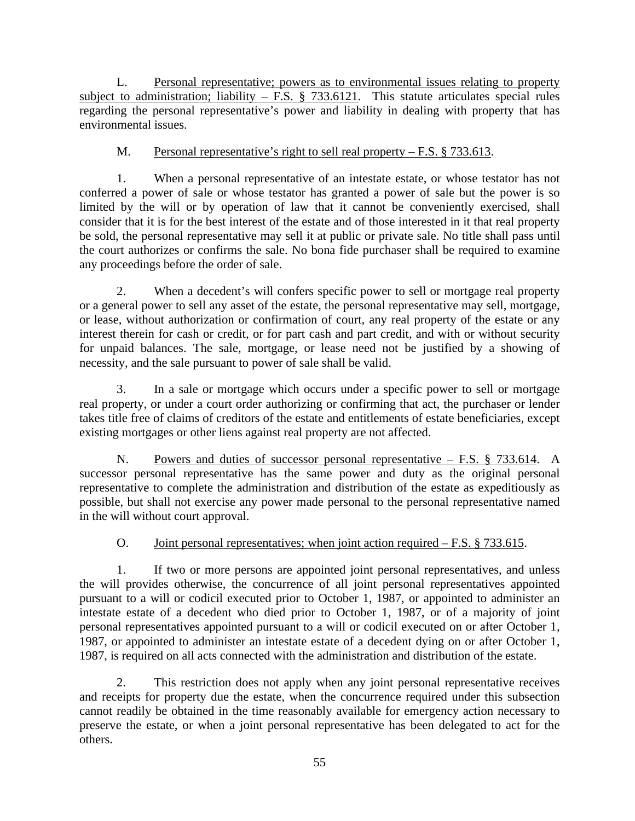L. Personal representative; powers as to environmental issues relating to property subject to administration; liability – F.S.  $\S$  733.6121. This statute articulates special rules regarding the personal representative's power and liability in dealing with property that has environmental issues.

# M. Personal representative's right to sell real property – F.S. § 733.613.

1. When a personal representative of an intestate estate, or whose testator has not conferred a power of sale or whose testator has granted a power of sale but the power is so limited by the will or by operation of law that it cannot be conveniently exercised, shall consider that it is for the best interest of the estate and of those interested in it that real property be sold, the personal representative may sell it at public or private sale. No title shall pass until the court authorizes or confirms the sale. No bona fide purchaser shall be required to examine any proceedings before the order of sale.

2. When a decedent's will confers specific power to sell or mortgage real property or a general power to sell any asset of the estate, the personal representative may sell, mortgage, or lease, without authorization or confirmation of court, any real property of the estate or any interest therein for cash or credit, or for part cash and part credit, and with or without security for unpaid balances. The sale, mortgage, or lease need not be justified by a showing of necessity, and the sale pursuant to power of sale shall be valid.

3. In a sale or mortgage which occurs under a specific power to sell or mortgage real property, or under a court order authorizing or confirming that act, the purchaser or lender takes title free of claims of creditors of the estate and entitlements of estate beneficiaries, except existing mortgages or other liens against real property are not affected.

N. Powers and duties of successor personal representative – F.S. § 733.614. A successor personal representative has the same power and duty as the original personal representative to complete the administration and distribution of the estate as expeditiously as possible, but shall not exercise any power made personal to the personal representative named in the will without court approval.

# O. Joint personal representatives; when joint action required – F.S. § 733.615.

1. If two or more persons are appointed joint personal representatives, and unless the will provides otherwise, the concurrence of all joint personal representatives appointed pursuant to a will or codicil executed prior to October 1, 1987, or appointed to administer an intestate estate of a decedent who died prior to October 1, 1987, or of a majority of joint personal representatives appointed pursuant to a will or codicil executed on or after October 1, 1987, or appointed to administer an intestate estate of a decedent dying on or after October 1, 1987, is required on all acts connected with the administration and distribution of the estate.

2. This restriction does not apply when any joint personal representative receives and receipts for property due the estate, when the concurrence required under this subsection cannot readily be obtained in the time reasonably available for emergency action necessary to preserve the estate, or when a joint personal representative has been delegated to act for the others.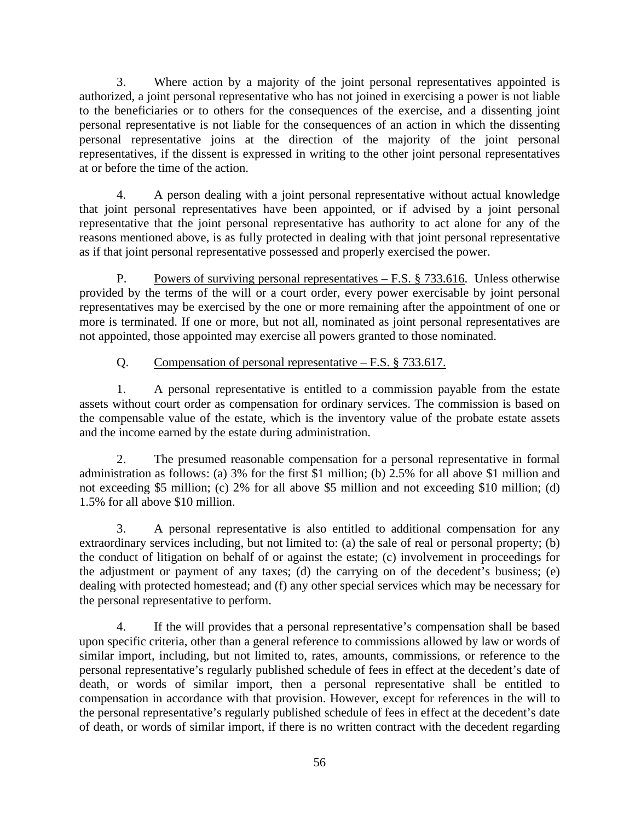3. Where action by a majority of the joint personal representatives appointed is authorized, a joint personal representative who has not joined in exercising a power is not liable to the beneficiaries or to others for the consequences of the exercise, and a dissenting joint personal representative is not liable for the consequences of an action in which the dissenting personal representative joins at the direction of the majority of the joint personal representatives, if the dissent is expressed in writing to the other joint personal representatives at or before the time of the action.

4. A person dealing with a joint personal representative without actual knowledge that joint personal representatives have been appointed, or if advised by a joint personal representative that the joint personal representative has authority to act alone for any of the reasons mentioned above, is as fully protected in dealing with that joint personal representative as if that joint personal representative possessed and properly exercised the power.

P. Powers of surviving personal representatives – F.S. § 733.616. Unless otherwise provided by the terms of the will or a court order, every power exercisable by joint personal representatives may be exercised by the one or more remaining after the appointment of one or more is terminated. If one or more, but not all, nominated as joint personal representatives are not appointed, those appointed may exercise all powers granted to those nominated.

# Q. Compensation of personal representative – F.S. § 733.617.

1. A personal representative is entitled to a commission payable from the estate assets without court order as compensation for ordinary services. The commission is based on the compensable value of the estate, which is the inventory value of the probate estate assets and the income earned by the estate during administration.

2. The presumed reasonable compensation for a personal representative in formal administration as follows: (a) 3% for the first \$1 million; (b) 2.5% for all above \$1 million and not exceeding \$5 million; (c) 2% for all above \$5 million and not exceeding \$10 million; (d) 1.5% for all above \$10 million.

3. A personal representative is also entitled to additional compensation for any extraordinary services including, but not limited to: (a) the sale of real or personal property; (b) the conduct of litigation on behalf of or against the estate; (c) involvement in proceedings for the adjustment or payment of any taxes; (d) the carrying on of the decedent's business; (e) dealing with protected homestead; and (f) any other special services which may be necessary for the personal representative to perform.

4. If the will provides that a personal representative's compensation shall be based upon specific criteria, other than a general reference to commissions allowed by law or words of similar import, including, but not limited to, rates, amounts, commissions, or reference to the personal representative's regularly published schedule of fees in effect at the decedent's date of death, or words of similar import, then a personal representative shall be entitled to compensation in accordance with that provision. However, except for references in the will to the personal representative's regularly published schedule of fees in effect at the decedent's date of death, or words of similar import, if there is no written contract with the decedent regarding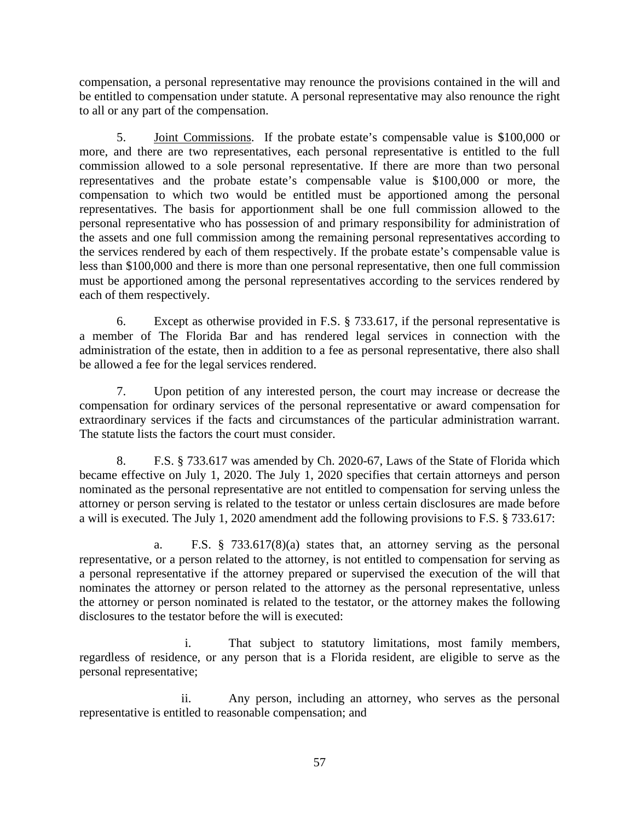compensation, a personal representative may renounce the provisions contained in the will and be entitled to compensation under statute. A personal representative may also renounce the right to all or any part of the compensation.

5. Joint Commissions. If the probate estate's compensable value is \$100,000 or more, and there are two representatives, each personal representative is entitled to the full commission allowed to a sole personal representative. If there are more than two personal representatives and the probate estate's compensable value is \$100,000 or more, the compensation to which two would be entitled must be apportioned among the personal representatives. The basis for apportionment shall be one full commission allowed to the personal representative who has possession of and primary responsibility for administration of the assets and one full commission among the remaining personal representatives according to the services rendered by each of them respectively. If the probate estate's compensable value is less than \$100,000 and there is more than one personal representative, then one full commission must be apportioned among the personal representatives according to the services rendered by each of them respectively.

6. Except as otherwise provided in F.S. § 733.617, if the personal representative is a member of The Florida Bar and has rendered legal services in connection with the administration of the estate, then in addition to a fee as personal representative, there also shall be allowed a fee for the legal services rendered.

7. Upon petition of any interested person, the court may increase or decrease the compensation for ordinary services of the personal representative or award compensation for extraordinary services if the facts and circumstances of the particular administration warrant. The statute lists the factors the court must consider.

8. F.S. § 733.617 was amended by Ch. 2020-67, Laws of the State of Florida which became effective on July 1, 2020. The July 1, 2020 specifies that certain attorneys and person nominated as the personal representative are not entitled to compensation for serving unless the attorney or person serving is related to the testator or unless certain disclosures are made before a will is executed. The July 1, 2020 amendment add the following provisions to F.S. § 733.617:

a. F.S. § 733.617(8)(a) states that, an attorney serving as the personal representative, or a person related to the attorney, is not entitled to compensation for serving as a personal representative if the attorney prepared or supervised the execution of the will that nominates the attorney or person related to the attorney as the personal representative, unless the attorney or person nominated is related to the testator, or the attorney makes the following disclosures to the testator before the will is executed:

i. That subject to statutory limitations, most family members, regardless of residence, or any person that is a Florida resident, are eligible to serve as the personal representative;

ii. Any person, including an attorney, who serves as the personal representative is entitled to reasonable compensation; and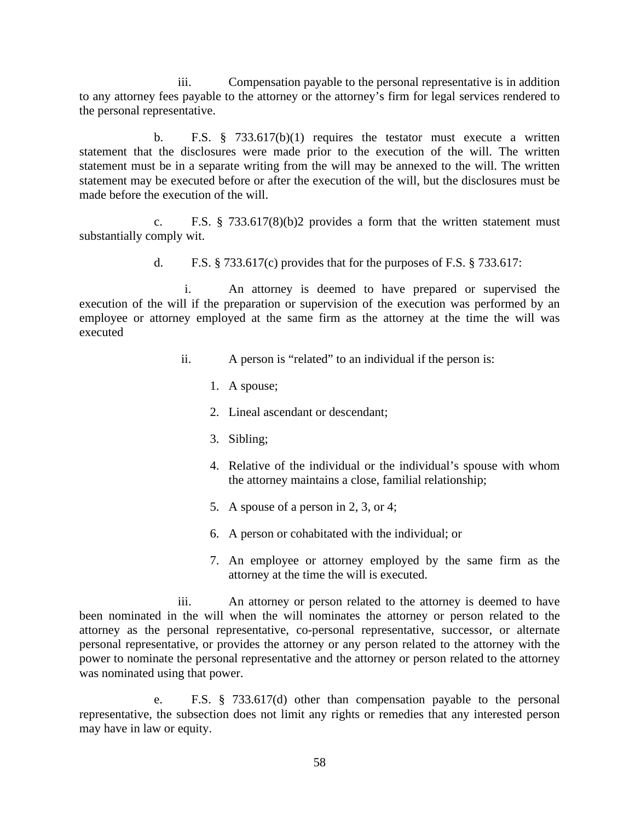iii. Compensation payable to the personal representative is in addition to any attorney fees payable to the attorney or the attorney's firm for legal services rendered to the personal representative.

b. F.S. § 733.617(b)(1) requires the testator must execute a written statement that the disclosures were made prior to the execution of the will. The written statement must be in a separate writing from the will may be annexed to the will. The written statement may be executed before or after the execution of the will, but the disclosures must be made before the execution of the will.

c. F.S. § 733.617(8)(b)2 provides a form that the written statement must substantially comply wit.

d. F.S. § 733.617(c) provides that for the purposes of F.S. § 733.617:

i. An attorney is deemed to have prepared or supervised the execution of the will if the preparation or supervision of the execution was performed by an employee or attorney employed at the same firm as the attorney at the time the will was executed

ii. A person is "related" to an individual if the person is:

1. A spouse;

2. Lineal ascendant or descendant;

3. Sibling;

- 4. Relative of the individual or the individual's spouse with whom the attorney maintains a close, familial relationship;
- 5. A spouse of a person in 2, 3, or 4;
- 6. A person or cohabitated with the individual; or
- 7. An employee or attorney employed by the same firm as the attorney at the time the will is executed.

iii. An attorney or person related to the attorney is deemed to have been nominated in the will when the will nominates the attorney or person related to the attorney as the personal representative, co-personal representative, successor, or alternate personal representative, or provides the attorney or any person related to the attorney with the power to nominate the personal representative and the attorney or person related to the attorney was nominated using that power.

e. F.S. § 733.617(d) other than compensation payable to the personal representative, the subsection does not limit any rights or remedies that any interested person may have in law or equity.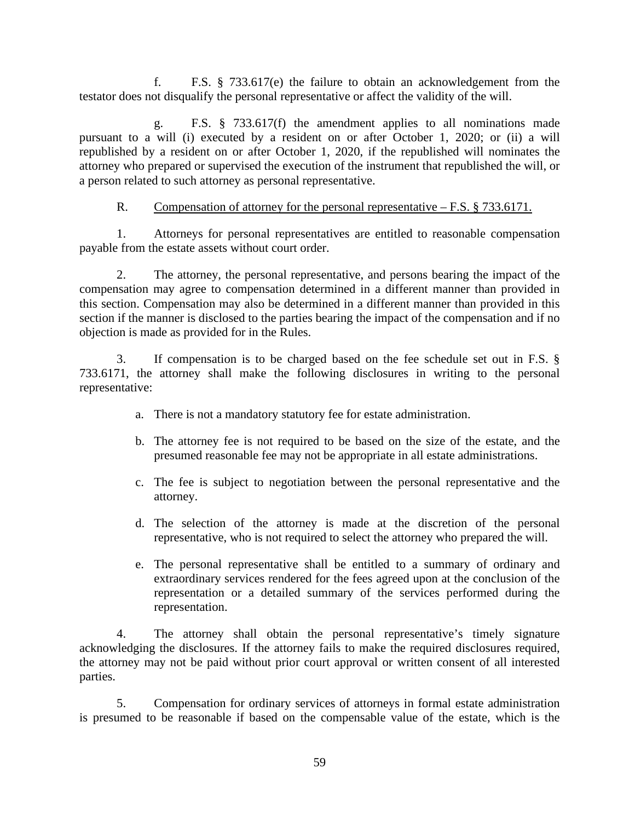f. F.S. § 733.617(e) the failure to obtain an acknowledgement from the testator does not disqualify the personal representative or affect the validity of the will.

g. F.S. § 733.617(f) the amendment applies to all nominations made pursuant to a will (i) executed by a resident on or after October 1, 2020; or (ii) a will republished by a resident on or after October 1, 2020, if the republished will nominates the attorney who prepared or supervised the execution of the instrument that republished the will, or a person related to such attorney as personal representative.

### R. Compensation of attorney for the personal representative – F.S. § 733.6171.

1. Attorneys for personal representatives are entitled to reasonable compensation payable from the estate assets without court order.

2. The attorney, the personal representative, and persons bearing the impact of the compensation may agree to compensation determined in a different manner than provided in this section. Compensation may also be determined in a different manner than provided in this section if the manner is disclosed to the parties bearing the impact of the compensation and if no objection is made as provided for in the Rules.

3. If compensation is to be charged based on the fee schedule set out in F.S. § 733.6171, the attorney shall make the following disclosures in writing to the personal representative:

- a. There is not a mandatory statutory fee for estate administration.
- b. The attorney fee is not required to be based on the size of the estate, and the presumed reasonable fee may not be appropriate in all estate administrations.
- c. The fee is subject to negotiation between the personal representative and the attorney.
- d. The selection of the attorney is made at the discretion of the personal representative, who is not required to select the attorney who prepared the will.
- e. The personal representative shall be entitled to a summary of ordinary and extraordinary services rendered for the fees agreed upon at the conclusion of the representation or a detailed summary of the services performed during the representation.

4. The attorney shall obtain the personal representative's timely signature acknowledging the disclosures. If the attorney fails to make the required disclosures required, the attorney may not be paid without prior court approval or written consent of all interested parties.

5. Compensation for ordinary services of attorneys in formal estate administration is presumed to be reasonable if based on the compensable value of the estate, which is the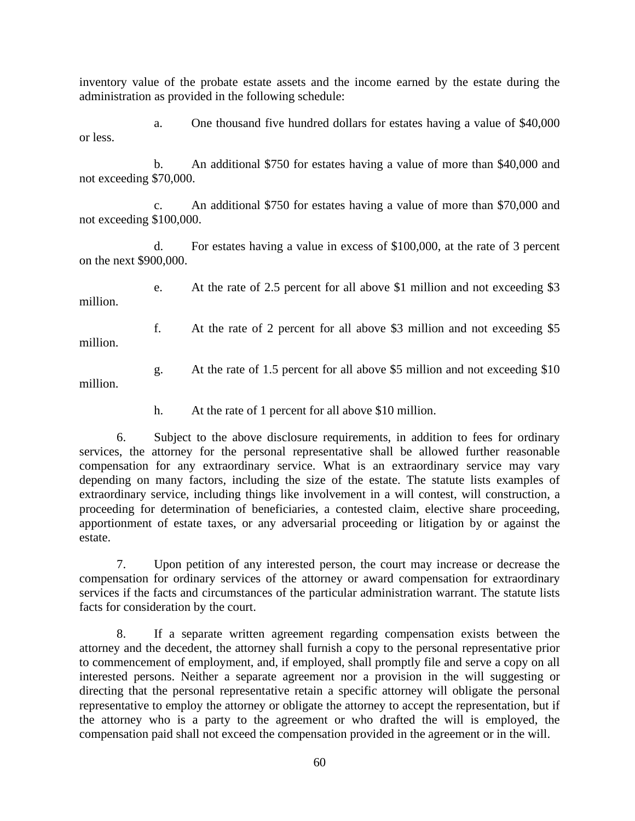inventory value of the probate estate assets and the income earned by the estate during the administration as provided in the following schedule:

a. One thousand five hundred dollars for estates having a value of \$40,000 or less.

b. An additional \$750 for estates having a value of more than \$40,000 and not exceeding \$70,000.

c. An additional \$750 for estates having a value of more than \$70,000 and not exceeding \$100,000.

d. For estates having a value in excess of \$100,000, at the rate of 3 percent on the next \$900,000.

e. At the rate of 2.5 percent for all above \$1 million and not exceeding \$3 million.

f. At the rate of 2 percent for all above \$3 million and not exceeding \$5

million.

g. At the rate of 1.5 percent for all above \$5 million and not exceeding \$10 million.

h. At the rate of 1 percent for all above \$10 million.

6. Subject to the above disclosure requirements, in addition to fees for ordinary services, the attorney for the personal representative shall be allowed further reasonable compensation for any extraordinary service. What is an extraordinary service may vary depending on many factors, including the size of the estate. The statute lists examples of extraordinary service, including things like involvement in a will contest, will construction, a proceeding for determination of beneficiaries, a contested claim, elective share proceeding, apportionment of estate taxes, or any adversarial proceeding or litigation by or against the estate.

7. Upon petition of any interested person, the court may increase or decrease the compensation for ordinary services of the attorney or award compensation for extraordinary services if the facts and circumstances of the particular administration warrant. The statute lists facts for consideration by the court.

8. If a separate written agreement regarding compensation exists between the attorney and the decedent, the attorney shall furnish a copy to the personal representative prior to commencement of employment, and, if employed, shall promptly file and serve a copy on all interested persons. Neither a separate agreement nor a provision in the will suggesting or directing that the personal representative retain a specific attorney will obligate the personal representative to employ the attorney or obligate the attorney to accept the representation, but if the attorney who is a party to the agreement or who drafted the will is employed, the compensation paid shall not exceed the compensation provided in the agreement or in the will.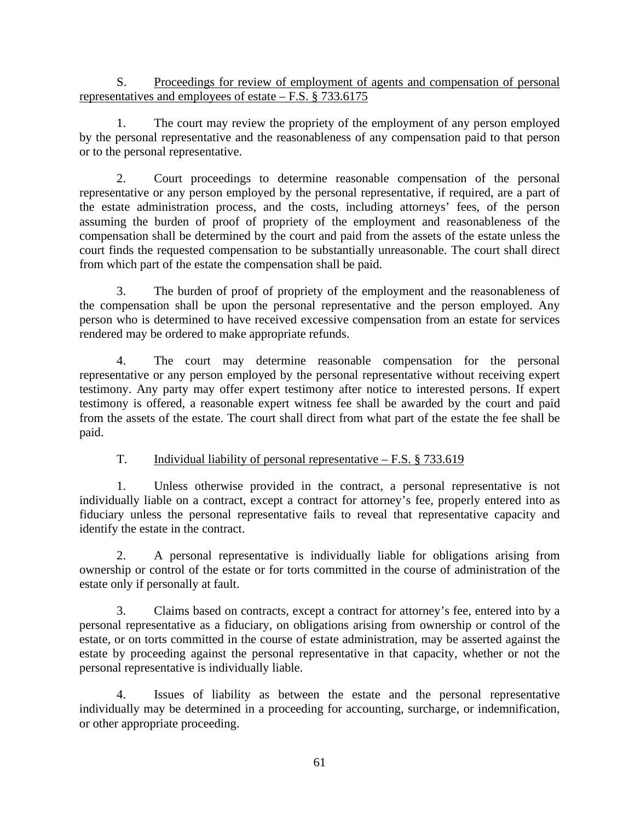S. Proceedings for review of employment of agents and compensation of personal representatives and employees of estate – F.S. § 733.6175

1. The court may review the propriety of the employment of any person employed by the personal representative and the reasonableness of any compensation paid to that person or to the personal representative.

2. Court proceedings to determine reasonable compensation of the personal representative or any person employed by the personal representative, if required, are a part of the estate administration process, and the costs, including attorneys' fees, of the person assuming the burden of proof of propriety of the employment and reasonableness of the compensation shall be determined by the court and paid from the assets of the estate unless the court finds the requested compensation to be substantially unreasonable. The court shall direct from which part of the estate the compensation shall be paid.

3. The burden of proof of propriety of the employment and the reasonableness of the compensation shall be upon the personal representative and the person employed. Any person who is determined to have received excessive compensation from an estate for services rendered may be ordered to make appropriate refunds.

4. The court may determine reasonable compensation for the personal representative or any person employed by the personal representative without receiving expert testimony. Any party may offer expert testimony after notice to interested persons. If expert testimony is offered, a reasonable expert witness fee shall be awarded by the court and paid from the assets of the estate. The court shall direct from what part of the estate the fee shall be paid.

T. Individual liability of personal representative – F.S. § 733.619

1. Unless otherwise provided in the contract, a personal representative is not individually liable on a contract, except a contract for attorney's fee, properly entered into as fiduciary unless the personal representative fails to reveal that representative capacity and identify the estate in the contract.

2. A personal representative is individually liable for obligations arising from ownership or control of the estate or for torts committed in the course of administration of the estate only if personally at fault.

3. Claims based on contracts, except a contract for attorney's fee, entered into by a personal representative as a fiduciary, on obligations arising from ownership or control of the estate, or on torts committed in the course of estate administration, may be asserted against the estate by proceeding against the personal representative in that capacity, whether or not the personal representative is individually liable.

Issues of liability as between the estate and the personal representative individually may be determined in a proceeding for accounting, surcharge, or indemnification, or other appropriate proceeding.

61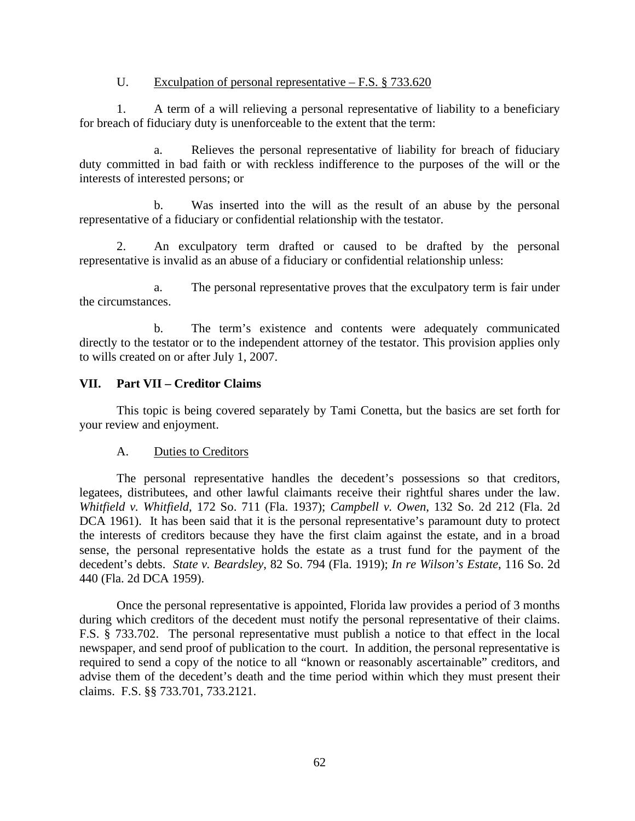#### U. Exculpation of personal representative – F.S. § 733.620

1. A term of a will relieving a personal representative of liability to a beneficiary for breach of fiduciary duty is unenforceable to the extent that the term:

a. Relieves the personal representative of liability for breach of fiduciary duty committed in bad faith or with reckless indifference to the purposes of the will or the interests of interested persons; or

b. Was inserted into the will as the result of an abuse by the personal representative of a fiduciary or confidential relationship with the testator.

2. An exculpatory term drafted or caused to be drafted by the personal representative is invalid as an abuse of a fiduciary or confidential relationship unless:

a. The personal representative proves that the exculpatory term is fair under the circumstances.

b. The term's existence and contents were adequately communicated directly to the testator or to the independent attorney of the testator. This provision applies only to wills created on or after July 1, 2007.

### **VII. Part VII – Creditor Claims**

This topic is being covered separately by Tami Conetta, but the basics are set forth for your review and enjoyment.

### A. Duties to Creditors

The personal representative handles the decedent's possessions so that creditors, legatees, distributees, and other lawful claimants receive their rightful shares under the law. *Whitfield v. Whitfield*, 172 So. 711 (Fla. 1937); *Campbell v. Owen*, 132 So. 2d 212 (Fla. 2d DCA 1961). It has been said that it is the personal representative's paramount duty to protect the interests of creditors because they have the first claim against the estate, and in a broad sense, the personal representative holds the estate as a trust fund for the payment of the decedent's debts. *State v. Beardsley*, 82 So. 794 (Fla. 1919); *In re Wilson's Estate*, 116 So. 2d 440 (Fla. 2d DCA 1959).

Once the personal representative is appointed, Florida law provides a period of 3 months during which creditors of the decedent must notify the personal representative of their claims. F.S. § 733.702. The personal representative must publish a notice to that effect in the local newspaper, and send proof of publication to the court. In addition, the personal representative is required to send a copy of the notice to all "known or reasonably ascertainable" creditors, and advise them of the decedent's death and the time period within which they must present their claims. F.S. §§ 733.701, 733.2121.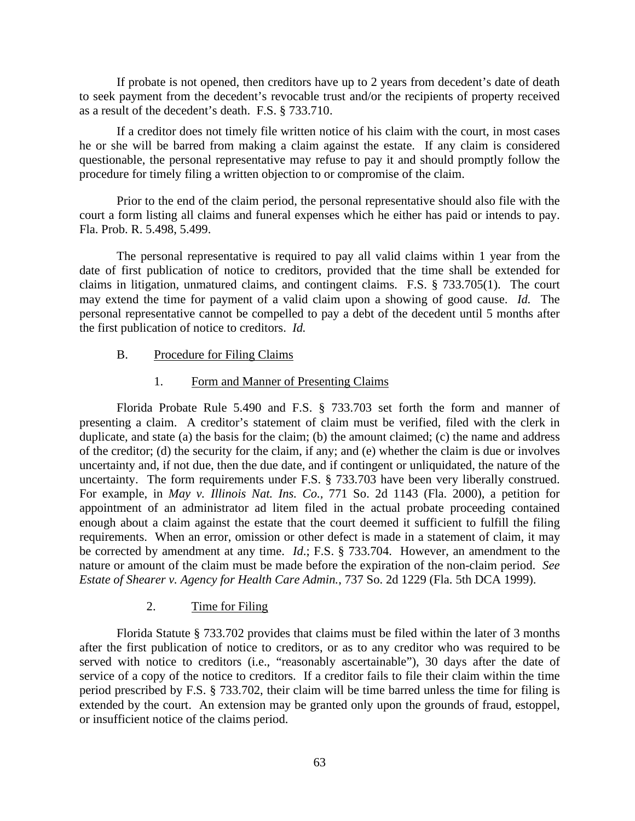If probate is not opened, then creditors have up to 2 years from decedent's date of death to seek payment from the decedent's revocable trust and/or the recipients of property received as a result of the decedent's death. F.S. § 733.710.

If a creditor does not timely file written notice of his claim with the court, in most cases he or she will be barred from making a claim against the estate. If any claim is considered questionable, the personal representative may refuse to pay it and should promptly follow the procedure for timely filing a written objection to or compromise of the claim.

Prior to the end of the claim period, the personal representative should also file with the court a form listing all claims and funeral expenses which he either has paid or intends to pay. Fla. Prob. R. 5.498, 5.499.

The personal representative is required to pay all valid claims within 1 year from the date of first publication of notice to creditors, provided that the time shall be extended for claims in litigation, unmatured claims, and contingent claims. F.S. § 733.705(1). The court may extend the time for payment of a valid claim upon a showing of good cause. *Id.* The personal representative cannot be compelled to pay a debt of the decedent until 5 months after the first publication of notice to creditors. *Id.*

#### B. Procedure for Filing Claims

#### 1. Form and Manner of Presenting Claims

Florida Probate Rule 5.490 and F.S. § 733.703 set forth the form and manner of presenting a claim. A creditor's statement of claim must be verified, filed with the clerk in duplicate, and state (a) the basis for the claim; (b) the amount claimed; (c) the name and address of the creditor; (d) the security for the claim, if any; and (e) whether the claim is due or involves uncertainty and, if not due, then the due date, and if contingent or unliquidated, the nature of the uncertainty. The form requirements under F.S. § 733.703 have been very liberally construed. For example, in *May v. Illinois Nat. Ins. Co.,* 771 So. 2d 1143 (Fla. 2000), a petition for appointment of an administrator ad litem filed in the actual probate proceeding contained enough about a claim against the estate that the court deemed it sufficient to fulfill the filing requirements. When an error, omission or other defect is made in a statement of claim, it may be corrected by amendment at any time. *Id*.; F.S. § 733.704. However, an amendment to the nature or amount of the claim must be made before the expiration of the non-claim period. *See Estate of Shearer v. Agency for Health Care Admin.*, 737 So. 2d 1229 (Fla. 5th DCA 1999).

#### 2. Time for Filing

Florida Statute § 733.702 provides that claims must be filed within the later of 3 months after the first publication of notice to creditors, or as to any creditor who was required to be served with notice to creditors (i.e., "reasonably ascertainable"), 30 days after the date of service of a copy of the notice to creditors. If a creditor fails to file their claim within the time period prescribed by F.S. § 733.702, their claim will be time barred unless the time for filing is extended by the court. An extension may be granted only upon the grounds of fraud, estoppel, or insufficient notice of the claims period.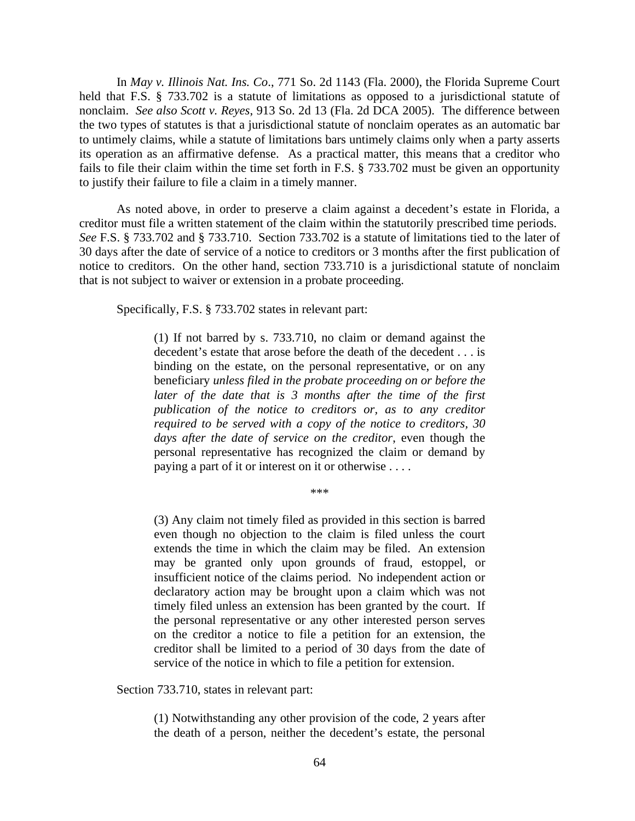In *May v. Illinois Nat. Ins. Co*., 771 So. 2d 1143 (Fla. 2000), the Florida Supreme Court held that F.S. § 733.702 is a statute of limitations as opposed to a jurisdictional statute of nonclaim. *See also Scott v. Reyes*, 913 So. 2d 13 (Fla. 2d DCA 2005). The difference between the two types of statutes is that a jurisdictional statute of nonclaim operates as an automatic bar to untimely claims, while a statute of limitations bars untimely claims only when a party asserts its operation as an affirmative defense. As a practical matter, this means that a creditor who fails to file their claim within the time set forth in F.S. § 733.702 must be given an opportunity to justify their failure to file a claim in a timely manner.

As noted above, in order to preserve a claim against a decedent's estate in Florida, a creditor must file a written statement of the claim within the statutorily prescribed time periods. *See* F.S. § 733.702 and § 733.710. Section 733.702 is a statute of limitations tied to the later of 30 days after the date of service of a notice to creditors or 3 months after the first publication of notice to creditors. On the other hand, section 733.710 is a jurisdictional statute of nonclaim that is not subject to waiver or extension in a probate proceeding.

Specifically, F.S. § 733.702 states in relevant part:

(1) If not barred by s. 733.710, no claim or demand against the decedent's estate that arose before the death of the decedent . . . is binding on the estate, on the personal representative, or on any beneficiary *unless filed in the probate proceeding on or before the later of the date that is 3 months after the time of the first publication of the notice to creditors or, as to any creditor required to be served with a copy of the notice to creditors, 30 days after the date of service on the creditor*, even though the personal representative has recognized the claim or demand by paying a part of it or interest on it or otherwise . . . .

\*\*\*

(3) Any claim not timely filed as provided in this section is barred even though no objection to the claim is filed unless the court extends the time in which the claim may be filed. An extension may be granted only upon grounds of fraud, estoppel, or insufficient notice of the claims period. No independent action or declaratory action may be brought upon a claim which was not timely filed unless an extension has been granted by the court. If the personal representative or any other interested person serves on the creditor a notice to file a petition for an extension, the creditor shall be limited to a period of 30 days from the date of service of the notice in which to file a petition for extension.

Section 733.710, states in relevant part:

(1) Notwithstanding any other provision of the code, 2 years after the death of a person, neither the decedent's estate, the personal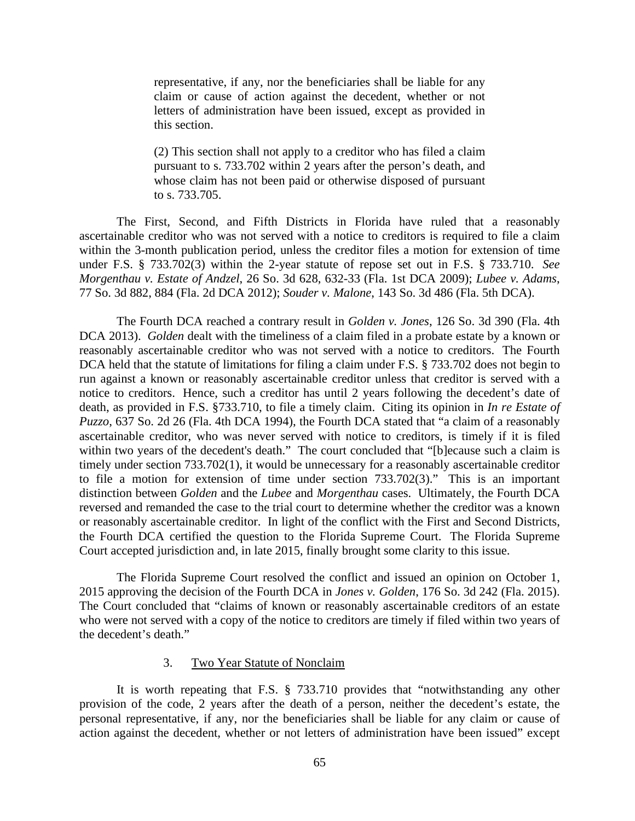representative, if any, nor the beneficiaries shall be liable for any claim or cause of action against the decedent, whether or not letters of administration have been issued, except as provided in this section.

(2) This section shall not apply to a creditor who has filed a claim pursuant to s. 733.702 within 2 years after the person's death, and whose claim has not been paid or otherwise disposed of pursuant to s. 733.705.

The First, Second, and Fifth Districts in Florida have ruled that a reasonably ascertainable creditor who was not served with a notice to creditors is required to file a claim within the 3-month publication period, unless the creditor files a motion for extension of time under F.S. § 733.702(3) within the 2-year statute of repose set out in F.S. § 733.710. *See Morgenthau v. Estate of Andzel*, 26 So. 3d 628, 632-33 (Fla. 1st DCA 2009); *Lubee v. Adams*, 77 So. 3d 882, 884 (Fla. 2d DCA 2012); *Souder v. Malone*, 143 So. 3d 486 (Fla. 5th DCA).

The Fourth DCA reached a contrary result in *Golden v. Jones*, 126 So. 3d 390 (Fla. 4th DCA 2013). *Golden* dealt with the timeliness of a claim filed in a probate estate by a known or reasonably ascertainable creditor who was not served with a notice to creditors. The Fourth DCA held that the statute of limitations for filing a claim under F.S. § 733.702 does not begin to run against a known or reasonably ascertainable creditor unless that creditor is served with a notice to creditors. Hence, such a creditor has until 2 years following the decedent's date of death, as provided in F.S. §733.710, to file a timely claim. Citing its opinion in *In re Estate of Puzzo*, 637 So. 2d 26 (Fla. 4th DCA 1994), the Fourth DCA stated that "a claim of a reasonably ascertainable creditor, who was never served with notice to creditors, is timely if it is filed within two years of the decedent's death." The court concluded that "[b] ecause such a claim is timely under section 733.702(1), it would be unnecessary for a reasonably ascertainable creditor to file a motion for extension of time under section 733.702(3)." This is an important distinction between *Golden* and the *Lubee* and *Morgenthau* cases. Ultimately, the Fourth DCA reversed and remanded the case to the trial court to determine whether the creditor was a known or reasonably ascertainable creditor. In light of the conflict with the First and Second Districts, the Fourth DCA certified the question to the Florida Supreme Court. The Florida Supreme Court accepted jurisdiction and, in late 2015, finally brought some clarity to this issue.

The Florida Supreme Court resolved the conflict and issued an opinion on October 1, 2015 approving the decision of the Fourth DCA in *Jones v. Golden*, 176 So. 3d 242 (Fla. 2015). The Court concluded that "claims of known or reasonably ascertainable creditors of an estate who were not served with a copy of the notice to creditors are timely if filed within two years of the decedent's death."

#### 3. Two Year Statute of Nonclaim

It is worth repeating that F.S. § 733.710 provides that "notwithstanding any other provision of the code, 2 years after the death of a person, neither the decedent's estate, the personal representative, if any, nor the beneficiaries shall be liable for any claim or cause of action against the decedent, whether or not letters of administration have been issued" except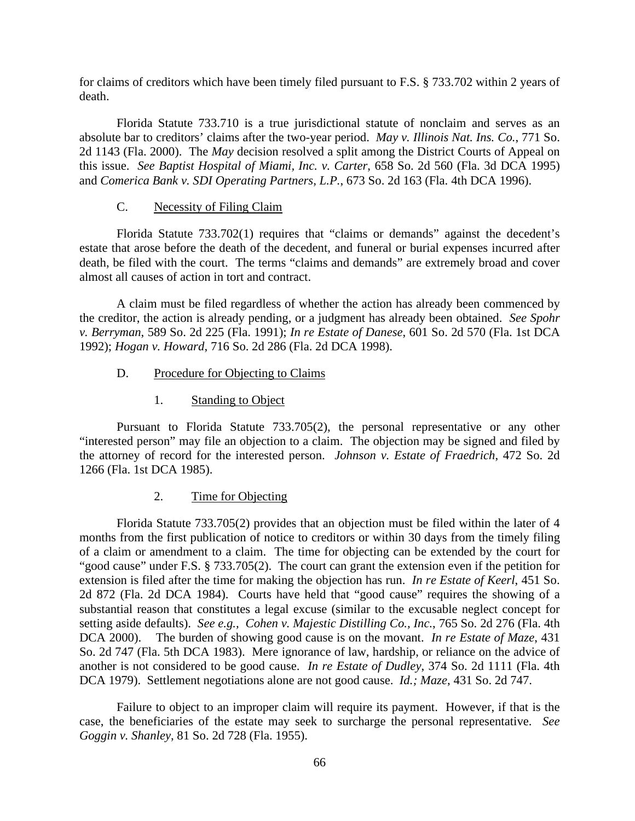for claims of creditors which have been timely filed pursuant to F.S. § 733.702 within 2 years of death.

Florida Statute 733.710 is a true jurisdictional statute of nonclaim and serves as an absolute bar to creditors' claims after the two-year period. *May v. Illinois Nat. Ins. Co.*, 771 So. 2d 1143 (Fla. 2000). The *May* decision resolved a split among the District Courts of Appeal on this issue. *See Baptist Hospital of Miami, Inc. v. Carter*, 658 So. 2d 560 (Fla. 3d DCA 1995) and *Comerica Bank v. SDI Operating Partners, L.P.*, 673 So. 2d 163 (Fla. 4th DCA 1996).

#### C. Necessity of Filing Claim

Florida Statute 733.702(1) requires that "claims or demands" against the decedent's estate that arose before the death of the decedent, and funeral or burial expenses incurred after death, be filed with the court. The terms "claims and demands" are extremely broad and cover almost all causes of action in tort and contract.

A claim must be filed regardless of whether the action has already been commenced by the creditor, the action is already pending, or a judgment has already been obtained. *See Spohr v. Berryman*, 589 So. 2d 225 (Fla. 1991); *In re Estate of Danese*, 601 So. 2d 570 (Fla. 1st DCA 1992); *Hogan v. Howard*, 716 So. 2d 286 (Fla. 2d DCA 1998).

- D. Procedure for Objecting to Claims
	- 1. Standing to Object

Pursuant to Florida Statute 733.705(2), the personal representative or any other "interested person" may file an objection to a claim. The objection may be signed and filed by the attorney of record for the interested person. *Johnson v. Estate of Fraedrich*, 472 So. 2d 1266 (Fla. 1st DCA 1985).

#### 2. Time for Objecting

Florida Statute 733.705(2) provides that an objection must be filed within the later of 4 months from the first publication of notice to creditors or within 30 days from the timely filing of a claim or amendment to a claim. The time for objecting can be extended by the court for "good cause" under F.S. § 733.705(2). The court can grant the extension even if the petition for extension is filed after the time for making the objection has run. *In re Estate of Keerl*, 451 So. 2d 872 (Fla. 2d DCA 1984). Courts have held that "good cause" requires the showing of a substantial reason that constitutes a legal excuse (similar to the excusable neglect concept for setting aside defaults). *See e.g., Cohen v. Majestic Distilling Co., Inc.*, 765 So. 2d 276 (Fla. 4th DCA 2000). The burden of showing good cause is on the movant. *In re Estate of Maze*, 431 So. 2d 747 (Fla. 5th DCA 1983). Mere ignorance of law, hardship, or reliance on the advice of another is not considered to be good cause. *In re Estate of Dudley*, 374 So. 2d 1111 (Fla. 4th DCA 1979). Settlement negotiations alone are not good cause. *Id.; Maze*, 431 So. 2d 747.

Failure to object to an improper claim will require its payment. However, if that is the case, the beneficiaries of the estate may seek to surcharge the personal representative. *See Goggin v. Shanley*, 81 So. 2d 728 (Fla. 1955).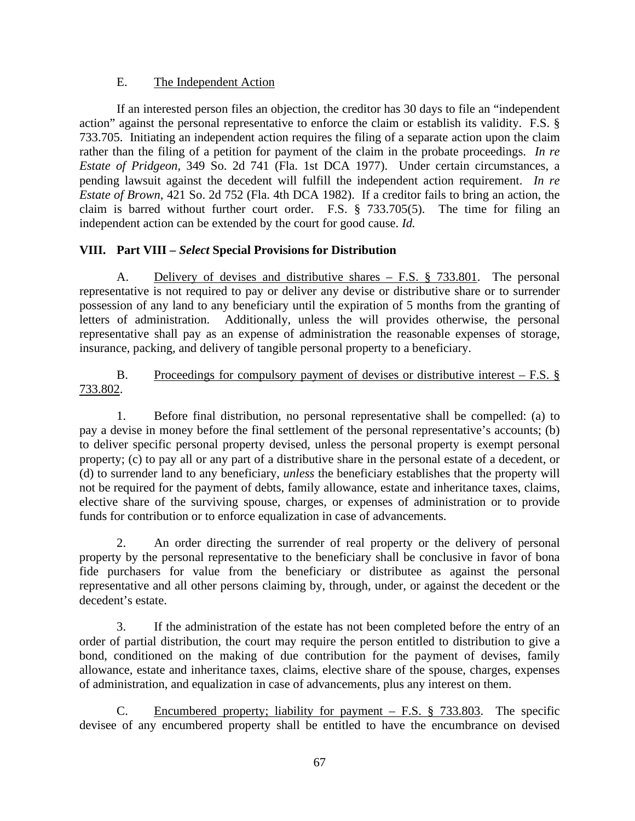# E. The Independent Action

If an interested person files an objection, the creditor has 30 days to file an "independent action" against the personal representative to enforce the claim or establish its validity. F.S. § 733.705. Initiating an independent action requires the filing of a separate action upon the claim rather than the filing of a petition for payment of the claim in the probate proceedings. *In re Estate of Pridgeon*, 349 So. 2d 741 (Fla. 1st DCA 1977). Under certain circumstances, a pending lawsuit against the decedent will fulfill the independent action requirement. *In re Estate of Brown*, 421 So. 2d 752 (Fla. 4th DCA 1982). If a creditor fails to bring an action, the claim is barred without further court order. F.S. § 733.705(5). The time for filing an independent action can be extended by the court for good cause. *Id.*

# **VIII. Part VIII –** *Select* **Special Provisions for Distribution**

A. Delivery of devises and distributive shares – F.S. § 733.801. The personal representative is not required to pay or deliver any devise or distributive share or to surrender possession of any land to any beneficiary until the expiration of 5 months from the granting of letters of administration. Additionally, unless the will provides otherwise, the personal representative shall pay as an expense of administration the reasonable expenses of storage, insurance, packing, and delivery of tangible personal property to a beneficiary.

# B. Proceedings for compulsory payment of devises or distributive interest  $-$  F.S. § 733.802.

1. Before final distribution, no personal representative shall be compelled: (a) to pay a devise in money before the final settlement of the personal representative's accounts; (b) to deliver specific personal property devised, unless the personal property is exempt personal property; (c) to pay all or any part of a distributive share in the personal estate of a decedent, or (d) to surrender land to any beneficiary, *unless* the beneficiary establishes that the property will not be required for the payment of debts, family allowance, estate and inheritance taxes, claims, elective share of the surviving spouse, charges, or expenses of administration or to provide funds for contribution or to enforce equalization in case of advancements.

2. An order directing the surrender of real property or the delivery of personal property by the personal representative to the beneficiary shall be conclusive in favor of bona fide purchasers for value from the beneficiary or distributee as against the personal representative and all other persons claiming by, through, under, or against the decedent or the decedent's estate.

3. If the administration of the estate has not been completed before the entry of an order of partial distribution, the court may require the person entitled to distribution to give a bond, conditioned on the making of due contribution for the payment of devises, family allowance, estate and inheritance taxes, claims, elective share of the spouse, charges, expenses of administration, and equalization in case of advancements, plus any interest on them.

C. Encumbered property; liability for payment – F.S. § 733.803.The specific devisee of any encumbered property shall be entitled to have the encumbrance on devised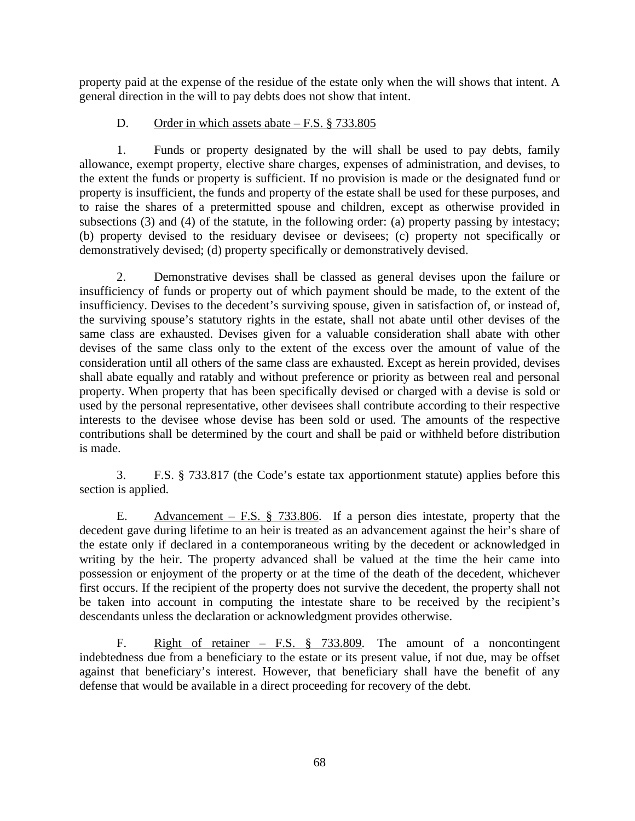property paid at the expense of the residue of the estate only when the will shows that intent. A general direction in the will to pay debts does not show that intent.

# D. Order in which assets abate – F.S. § 733.805

1. Funds or property designated by the will shall be used to pay debts, family allowance, exempt property, elective share charges, expenses of administration, and devises, to the extent the funds or property is sufficient. If no provision is made or the designated fund or property is insufficient, the funds and property of the estate shall be used for these purposes, and to raise the shares of a pretermitted spouse and children, except as otherwise provided in subsections (3) and (4) of the statute, in the following order: (a) property passing by intestacy; (b) property devised to the residuary devisee or devisees; (c) property not specifically or demonstratively devised; (d) property specifically or demonstratively devised.

2. Demonstrative devises shall be classed as general devises upon the failure or insufficiency of funds or property out of which payment should be made, to the extent of the insufficiency. Devises to the decedent's surviving spouse, given in satisfaction of, or instead of, the surviving spouse's statutory rights in the estate, shall not abate until other devises of the same class are exhausted. Devises given for a valuable consideration shall abate with other devises of the same class only to the extent of the excess over the amount of value of the consideration until all others of the same class are exhausted. Except as herein provided, devises shall abate equally and ratably and without preference or priority as between real and personal property. When property that has been specifically devised or charged with a devise is sold or used by the personal representative, other devisees shall contribute according to their respective interests to the devisee whose devise has been sold or used. The amounts of the respective contributions shall be determined by the court and shall be paid or withheld before distribution is made.

3. F.S. § 733.817 (the Code's estate tax apportionment statute) applies before this section is applied.

E. Advancement – F.S. § 733.806. If a person dies intestate, property that the decedent gave during lifetime to an heir is treated as an advancement against the heir's share of the estate only if declared in a contemporaneous writing by the decedent or acknowledged in writing by the heir. The property advanced shall be valued at the time the heir came into possession or enjoyment of the property or at the time of the death of the decedent, whichever first occurs. If the recipient of the property does not survive the decedent, the property shall not be taken into account in computing the intestate share to be received by the recipient's descendants unless the declaration or acknowledgment provides otherwise.

F. Right of retainer – F.S. § 733.809. The amount of a noncontingent indebtedness due from a beneficiary to the estate or its present value, if not due, may be offset against that beneficiary's interest. However, that beneficiary shall have the benefit of any defense that would be available in a direct proceeding for recovery of the debt.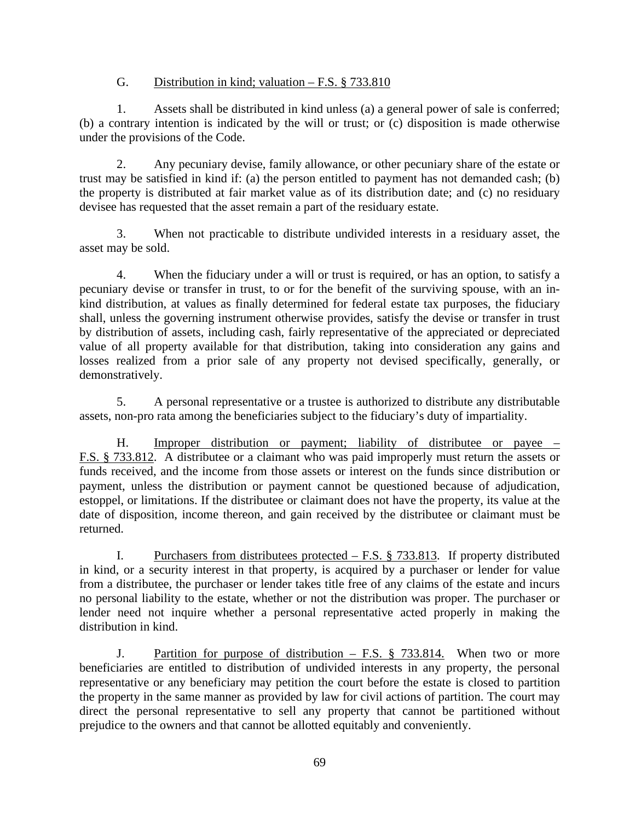# G. Distribution in kind; valuation – F.S.  $\S$  733.810

1. Assets shall be distributed in kind unless (a) a general power of sale is conferred; (b) a contrary intention is indicated by the will or trust; or (c) disposition is made otherwise under the provisions of the Code.

2. Any pecuniary devise, family allowance, or other pecuniary share of the estate or trust may be satisfied in kind if: (a) the person entitled to payment has not demanded cash; (b) the property is distributed at fair market value as of its distribution date; and (c) no residuary devisee has requested that the asset remain a part of the residuary estate.

3. When not practicable to distribute undivided interests in a residuary asset, the asset may be sold.

4. When the fiduciary under a will or trust is required, or has an option, to satisfy a pecuniary devise or transfer in trust, to or for the benefit of the surviving spouse, with an inkind distribution, at values as finally determined for federal estate tax purposes, the fiduciary shall, unless the governing instrument otherwise provides, satisfy the devise or transfer in trust by distribution of assets, including cash, fairly representative of the appreciated or depreciated value of all property available for that distribution, taking into consideration any gains and losses realized from a prior sale of any property not devised specifically, generally, or demonstratively.

5. A personal representative or a trustee is authorized to distribute any distributable assets, non-pro rata among the beneficiaries subject to the fiduciary's duty of impartiality.

H. Improper distribution or payment; liability of distributee or payee – F.S. § 733.812. A distributee or a claimant who was paid improperly must return the assets or funds received, and the income from those assets or interest on the funds since distribution or payment, unless the distribution or payment cannot be questioned because of adjudication, estoppel, or limitations. If the distributee or claimant does not have the property, its value at the date of disposition, income thereon, and gain received by the distributee or claimant must be returned.

I. Purchasers from distributees protected – F.S. § 733.813.If property distributed in kind, or a security interest in that property, is acquired by a purchaser or lender for value from a distributee, the purchaser or lender takes title free of any claims of the estate and incurs no personal liability to the estate, whether or not the distribution was proper. The purchaser or lender need not inquire whether a personal representative acted properly in making the distribution in kind.

J. Partition for purpose of distribution – F.S. § 733.814.When two or more beneficiaries are entitled to distribution of undivided interests in any property, the personal representative or any beneficiary may petition the court before the estate is closed to partition the property in the same manner as provided by law for civil actions of partition. The court may direct the personal representative to sell any property that cannot be partitioned without prejudice to the owners and that cannot be allotted equitably and conveniently.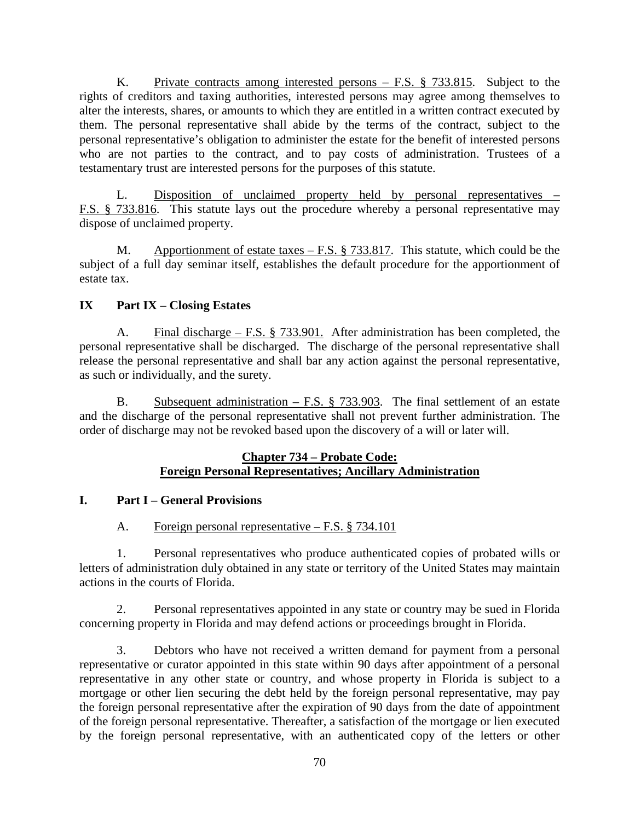K. Private contracts among interested persons – F.S. § 733.815. Subject to the rights of creditors and taxing authorities, interested persons may agree among themselves to alter the interests, shares, or amounts to which they are entitled in a written contract executed by them. The personal representative shall abide by the terms of the contract, subject to the personal representative's obligation to administer the estate for the benefit of interested persons who are not parties to the contract, and to pay costs of administration. Trustees of a testamentary trust are interested persons for the purposes of this statute.

L. Disposition of unclaimed property held by personal representatives – F.S. § 733.816. This statute lays out the procedure whereby a personal representative may dispose of unclaimed property.

M. Apportionment of estate taxes – F.S. § 733.817. This statute, which could be the subject of a full day seminar itself, establishes the default procedure for the apportionment of estate tax.

# **IX Part IX – Closing Estates**

A. Final discharge – F.S. § 733.901.After administration has been completed, the personal representative shall be discharged. The discharge of the personal representative shall release the personal representative and shall bar any action against the personal representative, as such or individually, and the surety.

B. Subsequent administration – F.S.  $\S$  733.903. The final settlement of an estate and the discharge of the personal representative shall not prevent further administration. The order of discharge may not be revoked based upon the discovery of a will or later will.

# **Chapter 734 – Probate Code: Foreign Personal Representatives; Ancillary Administration**

# **I. Part I – General Provisions**

# A. Foreign personal representative – F.S. § 734.101

1. Personal representatives who produce authenticated copies of probated wills or letters of administration duly obtained in any state or territory of the United States may maintain actions in the courts of Florida.

2. Personal representatives appointed in any state or country may be sued in Florida concerning property in Florida and may defend actions or proceedings brought in Florida.

3. Debtors who have not received a written demand for payment from a personal representative or curator appointed in this state within 90 days after appointment of a personal representative in any other state or country, and whose property in Florida is subject to a mortgage or other lien securing the debt held by the foreign personal representative, may pay the foreign personal representative after the expiration of 90 days from the date of appointment of the foreign personal representative. Thereafter, a satisfaction of the mortgage or lien executed by the foreign personal representative, with an authenticated copy of the letters or other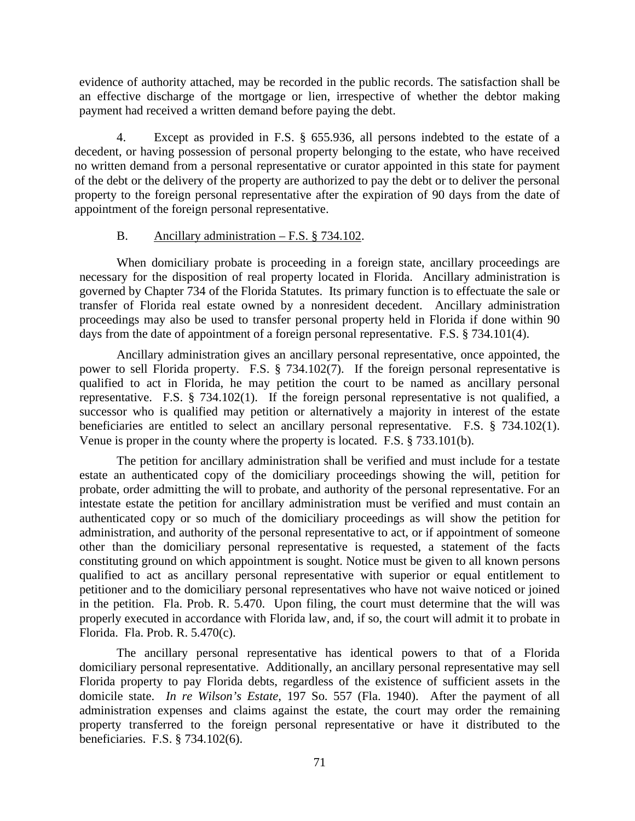evidence of authority attached, may be recorded in the public records. The satisfaction shall be an effective discharge of the mortgage or lien, irrespective of whether the debtor making payment had received a written demand before paying the debt.

4. Except as provided in F.S. § 655.936, all persons indebted to the estate of a decedent, or having possession of personal property belonging to the estate, who have received no written demand from a personal representative or curator appointed in this state for payment of the debt or the delivery of the property are authorized to pay the debt or to deliver the personal property to the foreign personal representative after the expiration of 90 days from the date of appointment of the foreign personal representative.

### B. Ancillary administration – F.S. § 734.102.

When domiciliary probate is proceeding in a foreign state, ancillary proceedings are necessary for the disposition of real property located in Florida. Ancillary administration is governed by Chapter 734 of the Florida Statutes. Its primary function is to effectuate the sale or transfer of Florida real estate owned by a nonresident decedent. Ancillary administration proceedings may also be used to transfer personal property held in Florida if done within 90 days from the date of appointment of a foreign personal representative. F.S. § 734.101(4).

Ancillary administration gives an ancillary personal representative, once appointed, the power to sell Florida property. F.S. § 734.102(7). If the foreign personal representative is qualified to act in Florida, he may petition the court to be named as ancillary personal representative. F.S. § 734.102(1). If the foreign personal representative is not qualified, a successor who is qualified may petition or alternatively a majority in interest of the estate beneficiaries are entitled to select an ancillary personal representative. F.S. § 734.102(1). Venue is proper in the county where the property is located. F.S. § 733.101(b).

The petition for ancillary administration shall be verified and must include for a testate estate an authenticated copy of the domiciliary proceedings showing the will, petition for probate, order admitting the will to probate, and authority of the personal representative. For an intestate estate the petition for ancillary administration must be verified and must contain an authenticated copy or so much of the domiciliary proceedings as will show the petition for administration, and authority of the personal representative to act, or if appointment of someone other than the domiciliary personal representative is requested, a statement of the facts constituting ground on which appointment is sought. Notice must be given to all known persons qualified to act as ancillary personal representative with superior or equal entitlement to petitioner and to the domiciliary personal representatives who have not waive noticed or joined in the petition. Fla. Prob. R. 5.470. Upon filing, the court must determine that the will was properly executed in accordance with Florida law, and, if so, the court will admit it to probate in Florida. Fla. Prob. R. 5.470(c).

The ancillary personal representative has identical powers to that of a Florida domiciliary personal representative. Additionally, an ancillary personal representative may sell Florida property to pay Florida debts, regardless of the existence of sufficient assets in the domicile state. *In re Wilson's Estate*, 197 So. 557 (Fla. 1940). After the payment of all administration expenses and claims against the estate, the court may order the remaining property transferred to the foreign personal representative or have it distributed to the beneficiaries. F.S. § 734.102(6).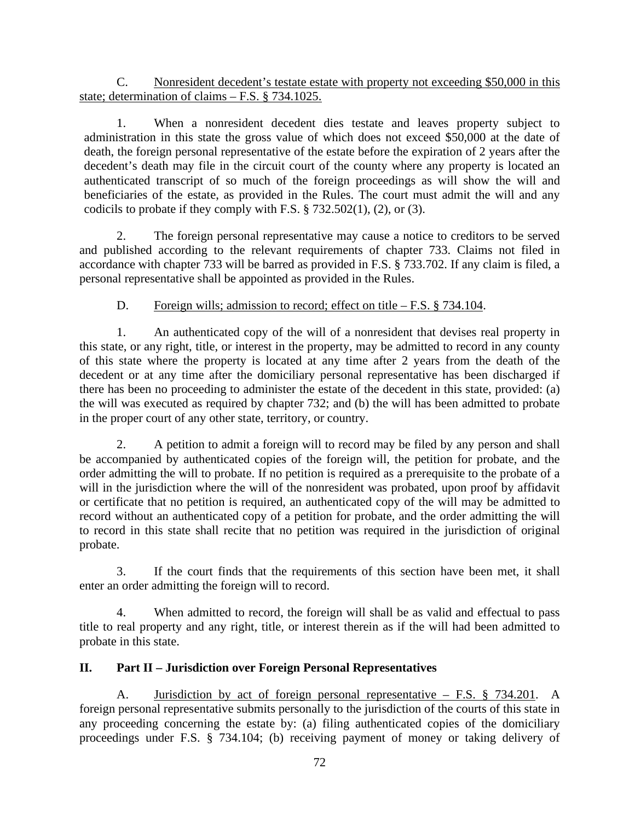C. Nonresident decedent's testate estate with property not exceeding \$50,000 in this state; determination of claims – F.S. § 734.1025.

1. When a nonresident decedent dies testate and leaves property subject to administration in this state the gross value of which does not exceed \$50,000 at the date of death, the foreign personal representative of the estate before the expiration of 2 years after the decedent's death may file in the circuit court of the county where any property is located an authenticated transcript of so much of the foreign proceedings as will show the will and beneficiaries of the estate, as provided in the Rules. The court must admit the will and any codicils to probate if they comply with F.S.  $\S$  732.502(1), (2), or (3).

2. The foreign personal representative may cause a notice to creditors to be served and published according to the relevant requirements of chapter 733. Claims not filed in accordance with chapter 733 will be barred as provided in F.S. § 733.702. If any claim is filed, a personal representative shall be appointed as provided in the Rules.

D. Foreign wills; admission to record; effect on title – F.S. § 734.104.

1. An authenticated copy of the will of a nonresident that devises real property in this state, or any right, title, or interest in the property, may be admitted to record in any county of this state where the property is located at any time after 2 years from the death of the decedent or at any time after the domiciliary personal representative has been discharged if there has been no proceeding to administer the estate of the decedent in this state, provided: (a) the will was executed as required by chapter 732; and (b) the will has been admitted to probate in the proper court of any other state, territory, or country.

2. A petition to admit a foreign will to record may be filed by any person and shall be accompanied by authenticated copies of the foreign will, the petition for probate, and the order admitting the will to probate. If no petition is required as a prerequisite to the probate of a will in the jurisdiction where the will of the nonresident was probated, upon proof by affidavit or certificate that no petition is required, an authenticated copy of the will may be admitted to record without an authenticated copy of a petition for probate, and the order admitting the will to record in this state shall recite that no petition was required in the jurisdiction of original probate.

3. If the court finds that the requirements of this section have been met, it shall enter an order admitting the foreign will to record.

4. When admitted to record, the foreign will shall be as valid and effectual to pass title to real property and any right, title, or interest therein as if the will had been admitted to probate in this state.

# **II. Part II – Jurisdiction over Foreign Personal Representatives**

A. **Jurisdiction by act of foreign personal representative – F.S. § 734.201.** A foreign personal representative submits personally to the jurisdiction of the courts of this state in any proceeding concerning the estate by: (a) filing authenticated copies of the domiciliary proceedings under F.S. § 734.104; (b) receiving payment of money or taking delivery of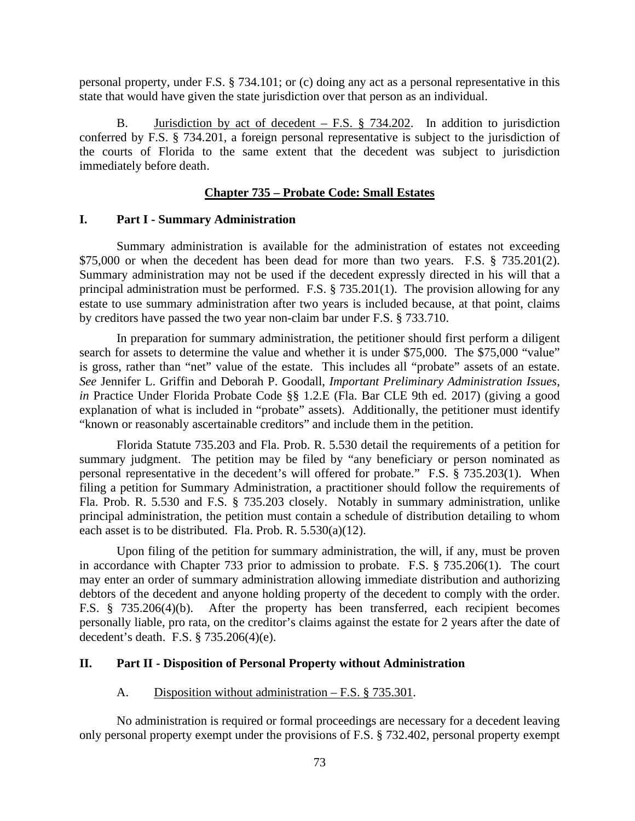personal property, under F.S. § 734.101; or (c) doing any act as a personal representative in this state that would have given the state jurisdiction over that person as an individual.

B. Jurisdiction by act of decedent – F.S. § 734.202. In addition to jurisdiction conferred by F.S. § 734.201, a foreign personal representative is subject to the jurisdiction of the courts of Florida to the same extent that the decedent was subject to jurisdiction immediately before death.

### **Chapter 735 – Probate Code: Small Estates**

#### **I. Part I - Summary Administration**

Summary administration is available for the administration of estates not exceeding \$75,000 or when the decedent has been dead for more than two years. F.S. § 735.201(2). Summary administration may not be used if the decedent expressly directed in his will that a principal administration must be performed. F.S. § 735.201(1). The provision allowing for any estate to use summary administration after two years is included because, at that point, claims by creditors have passed the two year non-claim bar under F.S. § 733.710.

In preparation for summary administration, the petitioner should first perform a diligent search for assets to determine the value and whether it is under \$75,000. The \$75,000 "value" is gross, rather than "net" value of the estate. This includes all "probate" assets of an estate. *See* Jennifer L. Griffin and Deborah P. Goodall, *Important Preliminary Administration Issues*, *in* Practice Under Florida Probate Code §§ 1.2.E (Fla. Bar CLE 9th ed. 2017) (giving a good explanation of what is included in "probate" assets). Additionally, the petitioner must identify "known or reasonably ascertainable creditors" and include them in the petition.

Florida Statute 735.203 and Fla. Prob. R. 5.530 detail the requirements of a petition for summary judgment. The petition may be filed by "any beneficiary or person nominated as personal representative in the decedent's will offered for probate." F.S. § 735.203(1). When filing a petition for Summary Administration, a practitioner should follow the requirements of Fla. Prob. R. 5.530 and F.S*.* § 735.203 closely. Notably in summary administration, unlike principal administration, the petition must contain a schedule of distribution detailing to whom each asset is to be distributed. Fla. Prob. R. 5.530(a)(12).

Upon filing of the petition for summary administration, the will, if any, must be proven in accordance with Chapter 733 prior to admission to probate. F.S. § 735.206(1). The court may enter an order of summary administration allowing immediate distribution and authorizing debtors of the decedent and anyone holding property of the decedent to comply with the order. F.S. § 735.206(4)(b). After the property has been transferred, each recipient becomes personally liable, pro rata, on the creditor's claims against the estate for 2 years after the date of decedent's death. F.S. § 735.206(4)(e).

### **II. Part II - Disposition of Personal Property without Administration**

### A. Disposition without administration – F.S.  $\S$  735.301.

No administration is required or formal proceedings are necessary for a decedent leaving only personal property exempt under the provisions of F.S. § [732.402,](http://www.leg.state.fl.us/Statutes/index.cfm?App_mode=Display_Statute&Search_String=&URL=0700-0799/0732/Sections/0732.402.html) personal property exempt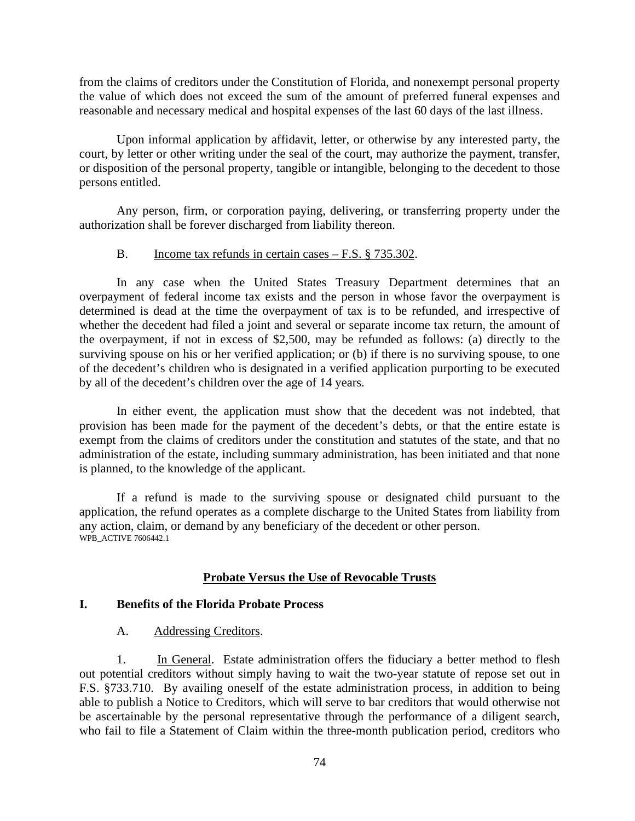from the claims of creditors under the Constitution of Florida, and nonexempt personal property the value of which does not exceed the sum of the amount of preferred funeral expenses and reasonable and necessary medical and hospital expenses of the last 60 days of the last illness.

Upon informal application by affidavit, letter, or otherwise by any interested party, the court, by letter or other writing under the seal of the court, may authorize the payment, transfer, or disposition of the personal property, tangible or intangible, belonging to the decedent to those persons entitled.

Any person, firm, or corporation paying, delivering, or transferring property under the authorization shall be forever discharged from liability thereon.

#### B. Income tax refunds in certain cases – F.S. § 735.302.

In any case when the United States Treasury Department determines that an overpayment of federal income tax exists and the person in whose favor the overpayment is determined is dead at the time the overpayment of tax is to be refunded, and irrespective of whether the decedent had filed a joint and several or separate income tax return, the amount of the overpayment, if not in excess of \$2,500, may be refunded as follows: (a) directly to the surviving spouse on his or her verified application; or (b) if there is no surviving spouse, to one of the decedent's children who is designated in a verified application purporting to be executed by all of the decedent's children over the age of 14 years.

In either event, the application must show that the decedent was not indebted, that provision has been made for the payment of the decedent's debts, or that the entire estate is exempt from the claims of creditors under the constitution and statutes of the state, and that no administration of the estate, including summary administration, has been initiated and that none is planned, to the knowledge of the applicant.

If a refund is made to the surviving spouse or designated child pursuant to the application, the refund operates as a complete discharge to the United States from liability from any action, claim, or demand by any beneficiary of the decedent or other person. WPB\_ACTIVE 7606442.1

### **Probate Versus the Use of Revocable Trusts**

### **I. Benefits of the Florida Probate Process**

### A. Addressing Creditors.

1. In General. Estate administration offers the fiduciary a better method to flesh out potential creditors without simply having to wait the two-year statute of repose set out in F.S. §733.710. By availing oneself of the estate administration process, in addition to being able to publish a Notice to Creditors, which will serve to bar creditors that would otherwise not be ascertainable by the personal representative through the performance of a diligent search, who fail to file a Statement of Claim within the three-month publication period, creditors who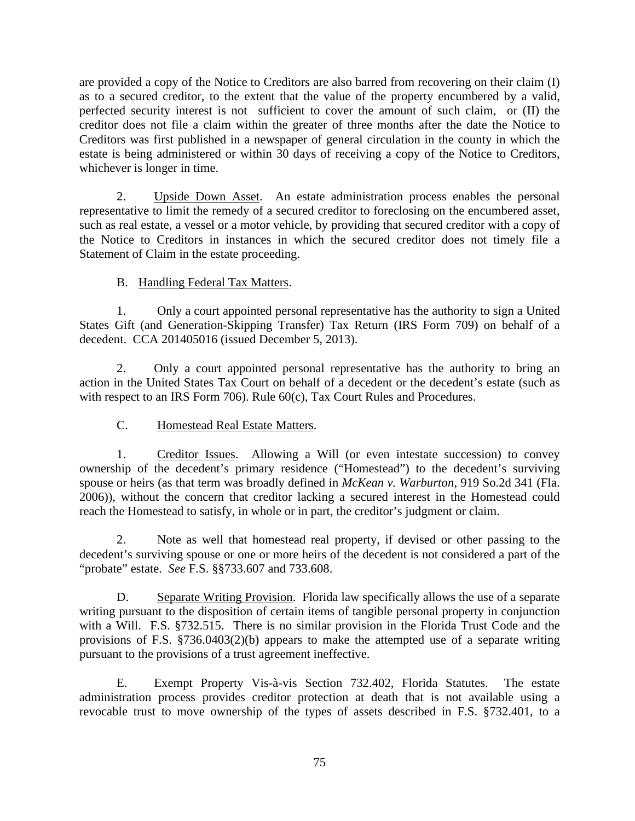are provided a copy of the Notice to Creditors are also barred from recovering on their claim (I) as to a secured creditor, to the extent that the value of the property encumbered by a valid, perfected security interest is not sufficient to cover the amount of such claim, or (II) the creditor does not file a claim within the greater of three months after the date the Notice to Creditors was first published in a newspaper of general circulation in the county in which the estate is being administered or within 30 days of receiving a copy of the Notice to Creditors, whichever is longer in time.

2. Upside Down Asset. An estate administration process enables the personal representative to limit the remedy of a secured creditor to foreclosing on the encumbered asset, such as real estate, a vessel or a motor vehicle, by providing that secured creditor with a copy of the Notice to Creditors in instances in which the secured creditor does not timely file a Statement of Claim in the estate proceeding.

# B. Handling Federal Tax Matters.

1. Only a court appointed personal representative has the authority to sign a United States Gift (and Generation-Skipping Transfer) Tax Return (IRS Form 709) on behalf of a decedent. CCA 201405016 (issued December 5, 2013).

2. Only a court appointed personal representative has the authority to bring an action in the United States Tax Court on behalf of a decedent or the decedent's estate (such as with respect to an IRS Form 706). Rule 60(c), Tax Court Rules and Procedures.

# C. Homestead Real Estate Matters.

1. Creditor Issues. Allowing a Will (or even intestate succession) to convey ownership of the decedent's primary residence ("Homestead") to the decedent's surviving spouse or heirs (as that term was broadly defined in *McKean v. Warburton*, 919 So.2d 341 (Fla. 2006)), without the concern that creditor lacking a secured interest in the Homestead could reach the Homestead to satisfy, in whole or in part, the creditor's judgment or claim.

2. Note as well that homestead real property, if devised or other passing to the decedent's surviving spouse or one or more heirs of the decedent is not considered a part of the "probate" estate. *See* F.S. §§733.607 and 733.608.

D. Separate Writing Provision. Florida law specifically allows the use of a separate writing pursuant to the disposition of certain items of tangible personal property in conjunction with a Will. F.S. §732.515. There is no similar provision in the Florida Trust Code and the provisions of F.S. §736.0403(2)(b) appears to make the attempted use of a separate writing pursuant to the provisions of a trust agreement ineffective.

E. Exempt Property Vis-à-vis Section 732.402, Florida Statutes. The estate administration process provides creditor protection at death that is not available using a revocable trust to move ownership of the types of assets described in F.S. §732.401, to a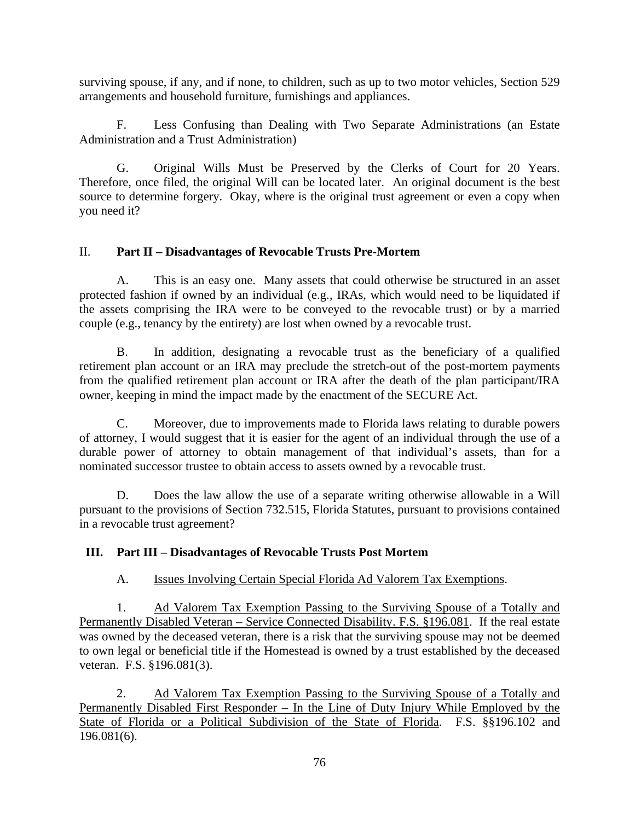surviving spouse, if any, and if none, to children, such as up to two motor vehicles, Section 529 arrangements and household furniture, furnishings and appliances.

F. Less Confusing than Dealing with Two Separate Administrations (an Estate Administration and a Trust Administration)

G. Original Wills Must be Preserved by the Clerks of Court for 20 Years. Therefore, once filed, the original Will can be located later. An original document is the best source to determine forgery. Okay, where is the original trust agreement or even a copy when you need it?

# II. **Part II – Disadvantages of Revocable Trusts Pre-Mortem**

A. This is an easy one. Many assets that could otherwise be structured in an asset protected fashion if owned by an individual (e.g., IRAs, which would need to be liquidated if the assets comprising the IRA were to be conveyed to the revocable trust) or by a married couple (e.g., tenancy by the entirety) are lost when owned by a revocable trust.

B. In addition, designating a revocable trust as the beneficiary of a qualified retirement plan account or an IRA may preclude the stretch-out of the post-mortem payments from the qualified retirement plan account or IRA after the death of the plan participant/IRA owner, keeping in mind the impact made by the enactment of the SECURE Act.

C. Moreover, due to improvements made to Florida laws relating to durable powers of attorney, I would suggest that it is easier for the agent of an individual through the use of a durable power of attorney to obtain management of that individual's assets, than for a nominated successor trustee to obtain access to assets owned by a revocable trust.

D. Does the law allow the use of a separate writing otherwise allowable in a Will pursuant to the provisions of Section 732.515, Florida Statutes, pursuant to provisions contained in a revocable trust agreement?

# **III. Part III – Disadvantages of Revocable Trusts Post Mortem**

A. Issues Involving Certain Special Florida Ad Valorem Tax Exemptions.

1. Ad Valorem Tax Exemption Passing to the Surviving Spouse of a Totally and Permanently Disabled Veteran – Service Connected Disability. F.S. §196.081. If the real estate was owned by the deceased veteran, there is a risk that the surviving spouse may not be deemed to own legal or beneficial title if the Homestead is owned by a trust established by the deceased veteran. F.S. §196.081(3).

2. Ad Valorem Tax Exemption Passing to the Surviving Spouse of a Totally and Permanently Disabled First Responder – In the Line of Duty Injury While Employed by the State of Florida or a Political Subdivision of the State of Florida. F.S. §§196.102 and 196.081(6).